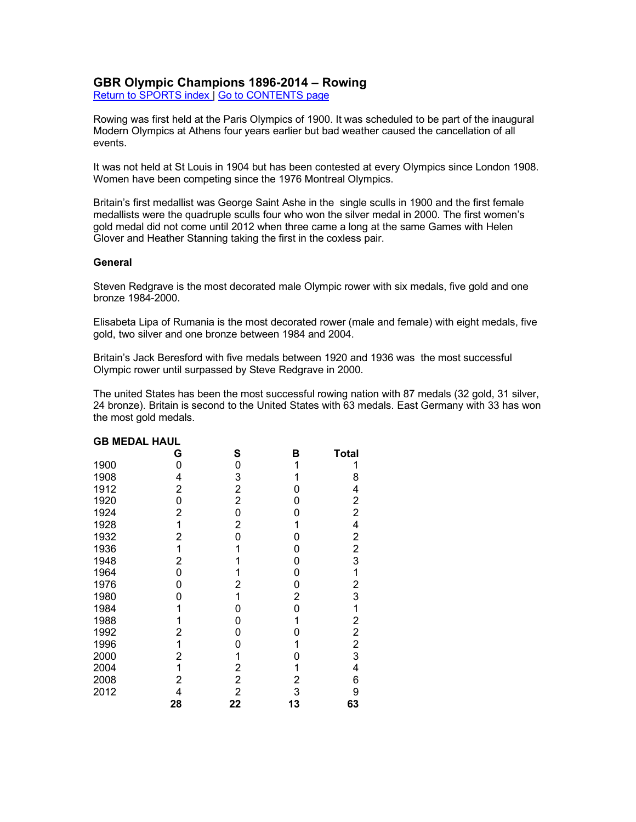## **GBR Olympic Champions 1896-2014 – Rowing**

Return to SPORTS index | Go to CONTENTS page

Rowing was first held at the Paris Olympics of 1900. It was scheduled to be part of the inaugural Modern Olympics at Athens four years earlier but bad weather caused the cancellation of all events.

It was not held at St Louis in 1904 but has been contested at every Olympics since London 1908. Women have been competing since the 1976 Montreal Olympics.

Britain's first medallist was George Saint Ashe in the single sculls in 1900 and the first female medallists were the quadruple sculls four who won the silver medal in 2000. The first women's gold medal did not come until 2012 when three came a long at the same Games with Helen Glover and Heather Stanning taking the first in the coxless pair.

## **General**

Steven Redgrave is the most decorated male Olympic rower with six medals, five gold and one bronze 1984-2000.

Elisabeta Lipa of Rumania is the most decorated rower (male and female) with eight medals, five gold, two silver and one bronze between 1984 and 2004.

Britain's Jack Beresford with five medals between 1920 and 1936 was the most successful Olympic rower until surpassed by Steve Redgrave in 2000.

The united States has been the most successful rowing nation with 87 medals (32 gold, 31 silver, 24 bronze). Britain is second to the United States with 63 medals. East Germany with 33 has won the most gold medals.

| יש<br>בטריו בי |    |                |    |                |
|----------------|----|----------------|----|----------------|
|                | G  | S              | в  | <b>Total</b>   |
| 1900           | 0  | 0              | 1  | 1              |
| 1908           | 4  | 3              |    | 8              |
| 1912           | 2  | $\overline{c}$ | 0  | 4              |
| 1920           | 0  | 2              | 0  | 2              |
| 1924           | 2  | 0              | 0  | $\overline{2}$ |
| 1928           | 1  | 2              | 1  | 4              |
| 1932           | 2  | 0              | 0  | 2              |
| 1936           | 1  |                | 0  | 2              |
| 1948           | 2  |                | 0  | 3              |
| 1964           | 0  |                | 0  | 1              |
| 1976           | 0  | 2              | 0  | 2              |
| 1980           | 0  | 1              | 2  | 3              |
| 1984           | 1  | 0              | 0  | 1              |
| 1988           | 1  | 0              | 1  | 2              |
| 1992           | 2  | 0              | 0  | $\overline{2}$ |
| 1996           | 1  | 0              | 1  | $\overline{2}$ |
| 2000           | 2  | 1              | 0  | 3              |
| 2004           | 1  | $\overline{2}$ | 1  | 4              |
| 2008           | 2  | 2              | 2  | 6              |
| 2012           | 4  | 2              | 3  | 9              |
|                | 28 | 22             | 13 | 63             |

# **GB MEDAL HAUL**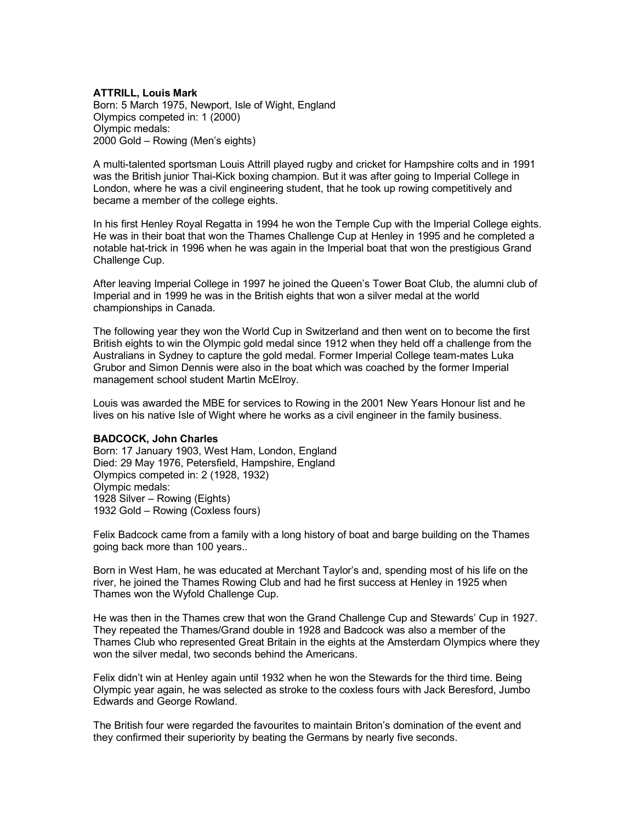## **ATTRILL, Louis Mark**

Born: 5 March 1975, Newport, Isle of Wight, England Olympics competed in: 1 (2000) Olympic medals: 2000 Gold – Rowing (Men's eights)

A multi-talented sportsman Louis Attrill played rugby and cricket for Hampshire colts and in 1991 was the British junior Thai-Kick boxing champion. But it was after going to Imperial College in London, where he was a civil engineering student, that he took up rowing competitively and became a member of the college eights.

In his first Henley Royal Regatta in 1994 he won the Temple Cup with the Imperial College eights. He was in their boat that won the Thames Challenge Cup at Henley in 1995 and he completed a notable hat-trick in 1996 when he was again in the Imperial boat that won the prestigious Grand Challenge Cup.

After leaving Imperial College in 1997 he joined the Queen's Tower Boat Club, the alumni club of Imperial and in 1999 he was in the British eights that won a silver medal at the world championships in Canada.

The following year they won the World Cup in Switzerland and then went on to become the first British eights to win the Olympic gold medal since 1912 when they held off a challenge from the Australians in Sydney to capture the gold medal. Former Imperial College team-mates Luka Grubor and Simon Dennis were also in the boat which was coached by the former Imperial management school student Martin McElroy.

Louis was awarded the MBE for services to Rowing in the 2001 New Years Honour list and he lives on his native Isle of Wight where he works as a civil engineer in the family business.

### **BADCOCK, John Charles**

Born: 17 January 1903, West Ham, London, England Died: 29 May 1976, Petersfield, Hampshire, England Olympics competed in: 2 (1928, 1932) Olympic medals: 1928 Silver – Rowing (Eights) 1932 Gold – Rowing (Coxless fours)

Felix Badcock came from a family with a long history of boat and barge building on the Thames going back more than 100 years..

Born in West Ham, he was educated at Merchant Taylor's and, spending most of his life on the river, he joined the Thames Rowing Club and had he first success at Henley in 1925 when Thames won the Wyfold Challenge Cup.

He was then in the Thames crew that won the Grand Challenge Cup and Stewards' Cup in 1927. They repeated the Thames/Grand double in 1928 and Badcock was also a member of the Thames Club who represented Great Britain in the eights at the Amsterdam Olympics where they won the silver medal, two seconds behind the Americans.

Felix didn't win at Henley again until 1932 when he won the Stewards for the third time. Being Olympic year again, he was selected as stroke to the coxless fours with Jack Beresford, Jumbo Edwards and George Rowland.

The British four were regarded the favourites to maintain Briton's domination of the event and they confirmed their superiority by beating the Germans by nearly five seconds.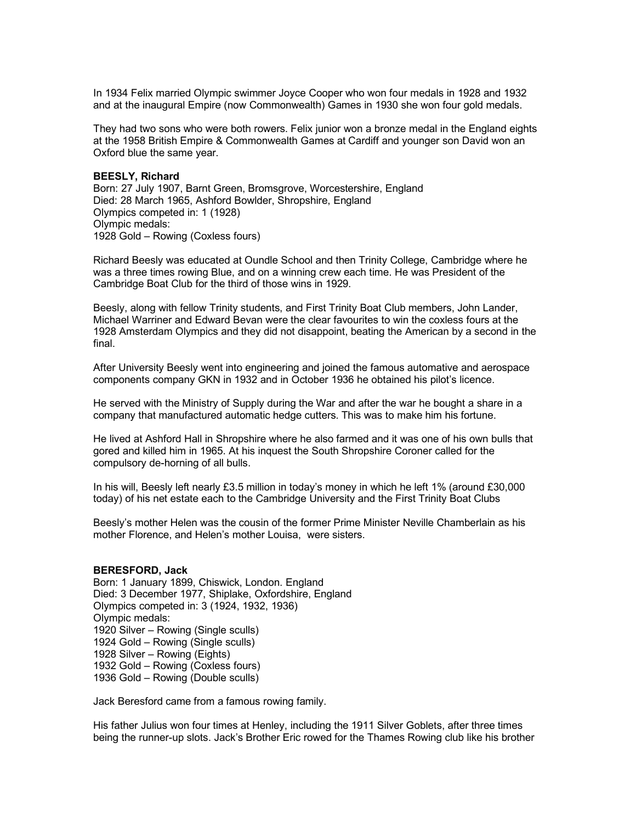In 1934 Felix married Olympic swimmer Joyce Cooper who won four medals in 1928 and 1932 and at the inaugural Empire (now Commonwealth) Games in 1930 she won four gold medals.

They had two sons who were both rowers. Felix junior won a bronze medal in the England eights at the 1958 British Empire & Commonwealth Games at Cardiff and younger son David won an Oxford blue the same year.

## **BEESLY, Richard**

Born: 27 July 1907, Barnt Green, Bromsgrove, Worcestershire, England Died: 28 March 1965, Ashford Bowlder, Shropshire, England Olympics competed in: 1 (1928) Olympic medals: 1928 Gold – Rowing (Coxless fours)

Richard Beesly was educated at Oundle School and then Trinity College, Cambridge where he was a three times rowing Blue, and on a winning crew each time. He was President of the Cambridge Boat Club for the third of those wins in 1929.

Beesly, along with fellow Trinity students, and First Trinity Boat Club members, John Lander, Michael Warriner and Edward Bevan were the clear favourites to win the coxless fours at the 1928 Amsterdam Olympics and they did not disappoint, beating the American by a second in the final.

After University Beesly went into engineering and joined the famous automative and aerospace components company GKN in 1932 and in October 1936 he obtained his pilot's licence.

He served with the Ministry of Supply during the War and after the war he bought a share in a company that manufactured automatic hedge cutters. This was to make him his fortune.

He lived at Ashford Hall in Shropshire where he also farmed and it was one of his own bulls that gored and killed him in 1965. At his inquest the South Shropshire Coroner called for the compulsory de-horning of all bulls.

In his will, Beesly left nearly £3.5 million in today's money in which he left 1% (around £30,000 today) of his net estate each to the Cambridge University and the First Trinity Boat Clubs

Beesly's mother Helen was the cousin of the former Prime Minister Neville Chamberlain as his mother Florence, and Helen's mother Louisa, were sisters.

### **BERESFORD, Jack**

Born: 1 January 1899, Chiswick, London. England Died: 3 December 1977, Shiplake, Oxfordshire, England Olympics competed in: 3 (1924, 1932, 1936) Olympic medals: 1920 Silver – Rowing (Single sculls) 1924 Gold – Rowing (Single sculls) 1928 Silver – Rowing (Eights) 1932 Gold – Rowing (Coxless fours) 1936 Gold – Rowing (Double sculls)

Jack Beresford came from a famous rowing family.

His father Julius won four times at Henley, including the 1911 Silver Goblets, after three times being the runner-up slots. Jack's Brother Eric rowed for the Thames Rowing club like his brother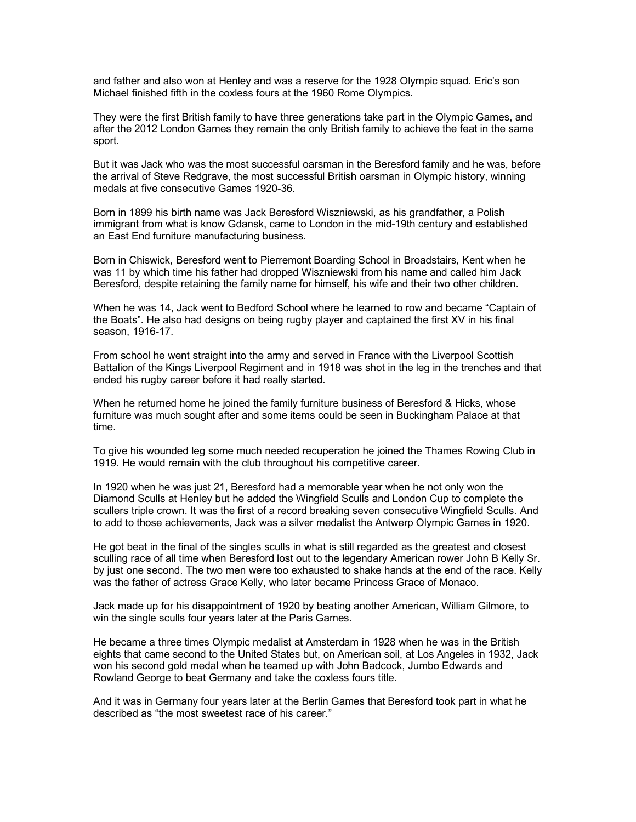and father and also won at Henley and was a reserve for the 1928 Olympic squad. Eric's son Michael finished fifth in the coxless fours at the 1960 Rome Olympics.

They were the first British family to have three generations take part in the Olympic Games, and after the 2012 London Games they remain the only British family to achieve the feat in the same sport.

But it was Jack who was the most successful oarsman in the Beresford family and he was, before the arrival of Steve Redgrave, the most successful British oarsman in Olympic history, winning medals at five consecutive Games 1920-36.

Born in 1899 his birth name was Jack Beresford Wiszniewski, as his grandfather, a Polish immigrant from what is know Gdansk, came to London in the mid-19th century and established an East End furniture manufacturing business.

Born in Chiswick, Beresford went to Pierremont Boarding School in Broadstairs, Kent when he was 11 by which time his father had dropped Wiszniewski from his name and called him Jack Beresford, despite retaining the family name for himself, his wife and their two other children.

When he was 14, Jack went to Bedford School where he learned to row and became "Captain of the Boats". He also had designs on being rugby player and captained the first XV in his final season, 1916-17.

From school he went straight into the army and served in France with the Liverpool Scottish Battalion of the Kings Liverpool Regiment and in 1918 was shot in the leg in the trenches and that ended his rugby career before it had really started.

When he returned home he joined the family furniture business of Beresford & Hicks, whose furniture was much sought after and some items could be seen in Buckingham Palace at that time.

To give his wounded leg some much needed recuperation he joined the Thames Rowing Club in 1919. He would remain with the club throughout his competitive career.

In 1920 when he was just 21, Beresford had a memorable year when he not only won the Diamond Sculls at Henley but he added the Wingfield Sculls and London Cup to complete the scullers triple crown. It was the first of a record breaking seven consecutive Wingfield Sculls. And to add to those achievements, Jack was a silver medalist the Antwerp Olympic Games in 1920.

He got beat in the final of the singles sculls in what is still regarded as the greatest and closest sculling race of all time when Beresford lost out to the legendary American rower John B Kelly Sr. by just one second. The two men were too exhausted to shake hands at the end of the race. Kelly was the father of actress Grace Kelly, who later became Princess Grace of Monaco.

Jack made up for his disappointment of 1920 by beating another American, William Gilmore, to win the single sculls four years later at the Paris Games.

He became a three times Olympic medalist at Amsterdam in 1928 when he was in the British eights that came second to the United States but, on American soil, at Los Angeles in 1932, Jack won his second gold medal when he teamed up with John Badcock, Jumbo Edwards and Rowland George to beat Germany and take the coxless fours title.

And it was in Germany four years later at the Berlin Games that Beresford took part in what he described as "the most sweetest race of his career."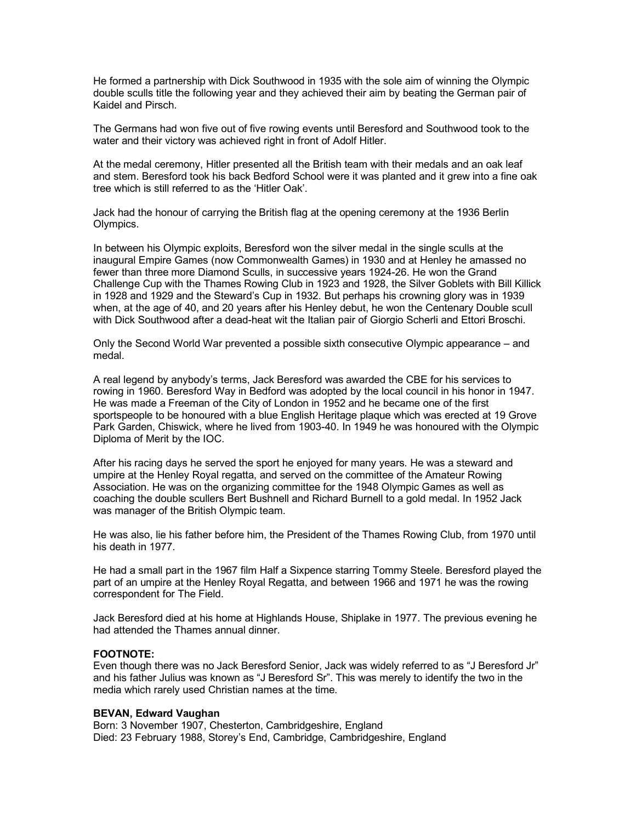He formed a partnership with Dick Southwood in 1935 with the sole aim of winning the Olympic double sculls title the following year and they achieved their aim by beating the German pair of Kaidel and Pirsch.

The Germans had won five out of five rowing events until Beresford and Southwood took to the water and their victory was achieved right in front of Adolf Hitler.

At the medal ceremony, Hitler presented all the British team with their medals and an oak leaf and stem. Beresford took his back Bedford School were it was planted and it grew into a fine oak tree which is still referred to as the 'Hitler Oak'.

Jack had the honour of carrying the British flag at the opening ceremony at the 1936 Berlin Olympics.

In between his Olympic exploits, Beresford won the silver medal in the single sculls at the inaugural Empire Games (now Commonwealth Games) in 1930 and at Henley he amassed no fewer than three more Diamond Sculls, in successive years 1924-26. He won the Grand Challenge Cup with the Thames Rowing Club in 1923 and 1928, the Silver Goblets with Bill Killick in 1928 and 1929 and the Steward's Cup in 1932. But perhaps his crowning glory was in 1939 when, at the age of 40, and 20 years after his Henley debut, he won the Centenary Double scull with Dick Southwood after a dead-heat wit the Italian pair of Giorgio Scherli and Ettori Broschi.

Only the Second World War prevented a possible sixth consecutive Olympic appearance – and medal.

A real legend by anybody's terms, Jack Beresford was awarded the CBE for his services to rowing in 1960. Beresford Way in Bedford was adopted by the local council in his honor in 1947. He was made a Freeman of the City of London in 1952 and he became one of the first sportspeople to be honoured with a blue English Heritage plaque which was erected at 19 Grove Park Garden, Chiswick, where he lived from 1903-40. In 1949 he was honoured with the Olympic Diploma of Merit by the IOC.

After his racing days he served the sport he enjoyed for many years. He was a steward and umpire at the Henley Royal regatta, and served on the committee of the Amateur Rowing Association. He was on the organizing committee for the 1948 Olympic Games as well as coaching the double scullers Bert Bushnell and Richard Burnell to a gold medal. In 1952 Jack was manager of the British Olympic team.

He was also, lie his father before him, the President of the Thames Rowing Club, from 1970 until his death in 1977.

He had a small part in the 1967 film Half a Sixpence starring Tommy Steele. Beresford played the part of an umpire at the Henley Royal Regatta, and between 1966 and 1971 he was the rowing correspondent for The Field.

Jack Beresford died at his home at Highlands House, Shiplake in 1977. The previous evening he had attended the Thames annual dinner.

## **FOOTNOTE:**

Even though there was no Jack Beresford Senior, Jack was widely referred to as "J Beresford Jr" and his father Julius was known as "J Beresford Sr". This was merely to identify the two in the media which rarely used Christian names at the time.

### **BEVAN, Edward Vaughan**

Born: 3 November 1907, Chesterton, Cambridgeshire, England Died: 23 February 1988, Storey's End, Cambridge, Cambridgeshire, England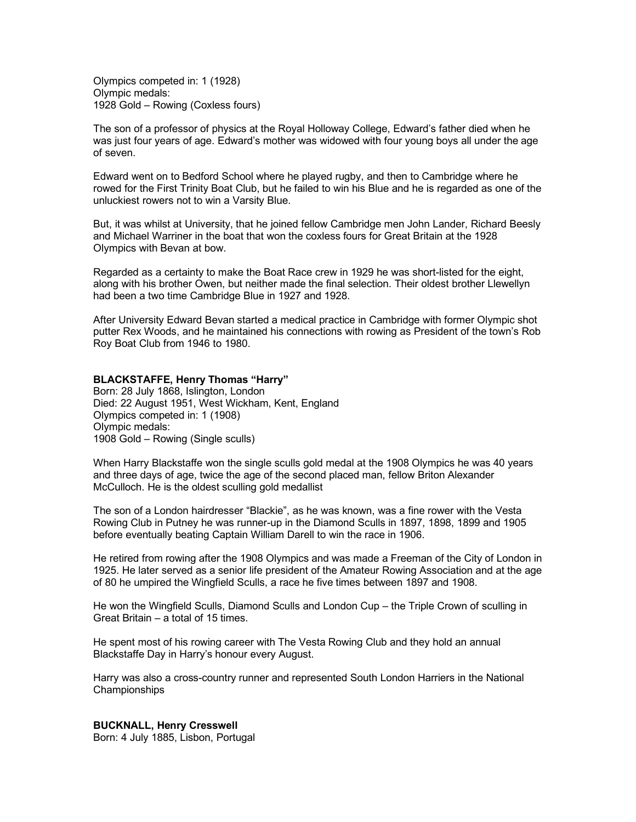Olympics competed in: 1 (1928) Olympic medals: 1928 Gold – Rowing (Coxless fours)

The son of a professor of physics at the Royal Holloway College, Edward's father died when he was just four years of age. Edward's mother was widowed with four young boys all under the age of seven.

Edward went on to Bedford School where he played rugby, and then to Cambridge where he rowed for the First Trinity Boat Club, but he failed to win his Blue and he is regarded as one of the unluckiest rowers not to win a Varsity Blue.

But, it was whilst at University, that he joined fellow Cambridge men John Lander, Richard Beesly and Michael Warriner in the boat that won the coxless fours for Great Britain at the 1928 Olympics with Bevan at bow.

Regarded as a certainty to make the Boat Race crew in 1929 he was short-listed for the eight, along with his brother Owen, but neither made the final selection. Their oldest brother Llewellyn had been a two time Cambridge Blue in 1927 and 1928.

After University Edward Bevan started a medical practice in Cambridge with former Olympic shot putter Rex Woods, and he maintained his connections with rowing as President of the town's Rob Roy Boat Club from 1946 to 1980.

### **BLACKSTAFFE, Henry Thomas "Harry"**

Born: 28 July 1868, Islington, London Died: 22 August 1951, West Wickham, Kent, England Olympics competed in: 1 (1908) Olympic medals: 1908 Gold – Rowing (Single sculls)

When Harry Blackstaffe won the single sculls gold medal at the 1908 Olympics he was 40 years and three days of age, twice the age of the second placed man, fellow Briton Alexander McCulloch. He is the oldest sculling gold medallist

The son of a London hairdresser "Blackie", as he was known, was a fine rower with the Vesta Rowing Club in Putney he was runner-up in the Diamond Sculls in 1897, 1898, 1899 and 1905 before eventually beating Captain William Darell to win the race in 1906.

He retired from rowing after the 1908 Olympics and was made a Freeman of the City of London in 1925. He later served as a senior life president of the Amateur Rowing Association and at the age of 80 he umpired the Wingfield Sculls, a race he five times between 1897 and 1908.

He won the Wingfield Sculls, Diamond Sculls and London Cup – the Triple Crown of sculling in Great Britain – a total of 15 times.

He spent most of his rowing career with The Vesta Rowing Club and they hold an annual Blackstaffe Day in Harry's honour every August.

Harry was also a cross-country runner and represented South London Harriers in the National **Championships** 

**BUCKNALL, Henry Cresswell**

Born: 4 July 1885, Lisbon, Portugal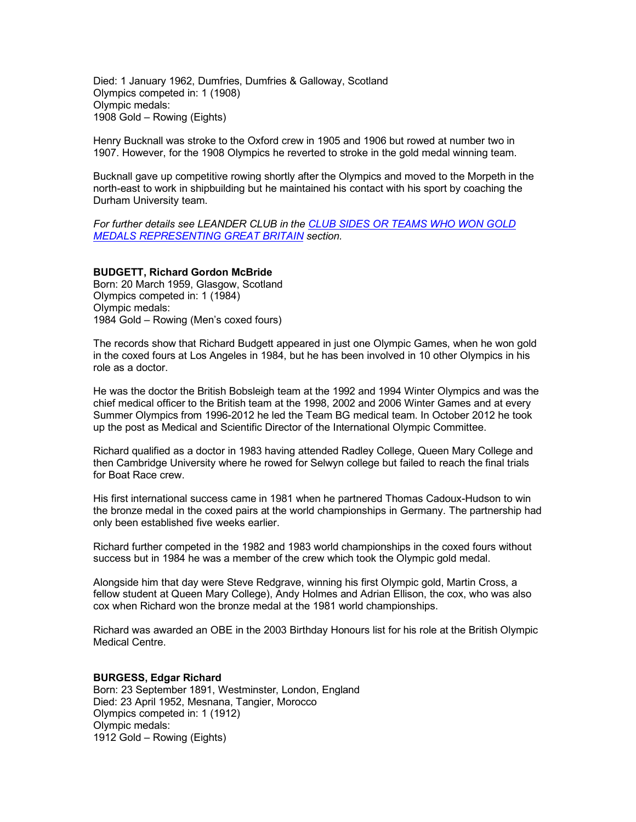Died: 1 January 1962, Dumfries, Dumfries & Galloway, Scotland Olympics competed in: 1 (1908) Olympic medals: 1908 Gold – Rowing (Eights)

Henry Bucknall was stroke to the Oxford crew in 1905 and 1906 but rowed at number two in 1907. However, for the 1908 Olympics he reverted to stroke in the gold medal winning team.

Bucknall gave up competitive rowing shortly after the Olympics and moved to the Morpeth in the north-east to work in shipbuilding but he maintained his contact with his sport by coaching the Durham University team.

*For further details see LEANDER CLUB in the CLUB SIDES OR TEAMS WHO WON GOLD MEDALS REPRESENTING GREAT BRITAIN section.* 

### **BUDGETT, Richard Gordon McBride**

Born: 20 March 1959, Glasgow, Scotland Olympics competed in: 1 (1984) Olympic medals: 1984 Gold – Rowing (Men's coxed fours)

The records show that Richard Budgett appeared in just one Olympic Games, when he won gold in the coxed fours at Los Angeles in 1984, but he has been involved in 10 other Olympics in his role as a doctor.

He was the doctor the British Bobsleigh team at the 1992 and 1994 Winter Olympics and was the chief medical officer to the British team at the 1998, 2002 and 2006 Winter Games and at every Summer Olympics from 1996-2012 he led the Team BG medical team. In October 2012 he took up the post as Medical and Scientific Director of the International Olympic Committee.

Richard qualified as a doctor in 1983 having attended Radley College, Queen Mary College and then Cambridge University where he rowed for Selwyn college but failed to reach the final trials for Boat Race crew.

His first international success came in 1981 when he partnered Thomas Cadoux-Hudson to win the bronze medal in the coxed pairs at the world championships in Germany. The partnership had only been established five weeks earlier.

Richard further competed in the 1982 and 1983 world championships in the coxed fours without success but in 1984 he was a member of the crew which took the Olympic gold medal.

Alongside him that day were Steve Redgrave, winning his first Olympic gold, Martin Cross, a fellow student at Queen Mary College), Andy Holmes and Adrian Ellison, the cox, who was also cox when Richard won the bronze medal at the 1981 world championships.

Richard was awarded an OBE in the 2003 Birthday Honours list for his role at the British Olympic Medical Centre.

#### **BURGESS, Edgar Richard**

Born: 23 September 1891, Westminster, London, England Died: 23 April 1952, Mesnana, Tangier, Morocco Olympics competed in: 1 (1912) Olympic medals: 1912 Gold – Rowing (Eights)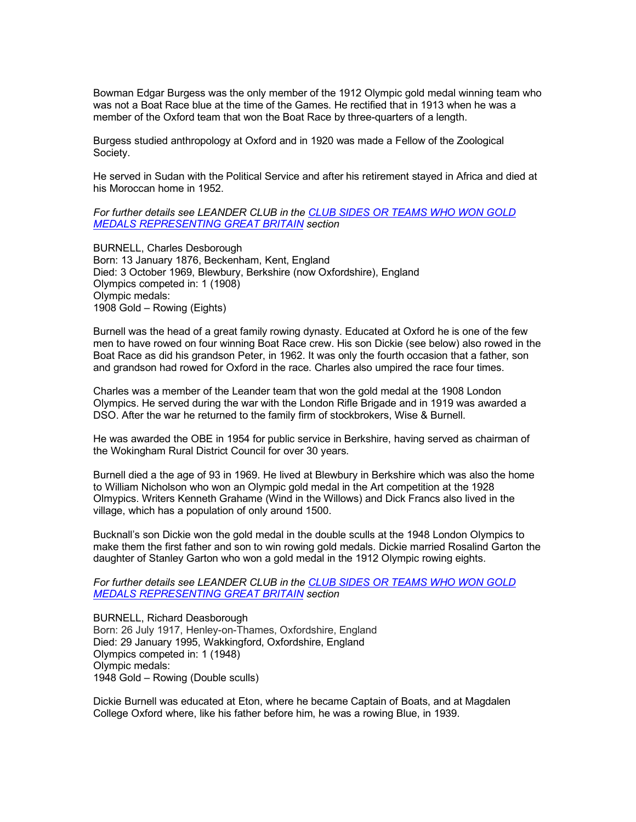Bowman Edgar Burgess was the only member of the 1912 Olympic gold medal winning team who was not a Boat Race blue at the time of the Games. He rectified that in 1913 when he was a member of the Oxford team that won the Boat Race by three-quarters of a length.

Burgess studied anthropology at Oxford and in 1920 was made a Fellow of the Zoological Society.

He served in Sudan with the Political Service and after his retirement stayed in Africa and died at his Moroccan home in 1952.

## *For further details see LEANDER CLUB in the CLUB SIDES OR TEAMS WHO WON GOLD MEDALS REPRESENTING GREAT BRITAIN section*

BURNELL, Charles Desborough Born: 13 January 1876, Beckenham, Kent, England Died: 3 October 1969, Blewbury, Berkshire (now Oxfordshire), England Olympics competed in: 1 (1908) Olympic medals: 1908 Gold – Rowing (Eights)

Burnell was the head of a great family rowing dynasty. Educated at Oxford he is one of the few men to have rowed on four winning Boat Race crew. His son Dickie (see below) also rowed in the Boat Race as did his grandson Peter, in 1962. It was only the fourth occasion that a father, son and grandson had rowed for Oxford in the race. Charles also umpired the race four times.

Charles was a member of the Leander team that won the gold medal at the 1908 London Olympics. He served during the war with the London Rifle Brigade and in 1919 was awarded a DSO. After the war he returned to the family firm of stockbrokers, Wise & Burnell.

He was awarded the OBE in 1954 for public service in Berkshire, having served as chairman of the Wokingham Rural District Council for over 30 years.

Burnell died a the age of 93 in 1969. He lived at Blewbury in Berkshire which was also the home to William Nicholson who won an Olympic gold medal in the Art competition at the 1928 Olmypics. Writers Kenneth Grahame (Wind in the Willows) and Dick Francs also lived in the village, which has a population of only around 1500.

Bucknall's son Dickie won the gold medal in the double sculls at the 1948 London Olympics to make them the first father and son to win rowing gold medals. Dickie married Rosalind Garton the daughter of Stanley Garton who won a gold medal in the 1912 Olympic rowing eights.

*For further details see LEANDER CLUB in the CLUB SIDES OR TEAMS WHO WON GOLD MEDALS REPRESENTING GREAT BRITAIN section*

BURNELL, Richard Deasborough Born: 26 July 1917, Henley-on-Thames, Oxfordshire, England Died: 29 January 1995, Wakkingford, Oxfordshire, England Olympics competed in: 1 (1948) Olympic medals: 1948 Gold – Rowing (Double sculls)

Dickie Burnell was educated at Eton, where he became Captain of Boats, and at Magdalen College Oxford where, like his father before him, he was a rowing Blue, in 1939.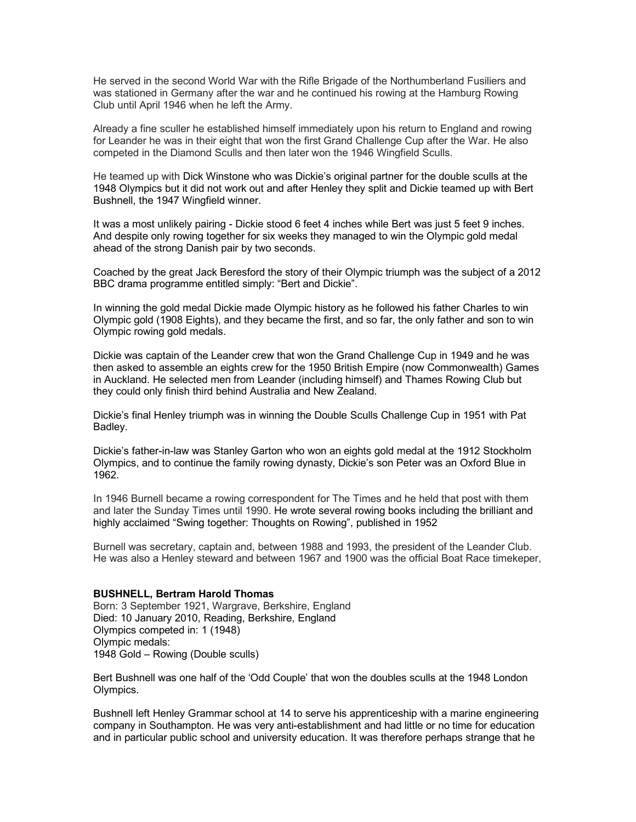He served in the second World War with the Rifle Brigade of the Northumberland Fusiliers and was stationed in Germany after the war and he continued his rowing at the Hamburg Rowing Club until April 1946 when he left the Army.

Already a fine sculler he established himself immediately upon his return to England and rowing for Leander he was in their eight that won the first Grand Challenge Cup after the War. He also competed in the Diamond Sculls and then later won the 1946 Wingfield Sculls.

He teamed up with Dick Winstone who was Dickie's original partner for the double sculls at the 1948 Olympics but it did not work out and after Henley they split and Dickie teamed up with Bert Bushnell, the 1947 Wingfield winner.

It was a most unlikely pairing - Dickie stood 6 feet 4 inches while Bert was just 5 feet 9 inches. And despite only rowing together for six weeks they managed to win the Olympic gold medal ahead of the strong Danish pair by two seconds.

Coached by the great Jack Beresford the story of their Olympic triumph was the subject of a 2012 BBC drama programme entitled simply: "Bert and Dickie".

In winning the gold medal Dickie made Olympic history as he followed his father Charles to win Olympic gold (1908 Eights), and they became the first, and so far, the only father and son to win Olympic rowing gold medals.

Dickie was captain of the Leander crew that won the Grand Challenge Cup in 1949 and he was then asked to assemble an eights crew for the 1950 British Empire (now Commonwealth) Games in Auckland. He selected men from Leander (including himself) and Thames Rowing Club but they could only finish third behind Australia and New Zealand.

Dickie's final Henley triumph was in winning the Double Sculls Challenge Cup in 1951 with Pat Badley.

Dickie's father-in-law was Stanley Garton who won an eights gold medal at the 1912 Stockholm Olympics, and to continue the family rowing dynasty, Dickie's son Peter was an Oxford Blue in 1962.

In 1946 Burnell became a rowing correspondent for The Times and he held that post with them and later the Sunday Times until 1990. He wrote several rowing books including the brilliant and highly acclaimed "Swing together: Thoughts on Rowing", published in 1952

Burnell was secretary, captain and, between 1988 and 1993, the president of the Leander Club. He was also a Henley steward and between 1967 and 1900 was the official Boat Race timekeper,

#### **BUSHNELL, Bertram Harold Thomas**

Born: 3 September 1921, Wargrave, Berkshire, England Died: 10 January 2010, Reading, Berkshire, England Olympics competed in: 1 (1948) Olympic medals: 1948 Gold – Rowing (Double sculls)

Bert Bushnell was one half of the 'Odd Couple' that won the doubles sculls at the 1948 London Olympics.

Bushnell left Henley Grammar school at 14 to serve his apprenticeship with a marine engineering company in Southampton. He was very anti-establishment and had little or no time for education and in particular public school and university education. It was therefore perhaps strange that he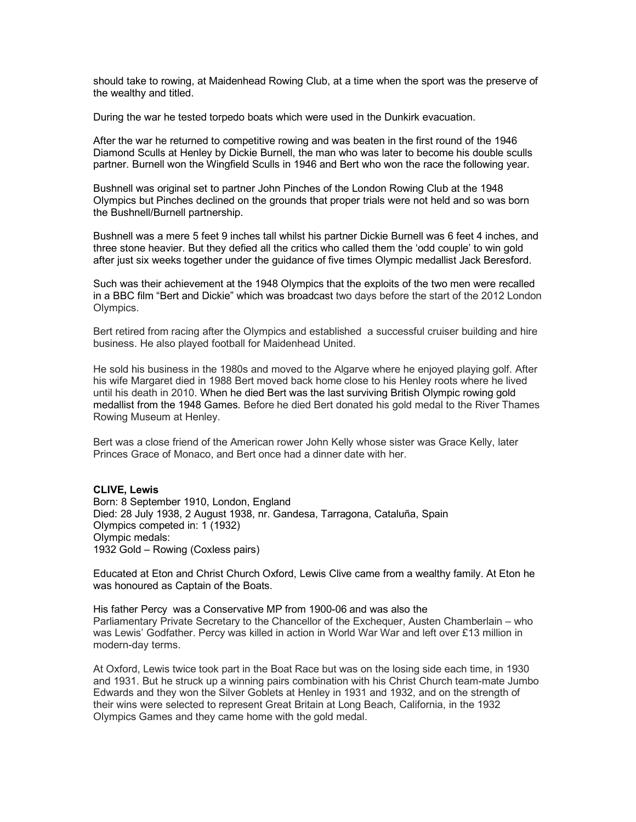should take to rowing, at Maidenhead Rowing Club, at a time when the sport was the preserve of the wealthy and titled.

During the war he tested torpedo boats which were used in the Dunkirk evacuation.

After the war he returned to competitive rowing and was beaten in the first round of the 1946 Diamond Sculls at Henley by Dickie Burnell, the man who was later to become his double sculls partner. Burnell won the Wingfield Sculls in 1946 and Bert who won the race the following year.

Bushnell was original set to partner John Pinches of the London Rowing Club at the 1948 Olympics but Pinches declined on the grounds that proper trials were not held and so was born the Bushnell/Burnell partnership.

Bushnell was a mere 5 feet 9 inches tall whilst his partner Dickie Burnell was 6 feet 4 inches, and three stone heavier. But they defied all the critics who called them the 'odd couple' to win gold after just six weeks together under the guidance of five times Olympic medallist Jack Beresford.

Such was their achievement at the 1948 Olympics that the exploits of the two men were recalled in a BBC film "Bert and Dickie" which was broadcast two days before the start of the 2012 London Olympics.

Bert retired from racing after the Olympics and established a successful cruiser building and hire business. He also played football for Maidenhead United.

He sold his business in the 1980s and moved to the Algarve where he enjoyed playing golf. After his wife Margaret died in 1988 Bert moved back home close to his Henley roots where he lived until his death in 2010. When he died Bert was the last surviving British Olympic rowing gold medallist from the 1948 Games. Before he died Bert donated his gold medal to the River Thames Rowing Museum at Henley.

Bert was a close friend of the American rower John Kelly whose sister was Grace Kelly, later Princes Grace of Monaco, and Bert once had a dinner date with her.

## **CLIVE, Lewis**

Born: 8 September 1910, London, England Died: 28 July 1938, 2 August 1938, nr. Gandesa, Tarragona, Cataluña, Spain Olympics competed in: 1 (1932) Olympic medals: 1932 Gold – Rowing (Coxless pairs)

Educated at Eton and Christ Church Oxford, Lewis Clive came from a wealthy family. At Eton he was honoured as Captain of the Boats.

His father Percy was a Conservative MP from 1900-06 and was also the Parliamentary Private Secretary to the Chancellor of the Exchequer, Austen Chamberlain – who was Lewis' Godfather. Percy was killed in action in World War War and left over £13 million in modern-day terms.

At Oxford, Lewis twice took part in the Boat Race but was on the losing side each time, in 1930 and 1931. But he struck up a winning pairs combination with his Christ Church team-mate Jumbo Edwards and they won the Silver Goblets at Henley in 1931 and 1932, and on the strength of their wins were selected to represent Great Britain at Long Beach, California, in the 1932 Olympics Games and they came home with the gold medal.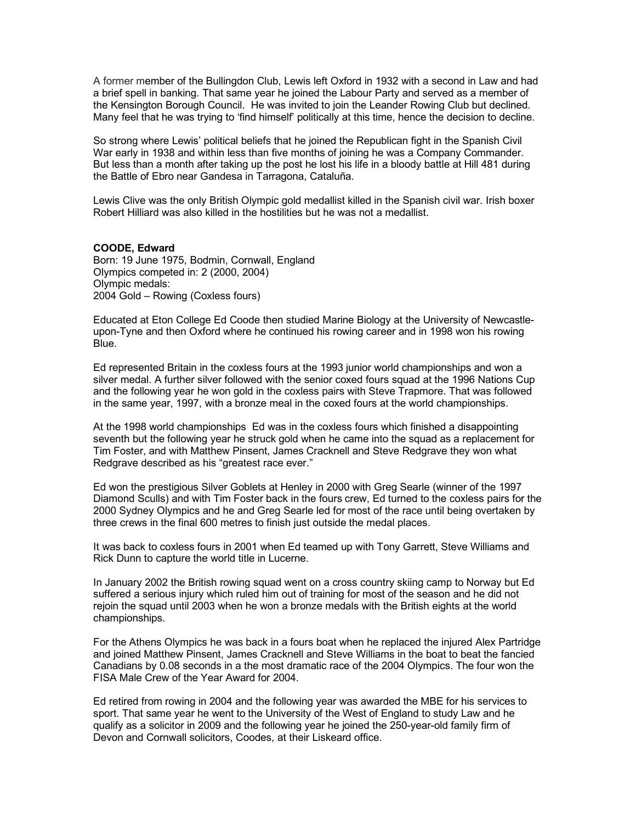A former member of the Bullingdon Club, Lewis left Oxford in 1932 with a second in Law and had a brief spell in banking. That same year he joined the Labour Party and served as a member of the Kensington Borough Council. He was invited to join the Leander Rowing Club but declined. Many feel that he was trying to 'find himself' politically at this time, hence the decision to decline.

So strong where Lewis' political beliefs that he joined the Republican fight in the Spanish Civil War early in 1938 and within less than five months of joining he was a Company Commander. But less than a month after taking up the post he lost his life in a bloody battle at Hill 481 during the Battle of Ebro near Gandesa in Tarragona, Cataluña.

Lewis Clive was the only British Olympic gold medallist killed in the Spanish civil war. Irish boxer Robert Hilliard was also killed in the hostilities but he was not a medallist.

#### **COODE, Edward**

Born: 19 June 1975, Bodmin, Cornwall, England Olympics competed in: 2 (2000, 2004) Olympic medals: 2004 Gold – Rowing (Coxless fours)

Educated at Eton College Ed Coode then studied Marine Biology at the University of Newcastleupon-Tyne and then Oxford where he continued his rowing career and in 1998 won his rowing Blue.

Ed represented Britain in the coxless fours at the 1993 junior world championships and won a silver medal. A further silver followed with the senior coxed fours squad at the 1996 Nations Cup and the following year he won gold in the coxless pairs with Steve Trapmore. That was followed in the same year, 1997, with a bronze meal in the coxed fours at the world championships.

At the 1998 world championships Ed was in the coxless fours which finished a disappointing seventh but the following year he struck gold when he came into the squad as a replacement for Tim Foster, and with Matthew Pinsent, James Cracknell and Steve Redgrave they won what Redgrave described as his "greatest race ever."

Ed won the prestigious Silver Goblets at Henley in 2000 with Greg Searle (winner of the 1997 Diamond Sculls) and with Tim Foster back in the fours crew, Ed turned to the coxless pairs for the 2000 Sydney Olympics and he and Greg Searle led for most of the race until being overtaken by three crews in the final 600 metres to finish just outside the medal places.

It was back to coxless fours in 2001 when Ed teamed up with Tony Garrett, Steve Williams and Rick Dunn to capture the world title in Lucerne.

In January 2002 the British rowing squad went on a cross country skiing camp to Norway but Ed suffered a serious injury which ruled him out of training for most of the season and he did not rejoin the squad until 2003 when he won a bronze medals with the British eights at the world championships.

For the Athens Olympics he was back in a fours boat when he replaced the injured Alex Partridge and joined Matthew Pinsent, James Cracknell and Steve Williams in the boat to beat the fancied Canadians by 0.08 seconds in a the most dramatic race of the 2004 Olympics. The four won the FISA Male Crew of the Year Award for 2004.

Ed retired from rowing in 2004 and the following year was awarded the MBE for his services to sport. That same year he went to the University of the West of England to study Law and he qualify as a solicitor in 2009 and the following year he joined the 250-year-old family firm of Devon and Cornwall solicitors, Coodes, at their Liskeard office.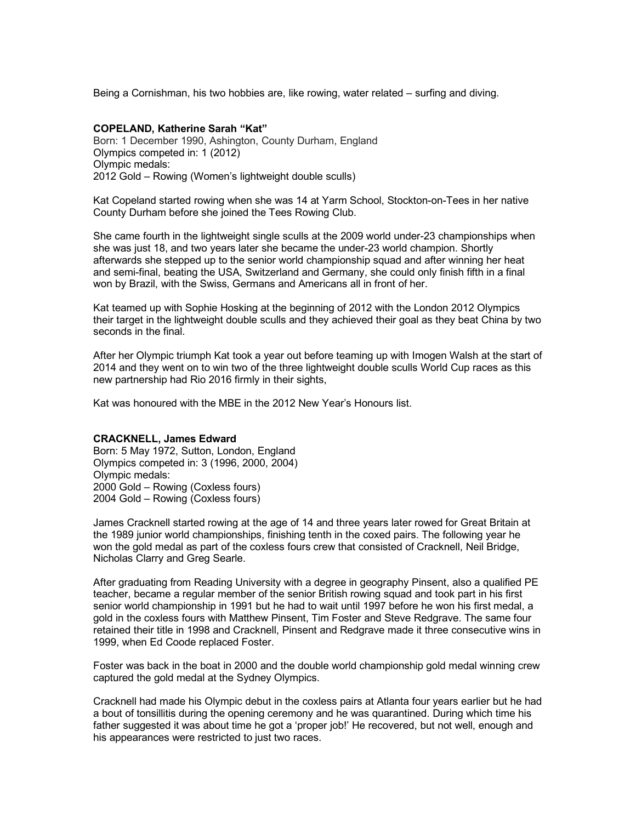Being a Cornishman, his two hobbies are, like rowing, water related – surfing and diving.

## **COPELAND, Katherine Sarah "Kat"**

Born: 1 December 1990, Ashington, County Durham, England Olympics competed in: 1 (2012) Olympic medals: 2012 Gold – Rowing (Women's lightweight double sculls)

Kat Copeland started rowing when she was 14 at Yarm School, Stockton-on-Tees in her native County Durham before she joined the Tees Rowing Club.

She came fourth in the lightweight single sculls at the 2009 world under-23 championships when she was just 18, and two years later she became the under-23 world champion. Shortly afterwards she stepped up to the senior world championship squad and after winning her heat and semi-final, beating the USA, Switzerland and Germany, she could only finish fifth in a final won by Brazil, with the Swiss, Germans and Americans all in front of her.

Kat teamed up with Sophie Hosking at the beginning of 2012 with the London 2012 Olympics their target in the lightweight double sculls and they achieved their goal as they beat China by two seconds in the final.

After her Olympic triumph Kat took a year out before teaming up with Imogen Walsh at the start of 2014 and they went on to win two of the three lightweight double sculls World Cup races as this new partnership had Rio 2016 firmly in their sights,

Kat was honoured with the MBE in the 2012 New Year's Honours list.

## **CRACKNELL, James Edward**

Born: 5 May 1972, Sutton, London, England Olympics competed in: 3 (1996, 2000, 2004) Olympic medals: 2000 Gold – Rowing (Coxless fours) 2004 Gold – Rowing (Coxless fours)

James Cracknell started rowing at the age of 14 and three years later rowed for Great Britain at the 1989 junior world championships, finishing tenth in the coxed pairs. The following year he won the gold medal as part of the coxless fours crew that consisted of Cracknell, Neil Bridge, Nicholas Clarry and Greg Searle.

After graduating from Reading University with a degree in geography Pinsent, also a qualified PE teacher, became a regular member of the senior British rowing squad and took part in his first senior world championship in 1991 but he had to wait until 1997 before he won his first medal, a gold in the coxless fours with Matthew Pinsent, Tim Foster and Steve Redgrave. The same four retained their title in 1998 and Cracknell, Pinsent and Redgrave made it three consecutive wins in 1999, when Ed Coode replaced Foster.

Foster was back in the boat in 2000 and the double world championship gold medal winning crew captured the gold medal at the Sydney Olympics.

Cracknell had made his Olympic debut in the coxless pairs at Atlanta four years earlier but he had a bout of tonsillitis during the opening ceremony and he was quarantined. During which time his father suggested it was about time he got a 'proper job!' He recovered, but not well, enough and his appearances were restricted to just two races.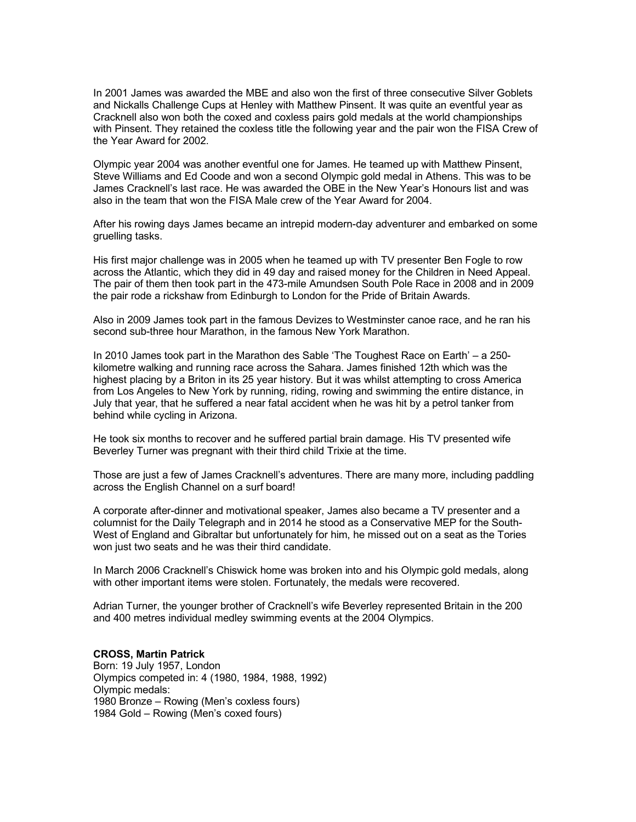In 2001 James was awarded the MBE and also won the first of three consecutive Silver Goblets and Nickalls Challenge Cups at Henley with Matthew Pinsent. It was quite an eventful year as Cracknell also won both the coxed and coxless pairs gold medals at the world championships with Pinsent. They retained the coxless title the following year and the pair won the FISA Crew of the Year Award for 2002.

Olympic year 2004 was another eventful one for James. He teamed up with Matthew Pinsent, Steve Williams and Ed Coode and won a second Olympic gold medal in Athens. This was to be James Cracknell's last race. He was awarded the OBE in the New Year's Honours list and was also in the team that won the FISA Male crew of the Year Award for 2004.

After his rowing days James became an intrepid modern-day adventurer and embarked on some gruelling tasks.

His first major challenge was in 2005 when he teamed up with TV presenter Ben Fogle to row across the Atlantic, which they did in 49 day and raised money for the Children in Need Appeal. The pair of them then took part in the 473-mile Amundsen South Pole Race in 2008 and in 2009 the pair rode a rickshaw from Edinburgh to London for the Pride of Britain Awards.

Also in 2009 James took part in the famous Devizes to Westminster canoe race, and he ran his second sub-three hour Marathon, in the famous New York Marathon.

In 2010 James took part in the Marathon des Sable 'The Toughest Race on Earth' – a 250 kilometre walking and running race across the Sahara. James finished 12th which was the highest placing by a Briton in its 25 year history. But it was whilst attempting to cross America from Los Angeles to New York by running, riding, rowing and swimming the entire distance, in July that year, that he suffered a near fatal accident when he was hit by a petrol tanker from behind while cycling in Arizona.

He took six months to recover and he suffered partial brain damage. His TV presented wife Beverley Turner was pregnant with their third child Trixie at the time.

Those are just a few of James Cracknell's adventures. There are many more, including paddling across the English Channel on a surf board!

A corporate after-dinner and motivational speaker, James also became a TV presenter and a columnist for the Daily Telegraph and in 2014 he stood as a Conservative MEP for the South-West of England and Gibraltar but unfortunately for him, he missed out on a seat as the Tories won just two seats and he was their third candidate.

In March 2006 Cracknell's Chiswick home was broken into and his Olympic gold medals, along with other important items were stolen. Fortunately, the medals were recovered.

Adrian Turner, the younger brother of Cracknell's wife Beverley represented Britain in the 200 and 400 metres individual medley swimming events at the 2004 Olympics.

## **CROSS, Martin Patrick** Born: 19 July 1957, London Olympics competed in: 4 (1980, 1984, 1988, 1992) Olympic medals: 1980 Bronze – Rowing (Men's coxless fours) 1984 Gold – Rowing (Men's coxed fours)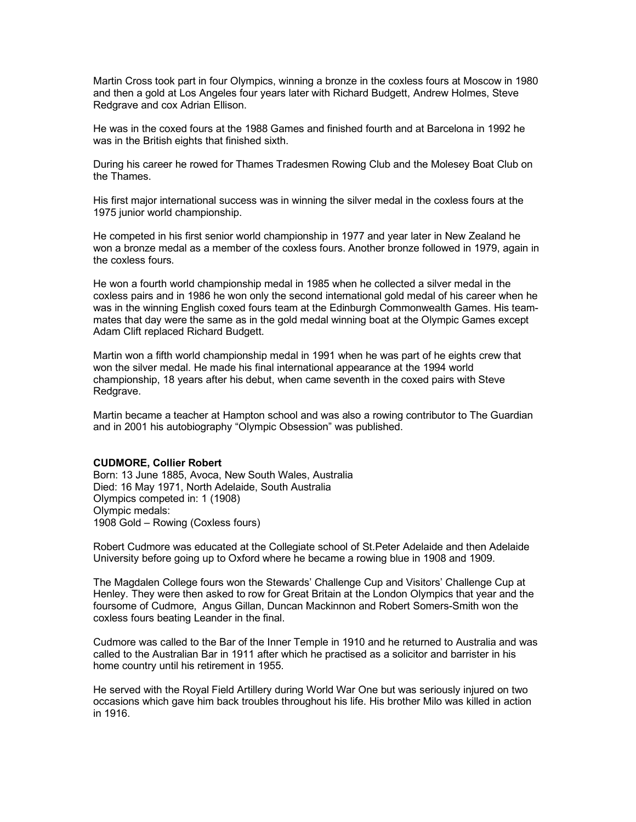Martin Cross took part in four Olympics, winning a bronze in the coxless fours at Moscow in 1980 and then a gold at Los Angeles four years later with Richard Budgett, Andrew Holmes, Steve Redgrave and cox Adrian Ellison.

He was in the coxed fours at the 1988 Games and finished fourth and at Barcelona in 1992 he was in the British eights that finished sixth.

During his career he rowed for Thames Tradesmen Rowing Club and the Molesey Boat Club on the Thames.

His first major international success was in winning the silver medal in the coxless fours at the 1975 junior world championship.

He competed in his first senior world championship in 1977 and year later in New Zealand he won a bronze medal as a member of the coxless fours. Another bronze followed in 1979, again in the coxless fours.

He won a fourth world championship medal in 1985 when he collected a silver medal in the coxless pairs and in 1986 he won only the second international gold medal of his career when he was in the winning English coxed fours team at the Edinburgh Commonwealth Games. His teammates that day were the same as in the gold medal winning boat at the Olympic Games except Adam Clift replaced Richard Budgett.

Martin won a fifth world championship medal in 1991 when he was part of he eights crew that won the silver medal. He made his final international appearance at the 1994 world championship, 18 years after his debut, when came seventh in the coxed pairs with Steve Redgrave.

Martin became a teacher at Hampton school and was also a rowing contributor to The Guardian and in 2001 his autobiography "Olympic Obsession" was published.

#### **CUDMORE, Collier Robert**

Born: 13 June 1885, Avoca, New South Wales, Australia Died: 16 May 1971, North Adelaide, South Australia Olympics competed in: 1 (1908) Olympic medals: 1908 Gold – Rowing (Coxless fours)

Robert Cudmore was educated at the Collegiate school of St.Peter Adelaide and then Adelaide University before going up to Oxford where he became a rowing blue in 1908 and 1909.

The Magdalen College fours won the Stewards' Challenge Cup and Visitors' Challenge Cup at Henley. They were then asked to row for Great Britain at the London Olympics that year and the foursome of Cudmore, Angus Gillan, Duncan Mackinnon and Robert Somers-Smith won the coxless fours beating Leander in the final.

Cudmore was called to the Bar of the Inner Temple in 1910 and he returned to Australia and was called to the Australian Bar in 1911 after which he practised as a solicitor and barrister in his home country until his retirement in 1955.

He served with the Royal Field Artillery during World War One but was seriously injured on two occasions which gave him back troubles throughout his life. His brother Milo was killed in action in 1916.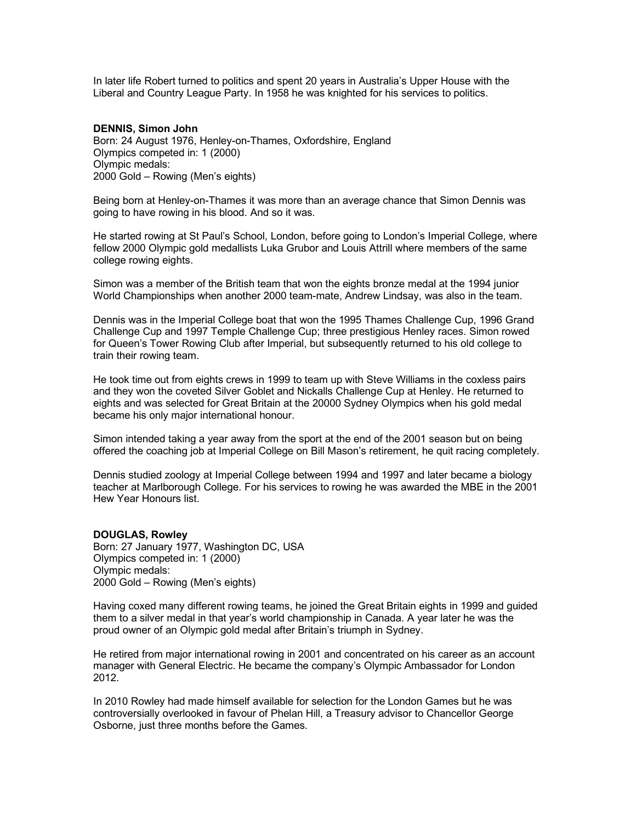In later life Robert turned to politics and spent 20 years in Australia's Upper House with the Liberal and Country League Party. In 1958 he was knighted for his services to politics.

## **DENNIS, Simon John**

Born: 24 August 1976, Henley-on-Thames, Oxfordshire, England Olympics competed in: 1 (2000) Olympic medals: 2000 Gold – Rowing (Men's eights)

Being born at Henley-on-Thames it was more than an average chance that Simon Dennis was going to have rowing in his blood. And so it was.

He started rowing at St Paul's School, London, before going to London's Imperial College, where fellow 2000 Olympic gold medallists Luka Grubor and Louis Attrill where members of the same college rowing eights.

Simon was a member of the British team that won the eights bronze medal at the 1994 junior World Championships when another 2000 team-mate, Andrew Lindsay, was also in the team.

Dennis was in the Imperial College boat that won the 1995 Thames Challenge Cup, 1996 Grand Challenge Cup and 1997 Temple Challenge Cup; three prestigious Henley races. Simon rowed for Queen's Tower Rowing Club after Imperial, but subsequently returned to his old college to train their rowing team.

He took time out from eights crews in 1999 to team up with Steve Williams in the coxless pairs and they won the coveted Silver Goblet and Nickalls Challenge Cup at Henley. He returned to eights and was selected for Great Britain at the 20000 Sydney Olympics when his gold medal became his only major international honour.

Simon intended taking a year away from the sport at the end of the 2001 season but on being offered the coaching job at Imperial College on Bill Mason's retirement, he quit racing completely.

Dennis studied zoology at Imperial College between 1994 and 1997 and later became a biology teacher at Marlborough College. For his services to rowing he was awarded the MBE in the 2001 Hew Year Honours list.

### **DOUGLAS, Rowley**

Born: 27 January 1977, Washington DC, USA Olympics competed in: 1 (2000) Olympic medals: 2000 Gold – Rowing (Men's eights)

Having coxed many different rowing teams, he joined the Great Britain eights in 1999 and guided them to a silver medal in that year's world championship in Canada. A year later he was the proud owner of an Olympic gold medal after Britain's triumph in Sydney.

He retired from major international rowing in 2001 and concentrated on his career as an account manager with General Electric. He became the company's Olympic Ambassador for London 2012.

In 2010 Rowley had made himself available for selection for the London Games but he was controversially overlooked in favour of Phelan Hill, a Treasury advisor to Chancellor George Osborne, just three months before the Games.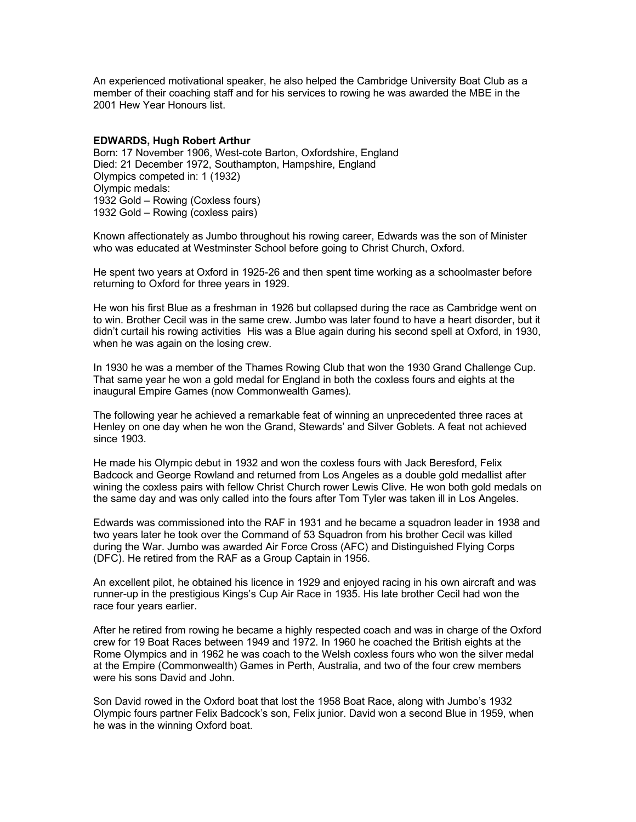An experienced motivational speaker, he also helped the Cambridge University Boat Club as a member of their coaching staff and for his services to rowing he was awarded the MBE in the 2001 Hew Year Honours list.

## **EDWARDS, Hugh Robert Arthur**

Born: 17 November 1906, West-cote Barton, Oxfordshire, England Died: 21 December 1972, Southampton, Hampshire, England Olympics competed in: 1 (1932) Olympic medals: 1932 Gold – Rowing (Coxless fours) 1932 Gold – Rowing (coxless pairs)

Known affectionately as Jumbo throughout his rowing career, Edwards was the son of Minister who was educated at Westminster School before going to Christ Church, Oxford.

He spent two years at Oxford in 1925-26 and then spent time working as a schoolmaster before returning to Oxford for three years in 1929.

He won his first Blue as a freshman in 1926 but collapsed during the race as Cambridge went on to win. Brother Cecil was in the same crew. Jumbo was later found to have a heart disorder, but it didn't curtail his rowing activities His was a Blue again during his second spell at Oxford, in 1930, when he was again on the losing crew.

In 1930 he was a member of the Thames Rowing Club that won the 1930 Grand Challenge Cup. That same year he won a gold medal for England in both the coxless fours and eights at the inaugural Empire Games (now Commonwealth Games).

The following year he achieved a remarkable feat of winning an unprecedented three races at Henley on one day when he won the Grand, Stewards' and Silver Goblets. A feat not achieved since 1903.

He made his Olympic debut in 1932 and won the coxless fours with Jack Beresford, Felix Badcock and George Rowland and returned from Los Angeles as a double gold medallist after wining the coxless pairs with fellow Christ Church rower Lewis Clive. He won both gold medals on the same day and was only called into the fours after Tom Tyler was taken ill in Los Angeles.

Edwards was commissioned into the RAF in 1931 and he became a squadron leader in 1938 and two years later he took over the Command of 53 Squadron from his brother Cecil was killed during the War. Jumbo was awarded Air Force Cross (AFC) and Distinguished Flying Corps (DFC). He retired from the RAF as a Group Captain in 1956.

An excellent pilot, he obtained his licence in 1929 and enjoyed racing in his own aircraft and was runner-up in the prestigious Kings's Cup Air Race in 1935. His late brother Cecil had won the race four years earlier.

After he retired from rowing he became a highly respected coach and was in charge of the Oxford crew for 19 Boat Races between 1949 and 1972. In 1960 he coached the British eights at the Rome Olympics and in 1962 he was coach to the Welsh coxless fours who won the silver medal at the Empire (Commonwealth) Games in Perth, Australia, and two of the four crew members were his sons David and John.

Son David rowed in the Oxford boat that lost the 1958 Boat Race, along with Jumbo's 1932 Olympic fours partner Felix Badcock's son, Felix junior. David won a second Blue in 1959, when he was in the winning Oxford boat.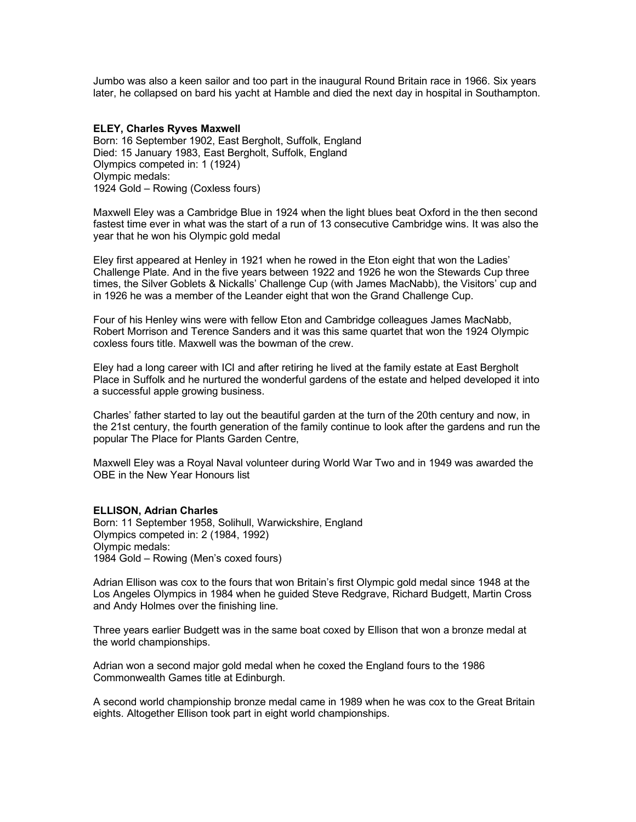Jumbo was also a keen sailor and too part in the inaugural Round Britain race in 1966. Six years later, he collapsed on bard his yacht at Hamble and died the next day in hospital in Southampton.

## **ELEY, Charles Ryves Maxwell**

Born: 16 September 1902, East Bergholt, Suffolk, England Died: 15 January 1983, East Bergholt, Suffolk, England Olympics competed in: 1 (1924) Olympic medals: 1924 Gold – Rowing (Coxless fours)

Maxwell Eley was a Cambridge Blue in 1924 when the light blues beat Oxford in the then second fastest time ever in what was the start of a run of 13 consecutive Cambridge wins. It was also the year that he won his Olympic gold medal

Eley first appeared at Henley in 1921 when he rowed in the Eton eight that won the Ladies' Challenge Plate. And in the five years between 1922 and 1926 he won the Stewards Cup three times, the Silver Goblets & Nickalls' Challenge Cup (with James MacNabb), the Visitors' cup and in 1926 he was a member of the Leander eight that won the Grand Challenge Cup.

Four of his Henley wins were with fellow Eton and Cambridge colleagues James MacNabb, Robert Morrison and Terence Sanders and it was this same quartet that won the 1924 Olympic coxless fours title. Maxwell was the bowman of the crew.

Eley had a long career with ICI and after retiring he lived at the family estate at East Bergholt Place in Suffolk and he nurtured the wonderful gardens of the estate and helped developed it into a successful apple growing business.

Charles' father started to lay out the beautiful garden at the turn of the 20th century and now, in the 21st century, the fourth generation of the family continue to look after the gardens and run the popular The Place for Plants Garden Centre,

Maxwell Eley was a Royal Naval volunteer during World War Two and in 1949 was awarded the OBE in the New Year Honours list

### **ELLISON, Adrian Charles**

Born: 11 September 1958, Solihull, Warwickshire, England Olympics competed in: 2 (1984, 1992) Olympic medals: 1984 Gold – Rowing (Men's coxed fours)

Adrian Ellison was cox to the fours that won Britain's first Olympic gold medal since 1948 at the Los Angeles Olympics in 1984 when he guided Steve Redgrave, Richard Budgett, Martin Cross and Andy Holmes over the finishing line.

Three years earlier Budgett was in the same boat coxed by Ellison that won a bronze medal at the world championships.

Adrian won a second major gold medal when he coxed the England fours to the 1986 Commonwealth Games title at Edinburgh.

A second world championship bronze medal came in 1989 when he was cox to the Great Britain eights. Altogether Ellison took part in eight world championships.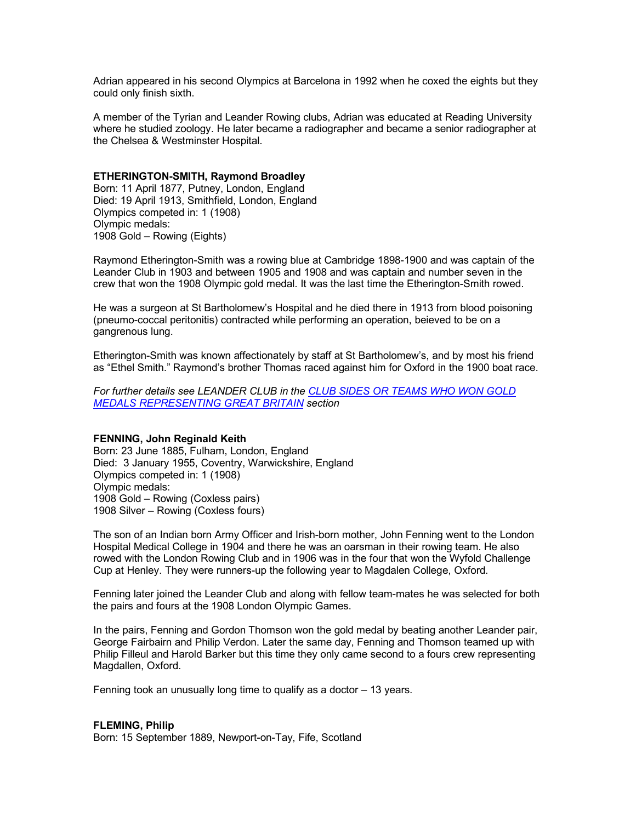Adrian appeared in his second Olympics at Barcelona in 1992 when he coxed the eights but they could only finish sixth.

A member of the Tyrian and Leander Rowing clubs, Adrian was educated at Reading University where he studied zoology. He later became a radiographer and became a senior radiographer at the Chelsea & Westminster Hospital.

## **ETHERINGTON-SMITH, Raymond Broadley**

Born: 11 April 1877, Putney, London, England Died: 19 April 1913, Smithfield, London, England Olympics competed in: 1 (1908) Olympic medals: 1908 Gold – Rowing (Eights)

Raymond Etherington-Smith was a rowing blue at Cambridge 1898-1900 and was captain of the Leander Club in 1903 and between 1905 and 1908 and was captain and number seven in the crew that won the 1908 Olympic gold medal. It was the last time the Etherington-Smith rowed.

He was a surgeon at St Bartholomew's Hospital and he died there in 1913 from blood poisoning (pneumo-coccal peritonitis) contracted while performing an operation, beieved to be on a gangrenous lung.

Etherington-Smith was known affectionately by staff at St Bartholomew's, and by most his friend as "Ethel Smith." Raymond's brother Thomas raced against him for Oxford in the 1900 boat race.

*For further details see LEANDER CLUB in the CLUB SIDES OR TEAMS WHO WON GOLD MEDALS REPRESENTING GREAT BRITAIN section*

## **FENNING, John Reginald Keith**

Born: 23 June 1885, Fulham, London, England Died: 3 January 1955, Coventry, Warwickshire, England Olympics competed in: 1 (1908) Olympic medals: 1908 Gold – Rowing (Coxless pairs) 1908 Silver – Rowing (Coxless fours)

The son of an Indian born Army Officer and Irish-born mother, John Fenning went to the London Hospital Medical College in 1904 and there he was an oarsman in their rowing team. He also rowed with the London Rowing Club and in 1906 was in the four that won the Wyfold Challenge Cup at Henley. They were runners-up the following year to Magdalen College, Oxford.

Fenning later joined the Leander Club and along with fellow team-mates he was selected for both the pairs and fours at the 1908 London Olympic Games.

In the pairs, Fenning and Gordon Thomson won the gold medal by beating another Leander pair, George Fairbairn and Philip Verdon. Later the same day, Fenning and Thomson teamed up with Philip Filleul and Harold Barker but this time they only came second to a fours crew representing Magdallen, Oxford.

Fenning took an unusually long time to qualify as a doctor – 13 years.

#### **FLEMING, Philip**

Born: 15 September 1889, Newport-on-Tay, Fife, Scotland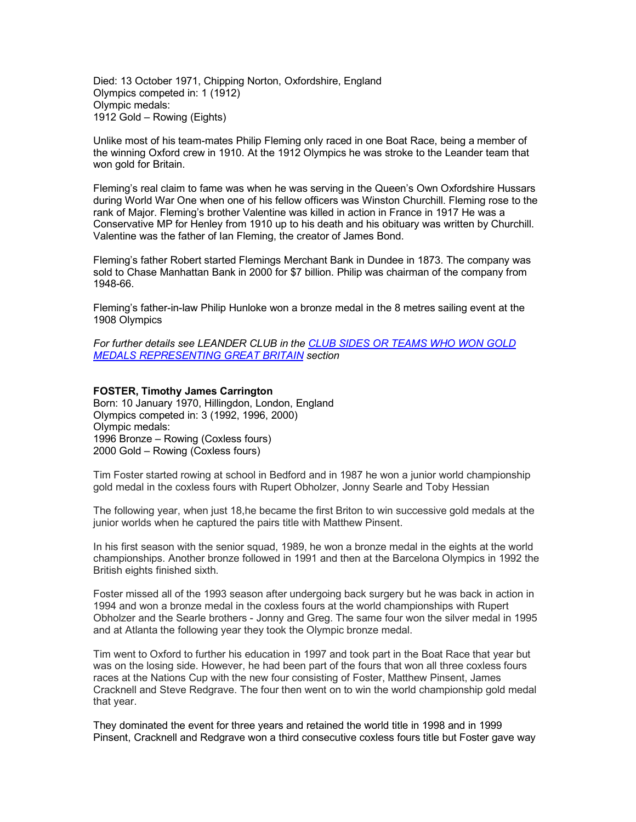Died: 13 October 1971, Chipping Norton, Oxfordshire, England Olympics competed in: 1 (1912) Olympic medals: 1912 Gold – Rowing (Eights)

Unlike most of his team-mates Philip Fleming only raced in one Boat Race, being a member of the winning Oxford crew in 1910. At the 1912 Olympics he was stroke to the Leander team that won gold for Britain.

Fleming's real claim to fame was when he was serving in the Queen's Own Oxfordshire Hussars during World War One when one of his fellow officers was Winston Churchill. Fleming rose to the rank of Major. Fleming's brother Valentine was killed in action in France in 1917 He was a Conservative MP for Henley from 1910 up to his death and his obituary was written by Churchill. Valentine was the father of Ian Fleming, the creator of James Bond.

Fleming's father Robert started Flemings Merchant Bank in Dundee in 1873. The company was sold to Chase Manhattan Bank in 2000 for \$7 billion. Philip was chairman of the company from 1948-66.

Fleming's father-in-law Philip Hunloke won a bronze medal in the 8 metres sailing event at the 1908 Olympics

*For further details see LEANDER CLUB in the CLUB SIDES OR TEAMS WHO WON GOLD MEDALS REPRESENTING GREAT BRITAIN section*

### **FOSTER, Timothy James Carrington**

Born: 10 January 1970, Hillingdon, London, England Olympics competed in: 3 (1992, 1996, 2000) Olympic medals: 1996 Bronze – Rowing (Coxless fours) 2000 Gold – Rowing (Coxless fours)

Tim Foster started rowing at school in Bedford and in 1987 he won a junior world championship gold medal in the coxless fours with Rupert Obholzer, Jonny Searle and Toby Hessian

The following year, when just 18,he became the first Briton to win successive gold medals at the junior worlds when he captured the pairs title with Matthew Pinsent.

In his first season with the senior squad, 1989, he won a bronze medal in the eights at the world championships. Another bronze followed in 1991 and then at the Barcelona Olympics in 1992 the British eights finished sixth.

Foster missed all of the 1993 season after undergoing back surgery but he was back in action in 1994 and won a bronze medal in the coxless fours at the world championships with Rupert Obholzer and the Searle brothers - Jonny and Greg. The same four won the silver medal in 1995 and at Atlanta the following year they took the Olympic bronze medal.

Tim went to Oxford to further his education in 1997 and took part in the Boat Race that year but was on the losing side. However, he had been part of the fours that won all three coxless fours races at the Nations Cup with the new four consisting of Foster, Matthew Pinsent, James Cracknell and Steve Redgrave. The four then went on to win the world championship gold medal that year.

They dominated the event for three years and retained the world title in 1998 and in 1999 Pinsent, Cracknell and Redgrave won a third consecutive coxless fours title but Foster gave way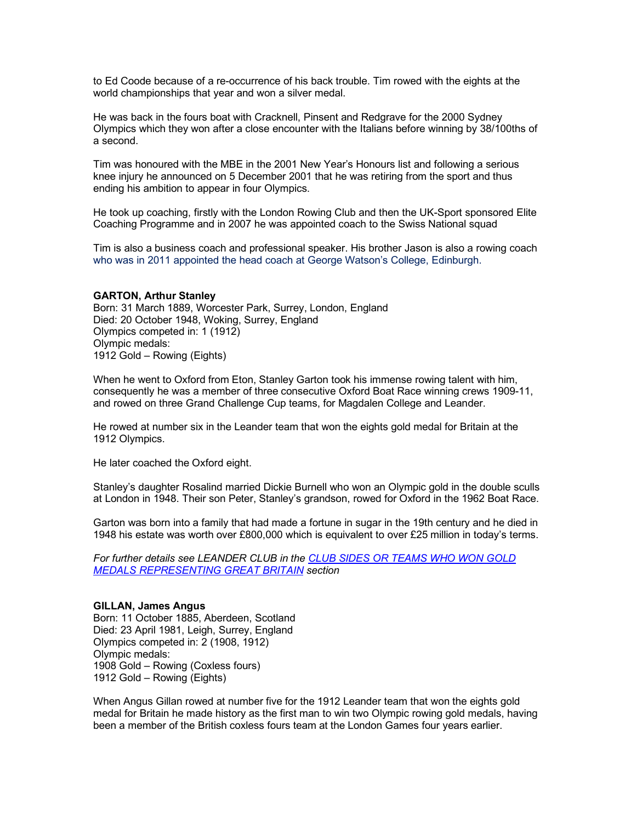to Ed Coode because of a re-occurrence of his back trouble. Tim rowed with the eights at the world championships that year and won a silver medal.

He was back in the fours boat with Cracknell, Pinsent and Redgrave for the 2000 Sydney Olympics which they won after a close encounter with the Italians before winning by 38/100ths of a second.

Tim was honoured with the MBE in the 2001 New Year's Honours list and following a serious knee injury he announced on 5 December 2001 that he was retiring from the sport and thus ending his ambition to appear in four Olympics.

He took up coaching, firstly with the London Rowing Club and then the UK-Sport sponsored Elite Coaching Programme and in 2007 he was appointed coach to the Swiss National squad

Tim is also a business coach and professional speaker. His brother Jason is also a rowing coach who was in 2011 appointed the head coach at George Watson's College, Edinburgh.

#### **GARTON, Arthur Stanley**

Born: 31 March 1889, Worcester Park, Surrey, London, England Died: 20 October 1948, Woking, Surrey, England Olympics competed in: 1 (1912) Olympic medals: 1912 Gold – Rowing (Eights)

When he went to Oxford from Eton, Stanley Garton took his immense rowing talent with him, consequently he was a member of three consecutive Oxford Boat Race winning crews 1909-11, and rowed on three Grand Challenge Cup teams, for Magdalen College and Leander.

He rowed at number six in the Leander team that won the eights gold medal for Britain at the 1912 Olympics.

He later coached the Oxford eight.

Stanley's daughter Rosalind married Dickie Burnell who won an Olympic gold in the double sculls at London in 1948. Their son Peter, Stanley's grandson, rowed for Oxford in the 1962 Boat Race.

Garton was born into a family that had made a fortune in sugar in the 19th century and he died in 1948 his estate was worth over £800,000 which is equivalent to over £25 million in today's terms.

*For further details see LEANDER CLUB in the CLUB SIDES OR TEAMS WHO WON GOLD MEDALS REPRESENTING GREAT BRITAIN section*

## **GILLAN, James Angus**

Born: 11 October 1885, Aberdeen, Scotland Died: 23 April 1981, Leigh, Surrey, England Olympics competed in: 2 (1908, 1912) Olympic medals: 1908 Gold – Rowing (Coxless fours) 1912 Gold – Rowing (Eights)

When Angus Gillan rowed at number five for the 1912 Leander team that won the eights gold medal for Britain he made history as the first man to win two Olympic rowing gold medals, having been a member of the British coxless fours team at the London Games four years earlier.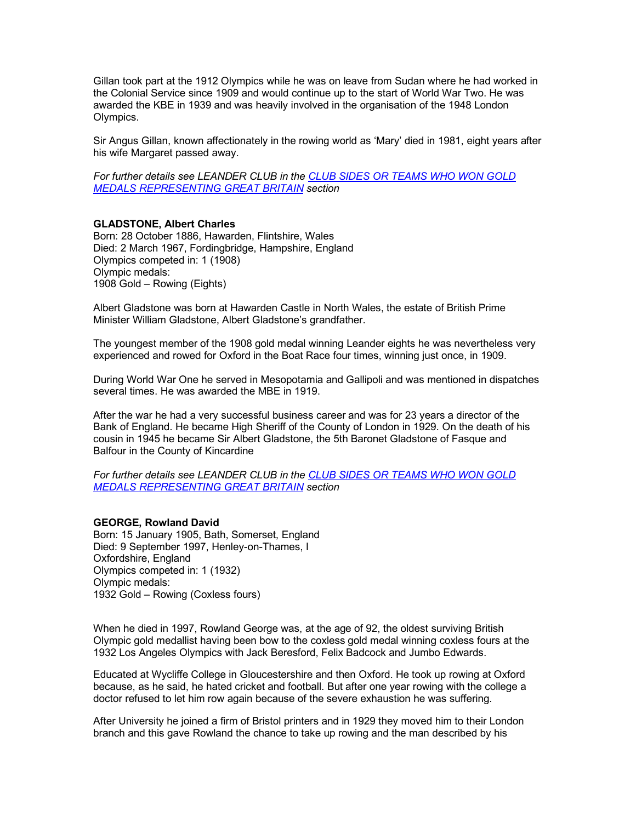Gillan took part at the 1912 Olympics while he was on leave from Sudan where he had worked in the Colonial Service since 1909 and would continue up to the start of World War Two. He was awarded the KBE in 1939 and was heavily involved in the organisation of the 1948 London Olympics.

Sir Angus Gillan, known affectionately in the rowing world as 'Mary' died in 1981, eight years after his wife Margaret passed away.

*For further details see LEANDER CLUB in the CLUB SIDES OR TEAMS WHO WON GOLD MEDALS REPRESENTING GREAT BRITAIN section*

## **GLADSTONE, Albert Charles**

Born: 28 October 1886, Hawarden, Flintshire, Wales Died: 2 March 1967, Fordingbridge, Hampshire, England Olympics competed in: 1 (1908) Olympic medals: 1908 Gold – Rowing (Eights)

Albert Gladstone was born at Hawarden Castle in North Wales, the estate of British Prime Minister William Gladstone, Albert Gladstone's grandfather.

The youngest member of the 1908 gold medal winning Leander eights he was nevertheless very experienced and rowed for Oxford in the Boat Race four times, winning just once, in 1909.

During World War One he served in Mesopotamia and Gallipoli and was mentioned in dispatches several times. He was awarded the MBE in 1919.

After the war he had a very successful business career and was for 23 years a director of the Bank of England. He became High Sheriff of the County of London in 1929. On the death of his cousin in 1945 he became Sir Albert Gladstone, the 5th Baronet Gladstone of Fasque and Balfour in the County of Kincardine

*For further details see LEANDER CLUB in the CLUB SIDES OR TEAMS WHO WON GOLD MEDALS REPRESENTING GREAT BRITAIN section*

### **GEORGE, Rowland David**

Born: 15 January 1905, Bath, Somerset, England Died: 9 September 1997, Henley-on-Thames, I Oxfordshire, England Olympics competed in: 1 (1932) Olympic medals: 1932 Gold – Rowing (Coxless fours)

When he died in 1997, Rowland George was, at the age of 92, the oldest surviving British Olympic gold medallist having been bow to the coxless gold medal winning coxless fours at the 1932 Los Angeles Olympics with Jack Beresford, Felix Badcock and Jumbo Edwards.

Educated at Wycliffe College in Gloucestershire and then Oxford. He took up rowing at Oxford because, as he said, he hated cricket and football. But after one year rowing with the college a doctor refused to let him row again because of the severe exhaustion he was suffering.

After University he joined a firm of Bristol printers and in 1929 they moved him to their London branch and this gave Rowland the chance to take up rowing and the man described by his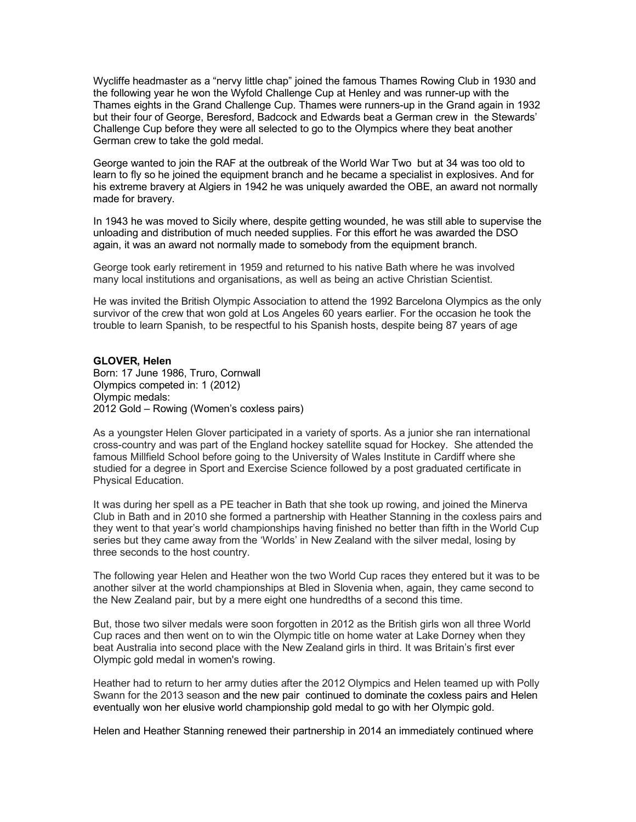Wycliffe headmaster as a "nervy little chap" joined the famous Thames Rowing Club in 1930 and the following year he won the Wyfold Challenge Cup at Henley and was runner-up with the Thames eights in the Grand Challenge Cup. Thames were runners-up in the Grand again in 1932 but their four of George, Beresford, Badcock and Edwards beat a German crew in the Stewards' Challenge Cup before they were all selected to go to the Olympics where they beat another German crew to take the gold medal.

George wanted to join the RAF at the outbreak of the World War Two but at 34 was too old to learn to fly so he joined the equipment branch and he became a specialist in explosives. And for his extreme bravery at Algiers in 1942 he was uniquely awarded the OBE, an award not normally made for bravery.

In 1943 he was moved to Sicily where, despite getting wounded, he was still able to supervise the unloading and distribution of much needed supplies. For this effort he was awarded the DSO again, it was an award not normally made to somebody from the equipment branch.

George took early retirement in 1959 and returned to his native Bath where he was involved many local institutions and organisations, as well as being an active Christian Scientist.

He was invited the British Olympic Association to attend the 1992 Barcelona Olympics as the only survivor of the crew that won gold at Los Angeles 60 years earlier. For the occasion he took the trouble to learn Spanish, to be respectful to his Spanish hosts, despite being 87 years of age

## **GLOVER, Helen**

Born: 17 June 1986, Truro, Cornwall Olympics competed in: 1 (2012) Olympic medals: 2012 Gold – Rowing (Women's coxless pairs)

As a youngster Helen Glover participated in a variety of sports. As a junior she ran international cross-country and was part of the England hockey satellite squad for Hockey. She attended the famous Millfield School before going to the University of Wales Institute in Cardiff where she studied for a degree in Sport and Exercise Science followed by a post graduated certificate in Physical Education.

It was during her spell as a PE teacher in Bath that she took up rowing, and joined the Minerva Club in Bath and in 2010 she formed a partnership with Heather Stanning in the coxless pairs and they went to that year's world championships having finished no better than fifth in the World Cup series but they came away from the 'Worlds' in New Zealand with the silver medal, losing by three seconds to the host country.

The following year Helen and Heather won the two World Cup races they entered but it was to be another silver at the world championships at Bled in Slovenia when, again, they came second to the New Zealand pair, but by a mere eight one hundredths of a second this time.

But, those two silver medals were soon forgotten in 2012 as the British girls won all three World Cup races and then went on to win the Olympic title on home water at Lake Dorney when they beat Australia into second place with the New Zealand girls in third. It was Britain's first ever Olympic gold medal in women's rowing.

Heather had to return to her army duties after the 2012 Olympics and Helen teamed up with Polly Swann for the 2013 season and the new pair continued to dominate the coxless pairs and Helen eventually won her elusive world championship gold medal to go with her Olympic gold.

Helen and Heather Stanning renewed their partnership in 2014 an immediately continued where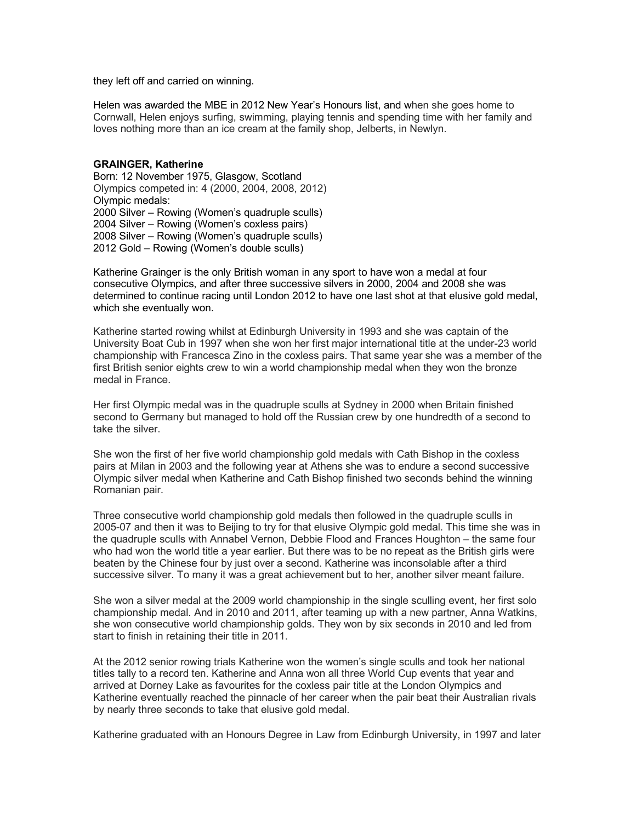they left off and carried on winning.

Helen was awarded the MBE in 2012 New Year's Honours list, and when she goes home to Cornwall, Helen enjoys surfing, swimming, playing tennis and spending time with her family and loves nothing more than an ice cream at the family shop, Jelberts, in Newlyn.

#### **GRAINGER, Katherine**

Born: 12 November 1975, Glasgow, Scotland Olympics competed in: 4 (2000, 2004, 2008, 2012) Olympic medals: 2000 Silver – Rowing (Women's quadruple sculls) 2004 Silver – Rowing (Women's coxless pairs) 2008 Silver – Rowing (Women's quadruple sculls) 2012 Gold – Rowing (Women's double sculls)

Katherine Grainger is the only British woman in any sport to have won a medal at four consecutive Olympics, and after three successive silvers in 2000, 2004 and 2008 she was determined to continue racing until London 2012 to have one last shot at that elusive gold medal, which she eventually won.

Katherine started rowing whilst at Edinburgh University in 1993 and she was captain of the University Boat Cub in 1997 when she won her first major international title at the under-23 world championship with Francesca Zino in the coxless pairs. That same year she was a member of the first British senior eights crew to win a world championship medal when they won the bronze medal in France.

Her first Olympic medal was in the quadruple sculls at Sydney in 2000 when Britain finished second to Germany but managed to hold off the Russian crew by one hundredth of a second to take the silver.

She won the first of her five world championship gold medals with Cath Bishop in the coxless pairs at Milan in 2003 and the following year at Athens she was to endure a second successive Olympic silver medal when Katherine and Cath Bishop finished two seconds behind the winning Romanian pair.

Three consecutive world championship gold medals then followed in the quadruple sculls in 2005-07 and then it was to Beijing to try for that elusive Olympic gold medal. This time she was in the quadruple sculls with Annabel Vernon, Debbie Flood and Frances Houghton – the same four who had won the world title a year earlier. But there was to be no repeat as the British girls were beaten by the Chinese four by just over a second. Katherine was inconsolable after a third successive silver. To many it was a great achievement but to her, another silver meant failure.

She won a silver medal at the 2009 world championship in the single sculling event, her first solo championship medal. And in 2010 and 2011, after teaming up with a new partner, Anna Watkins, she won consecutive world championship golds. They won by six seconds in 2010 and led from start to finish in retaining their title in 2011.

At the 2012 senior rowing trials Katherine won the women's single sculls and took her national titles tally to a record ten. Katherine and Anna won all three World Cup events that year and arrived at Dorney Lake as favourites for the coxless pair title at the London Olympics and Katherine eventually reached the pinnacle of her career when the pair beat their Australian rivals by nearly three seconds to take that elusive gold medal.

Katherine graduated with an Honours Degree in Law from Edinburgh University, in 1997 and later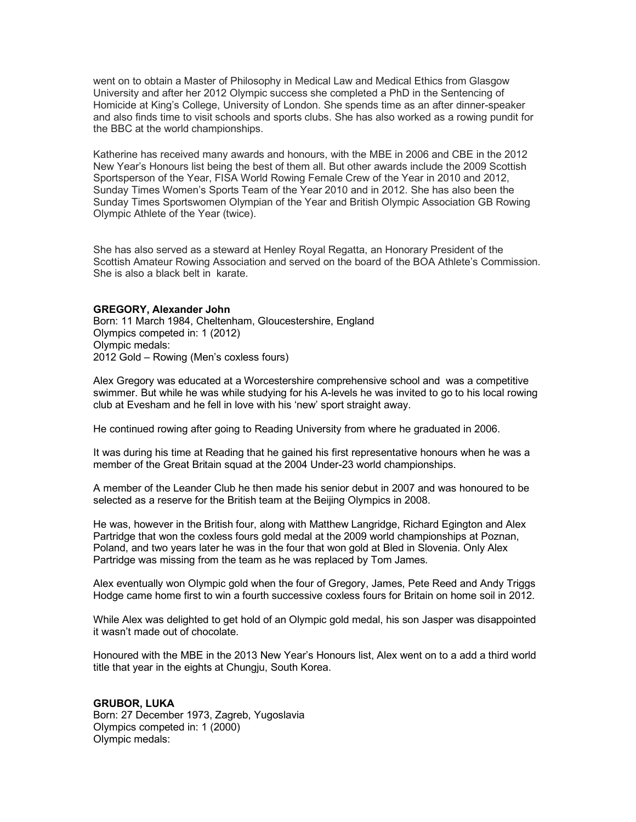went on to obtain a Master of Philosophy in Medical Law and Medical Ethics from Glasgow University and after her 2012 Olympic success she completed a PhD in the Sentencing of Homicide at King's College, University of London. She spends time as an after dinner-speaker and also finds time to visit schools and sports clubs. She has also worked as a rowing pundit for the BBC at the world championships.

Katherine has received many awards and honours, with the MBE in 2006 and CBE in the 2012 New Year's Honours list being the best of them all. But other awards include the 2009 Scottish Sportsperson of the Year, FISA World Rowing Female Crew of the Year in 2010 and 2012, Sunday Times Women's Sports Team of the Year 2010 and in 2012. She has also been the Sunday Times Sportswomen Olympian of the Year and British Olympic Association GB Rowing Olympic Athlete of the Year (twice).

She has also served as a steward at Henley Royal Regatta, an Honorary President of the Scottish Amateur Rowing Association and served on the board of the BOA Athlete's Commission. She is also a black belt in karate.

### **GREGORY, Alexander John**

Born: 11 March 1984, Cheltenham, Gloucestershire, England Olympics competed in: 1 (2012) Olympic medals: 2012 Gold – Rowing (Men's coxless fours)

Alex Gregory was educated at a Worcestershire comprehensive school and was a competitive swimmer. But while he was while studying for his A-levels he was invited to go to his local rowing club at Evesham and he fell in love with his 'new' sport straight away.

He continued rowing after going to Reading University from where he graduated in 2006.

It was during his time at Reading that he gained his first representative honours when he was a member of the Great Britain squad at the 2004 Under-23 world championships.

A member of the Leander Club he then made his senior debut in 2007 and was honoured to be selected as a reserve for the British team at the Beijing Olympics in 2008.

He was, however in the British four, along with Matthew Langridge, Richard Egington and Alex Partridge that won the coxless fours gold medal at the 2009 world championships at Poznan, Poland, and two years later he was in the four that won gold at Bled in Slovenia. Only Alex Partridge was missing from the team as he was replaced by Tom James.

Alex eventually won Olympic gold when the four of Gregory, James, Pete Reed and Andy Triggs Hodge came home first to win a fourth successive coxless fours for Britain on home soil in 2012.

While Alex was delighted to get hold of an Olympic gold medal, his son Jasper was disappointed it wasn't made out of chocolate.

Honoured with the MBE in the 2013 New Year's Honours list, Alex went on to a add a third world title that year in the eights at Chungju, South Korea.

### **GRUBOR, LUKA**

Born: 27 December 1973, Zagreb, Yugoslavia Olympics competed in: 1 (2000) Olympic medals: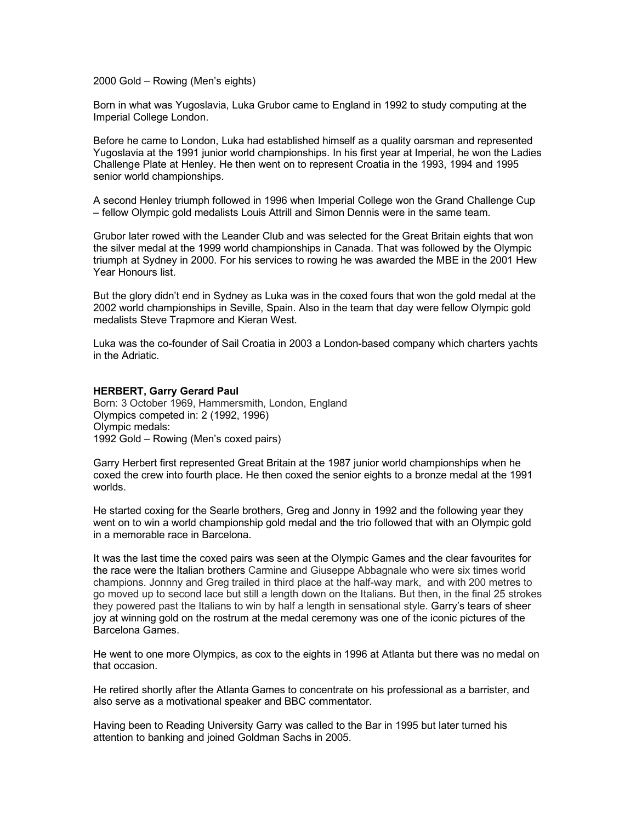2000 Gold – Rowing (Men's eights)

Born in what was Yugoslavia, Luka Grubor came to England in 1992 to study computing at the Imperial College London.

Before he came to London, Luka had established himself as a quality oarsman and represented Yugoslavia at the 1991 junior world championships. In his first year at Imperial, he won the Ladies Challenge Plate at Henley. He then went on to represent Croatia in the 1993, 1994 and 1995 senior world championships.

A second Henley triumph followed in 1996 when Imperial College won the Grand Challenge Cup – fellow Olympic gold medalists Louis Attrill and Simon Dennis were in the same team.

Grubor later rowed with the Leander Club and was selected for the Great Britain eights that won the silver medal at the 1999 world championships in Canada. That was followed by the Olympic triumph at Sydney in 2000. For his services to rowing he was awarded the MBE in the 2001 Hew Year Honours list.

But the glory didn't end in Sydney as Luka was in the coxed fours that won the gold medal at the 2002 world championships in Seville, Spain. Also in the team that day were fellow Olympic gold medalists Steve Trapmore and Kieran West.

Luka was the co-founder of Sail Croatia in 2003 a London-based company which charters yachts in the Adriatic.

#### **HERBERT, Garry Gerard Paul**

Born: 3 October 1969, Hammersmith, London, England Olympics competed in: 2 (1992, 1996) Olympic medals: 1992 Gold – Rowing (Men's coxed pairs)

Garry Herbert first represented Great Britain at the 1987 junior world championships when he coxed the crew into fourth place. He then coxed the senior eights to a bronze medal at the 1991 worlds.

He started coxing for the Searle brothers, Greg and Jonny in 1992 and the following year they went on to win a world championship gold medal and the trio followed that with an Olympic gold in a memorable race in Barcelona.

It was the last time the coxed pairs was seen at the Olympic Games and the clear favourites for the race were the Italian brothers Carmine and Giuseppe Abbagnale who were six times world champions. Jonnny and Greg trailed in third place at the half-way mark, and with 200 metres to go moved up to second lace but still a length down on the Italians. But then, in the final 25 strokes they powered past the Italians to win by half a length in sensational style. Garry's tears of sheer joy at winning gold on the rostrum at the medal ceremony was one of the iconic pictures of the Barcelona Games.

He went to one more Olympics, as cox to the eights in 1996 at Atlanta but there was no medal on that occasion.

He retired shortly after the Atlanta Games to concentrate on his professional as a barrister, and also serve as a motivational speaker and BBC commentator.

Having been to Reading University Garry was called to the Bar in 1995 but later turned his attention to banking and joined Goldman Sachs in 2005.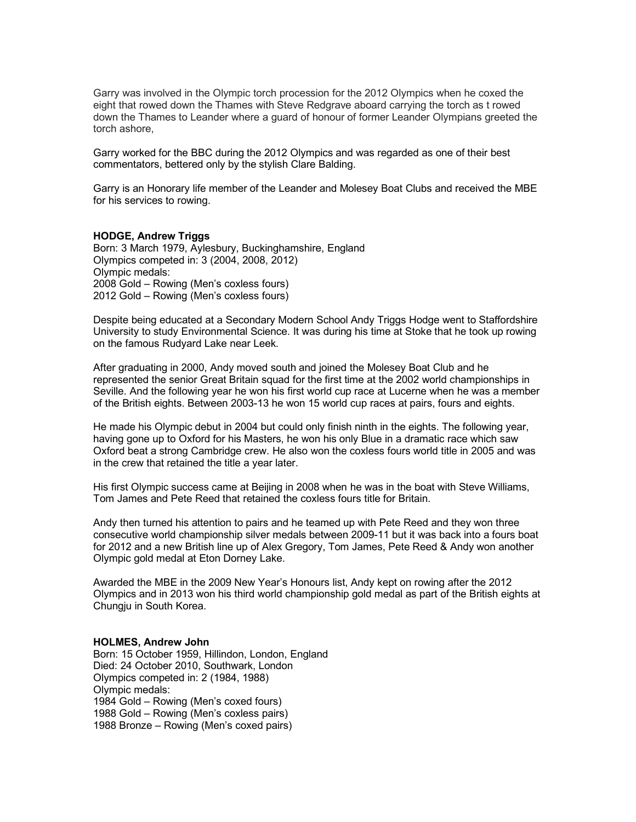Garry was involved in the Olympic torch procession for the 2012 Olympics when he coxed the eight that rowed down the Thames with Steve Redgrave aboard carrying the torch as t rowed down the Thames to Leander where a guard of honour of former Leander Olympians greeted the torch ashore,

Garry worked for the BBC during the 2012 Olympics and was regarded as one of their best commentators, bettered only by the stylish Clare Balding.

Garry is an Honorary life member of the Leander and Molesey Boat Clubs and received the MBE for his services to rowing.

## **HODGE, Andrew Triggs**

Born: 3 March 1979, Aylesbury, Buckinghamshire, England Olympics competed in: 3 (2004, 2008, 2012) Olympic medals: 2008 Gold – Rowing (Men's coxless fours) 2012 Gold – Rowing (Men's coxless fours)

Despite being educated at a Secondary Modern School Andy Triggs Hodge went to Staffordshire University to study Environmental Science. It was during his time at Stoke that he took up rowing on the famous Rudyard Lake near Leek.

After graduating in 2000, Andy moved south and joined the Molesey Boat Club and he represented the senior Great Britain squad for the first time at the 2002 world championships in Seville. And the following year he won his first world cup race at Lucerne when he was a member of the British eights. Between 2003-13 he won 15 world cup races at pairs, fours and eights.

He made his Olympic debut in 2004 but could only finish ninth in the eights. The following year, having gone up to Oxford for his Masters, he won his only Blue in a dramatic race which saw Oxford beat a strong Cambridge crew. He also won the coxless fours world title in 2005 and was in the crew that retained the title a year later.

His first Olympic success came at Beijing in 2008 when he was in the boat with Steve Williams, Tom James and Pete Reed that retained the coxless fours title for Britain.

Andy then turned his attention to pairs and he teamed up with Pete Reed and they won three consecutive world championship silver medals between 2009-11 but it was back into a fours boat for 2012 and a new British line up of Alex Gregory, Tom James, Pete Reed & Andy won another Olympic gold medal at Eton Dorney Lake.

Awarded the MBE in the 2009 New Year's Honours list, Andy kept on rowing after the 2012 Olympics and in 2013 won his third world championship gold medal as part of the British eights at Chungju in South Korea.

## **HOLMES, Andrew John**

Born: 15 October 1959, Hillindon, London, England Died: 24 October 2010, Southwark, London Olympics competed in: 2 (1984, 1988) Olympic medals: 1984 Gold – Rowing (Men's coxed fours) 1988 Gold – Rowing (Men's coxless pairs) 1988 Bronze – Rowing (Men's coxed pairs)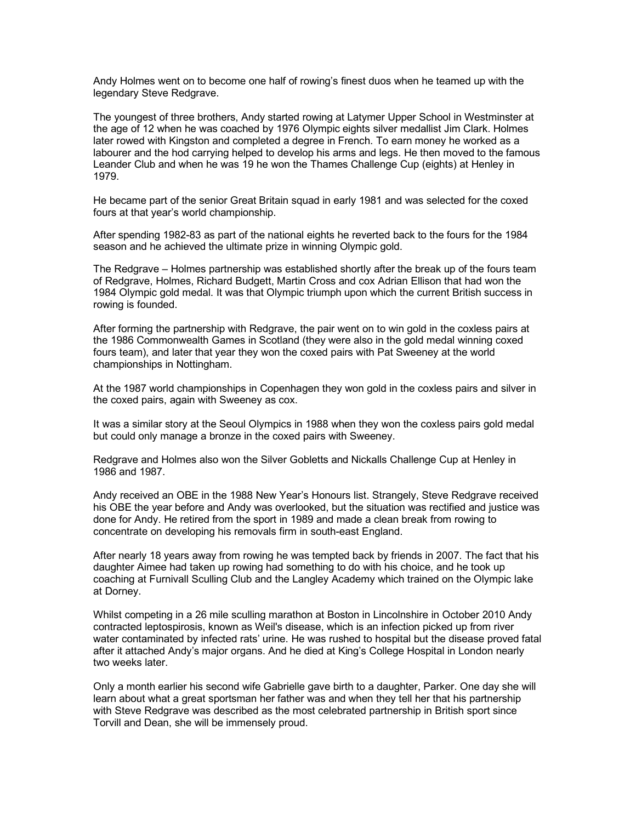Andy Holmes went on to become one half of rowing's finest duos when he teamed up with the legendary Steve Redgrave.

The youngest of three brothers, Andy started rowing at Latymer Upper School in Westminster at the age of 12 when he was coached by 1976 Olympic eights silver medallist Jim Clark. Holmes later rowed with Kingston and completed a degree in French. To earn money he worked as a labourer and the hod carrying helped to develop his arms and legs. He then moved to the famous Leander Club and when he was 19 he won the Thames Challenge Cup (eights) at Henley in 1979.

He became part of the senior Great Britain squad in early 1981 and was selected for the coxed fours at that year's world championship.

After spending 1982-83 as part of the national eights he reverted back to the fours for the 1984 season and he achieved the ultimate prize in winning Olympic gold.

The Redgrave – Holmes partnership was established shortly after the break up of the fours team of Redgrave, Holmes, Richard Budgett, Martin Cross and cox Adrian Ellison that had won the 1984 Olympic gold medal. It was that Olympic triumph upon which the current British success in rowing is founded.

After forming the partnership with Redgrave, the pair went on to win gold in the coxless pairs at the 1986 Commonwealth Games in Scotland (they were also in the gold medal winning coxed fours team), and later that year they won the coxed pairs with Pat Sweeney at the world championships in Nottingham.

At the 1987 world championships in Copenhagen they won gold in the coxless pairs and silver in the coxed pairs, again with Sweeney as cox.

It was a similar story at the Seoul Olympics in 1988 when they won the coxless pairs gold medal but could only manage a bronze in the coxed pairs with Sweeney.

Redgrave and Holmes also won the Silver Gobletts and Nickalls Challenge Cup at Henley in 1986 and 1987.

Andy received an OBE in the 1988 New Year's Honours list. Strangely, Steve Redgrave received his OBE the year before and Andy was overlooked, but the situation was rectified and justice was done for Andy. He retired from the sport in 1989 and made a clean break from rowing to concentrate on developing his removals firm in south-east England.

After nearly 18 years away from rowing he was tempted back by friends in 2007. The fact that his daughter Aimee had taken up rowing had something to do with his choice, and he took up coaching at Furnivall Sculling Club and the Langley Academy which trained on the Olympic lake at Dorney.

Whilst competing in a 26 mile sculling marathon at Boston in Lincolnshire in October 2010 Andy contracted leptospirosis, known as Weil's disease, which is an infection picked up from river water contaminated by infected rats' urine. He was rushed to hospital but the disease proved fatal after it attached Andy's major organs. And he died at King's College Hospital in London nearly two weeks later.

Only a month earlier his second wife Gabrielle gave birth to a daughter, Parker. One day she will learn about what a great sportsman her father was and when they tell her that his partnership with Steve Redgrave was described as the most celebrated partnership in British sport since Torvill and Dean, she will be immensely proud.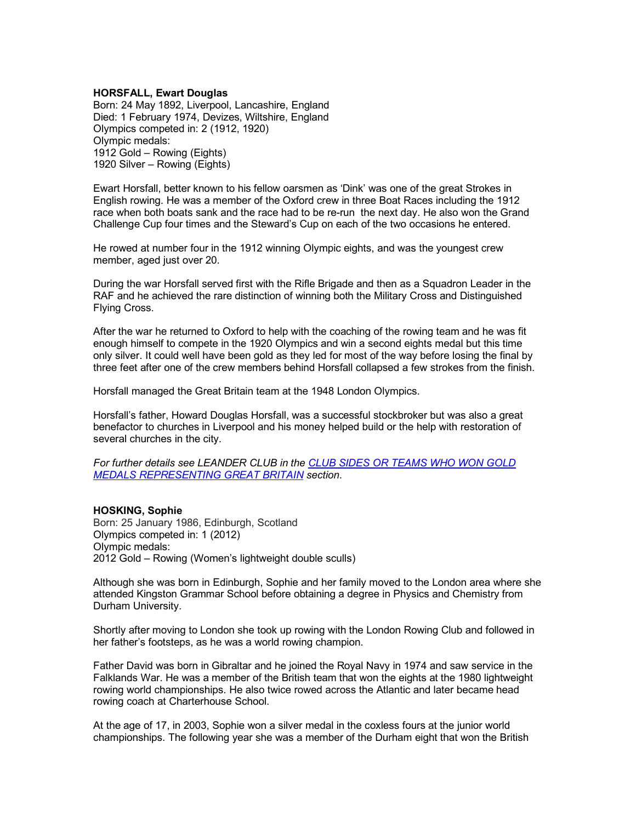## **HORSFALL, Ewart Douglas**

Born: 24 May 1892, Liverpool, Lancashire, England Died: 1 February 1974, Devizes, Wiltshire, England Olympics competed in: 2 (1912, 1920) Olympic medals: 1912 Gold – Rowing (Eights) 1920 Silver – Rowing (Eights)

Ewart Horsfall, better known to his fellow oarsmen as 'Dink' was one of the great Strokes in English rowing. He was a member of the Oxford crew in three Boat Races including the 1912 race when both boats sank and the race had to be re-run the next day. He also won the Grand Challenge Cup four times and the Steward's Cup on each of the two occasions he entered.

He rowed at number four in the 1912 winning Olympic eights, and was the youngest crew member, aged just over 20.

During the war Horsfall served first with the Rifle Brigade and then as a Squadron Leader in the RAF and he achieved the rare distinction of winning both the Military Cross and Distinguished Flying Cross.

After the war he returned to Oxford to help with the coaching of the rowing team and he was fit enough himself to compete in the 1920 Olympics and win a second eights medal but this time only silver. It could well have been gold as they led for most of the way before losing the final by three feet after one of the crew members behind Horsfall collapsed a few strokes from the finish.

Horsfall managed the Great Britain team at the 1948 London Olympics.

Horsfall's father, Howard Douglas Horsfall, was a successful stockbroker but was also a great benefactor to churches in Liverpool and his money helped build or the help with restoration of several churches in the city.

*For further details see LEANDER CLUB in the CLUB SIDES OR TEAMS WHO WON GOLD MEDALS REPRESENTING GREAT BRITAIN section*.

## **HOSKING, Sophie**

Born: 25 January 1986, Edinburgh, Scotland Olympics competed in: 1 (2012) Olympic medals: 2012 Gold – Rowing (Women's lightweight double sculls)

Although she was born in Edinburgh, Sophie and her family moved to the London area where she attended Kingston Grammar School before obtaining a degree in Physics and Chemistry from Durham University.

Shortly after moving to London she took up rowing with the London Rowing Club and followed in her father's footsteps, as he was a world rowing champion.

Father David was born in Gibraltar and he joined the Royal Navy in 1974 and saw service in the Falklands War. He was a member of the British team that won the eights at the 1980 lightweight rowing world championships. He also twice rowed across the Atlantic and later became head rowing coach at Charterhouse School.

At the age of 17, in 2003, Sophie won a silver medal in the coxless fours at the junior world championships. The following year she was a member of the Durham eight that won the British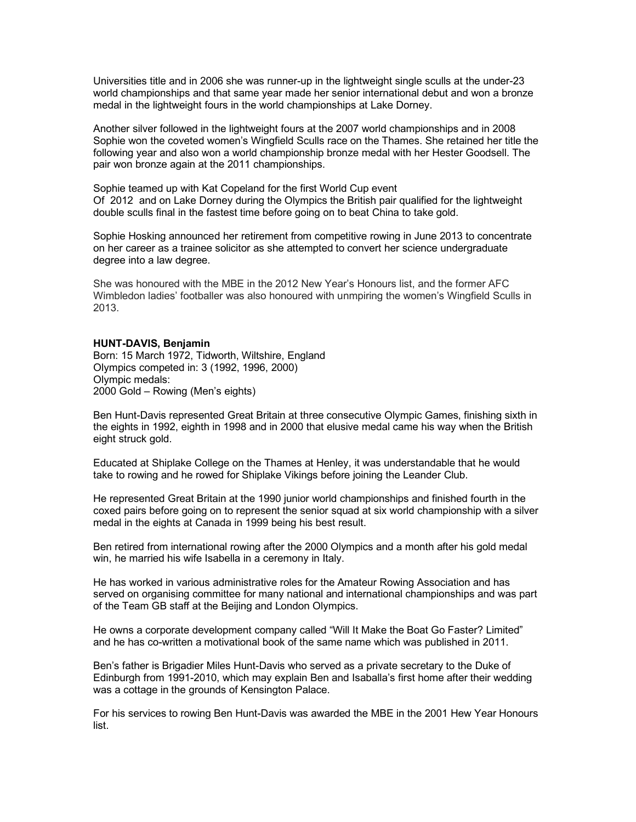Universities title and in 2006 she was runner-up in the lightweight single sculls at the under-23 world championships and that same year made her senior international debut and won a bronze medal in the lightweight fours in the world championships at Lake Dorney.

Another silver followed in the lightweight fours at the 2007 world championships and in 2008 Sophie won the coveted women's Wingfield Sculls race on the Thames. She retained her title the following year and also won a world championship bronze medal with her Hester Goodsell. The pair won bronze again at the 2011 championships.

Sophie teamed up with Kat Copeland for the first World Cup event Of 2012 and on Lake Dorney during the Olympics the British pair qualified for the lightweight double sculls final in the fastest time before going on to beat China to take gold.

Sophie Hosking announced her retirement from competitive rowing in June 2013 to concentrate on her career as a trainee solicitor as she attempted to convert her science undergraduate degree into a law degree.

She was honoured with the MBE in the 2012 New Year's Honours list, and the former AFC Wimbledon ladies' footballer was also honoured with unmpiring the women's Wingfield Sculls in 2013.

#### **HUNT-DAVIS, Benjamin**

Born: 15 March 1972, Tidworth, Wiltshire, England Olympics competed in: 3 (1992, 1996, 2000) Olympic medals: 2000 Gold – Rowing (Men's eights)

Ben Hunt-Davis represented Great Britain at three consecutive Olympic Games, finishing sixth in the eights in 1992, eighth in 1998 and in 2000 that elusive medal came his way when the British eight struck gold.

Educated at Shiplake College on the Thames at Henley, it was understandable that he would take to rowing and he rowed for Shiplake Vikings before joining the Leander Club.

He represented Great Britain at the 1990 junior world championships and finished fourth in the coxed pairs before going on to represent the senior squad at six world championship with a silver medal in the eights at Canada in 1999 being his best result.

Ben retired from international rowing after the 2000 Olympics and a month after his gold medal win, he married his wife Isabella in a ceremony in Italy.

He has worked in various administrative roles for the Amateur Rowing Association and has served on organising committee for many national and international championships and was part of the Team GB staff at the Beijing and London Olympics.

He owns a corporate development company called "Will It Make the Boat Go Faster? Limited" and he has co-written a motivational book of the same name which was published in 2011.

Ben's father is Brigadier Miles Hunt-Davis who served as a private secretary to the Duke of Edinburgh from 1991-2010, which may explain Ben and Isaballa's first home after their wedding was a cottage in the grounds of Kensington Palace.

For his services to rowing Ben Hunt-Davis was awarded the MBE in the 2001 Hew Year Honours list.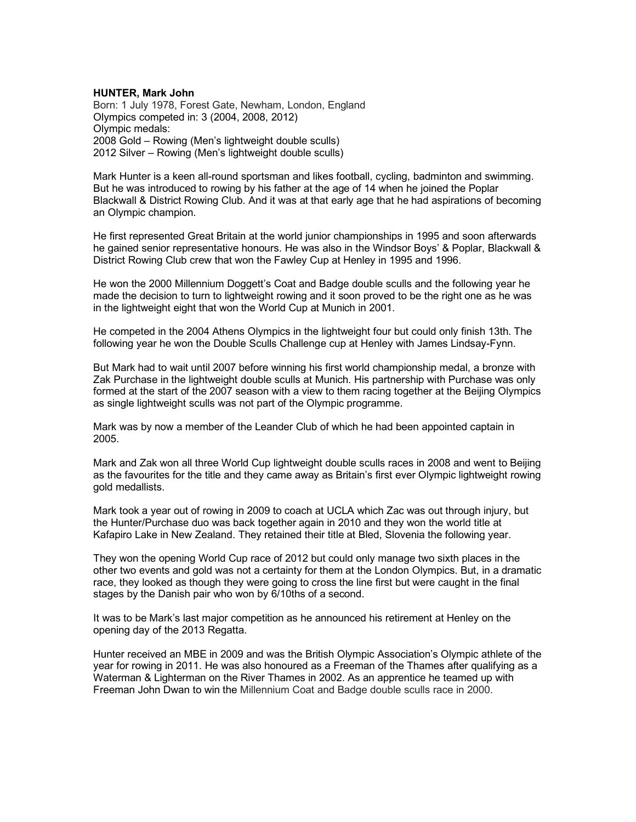## **HUNTER, Mark John**

Born: 1 July 1978, Forest Gate, Newham, London, England Olympics competed in: 3 (2004, 2008, 2012) Olympic medals: 2008 Gold – Rowing (Men's lightweight double sculls) 2012 Silver – Rowing (Men's lightweight double sculls)

Mark Hunter is a keen all-round sportsman and likes football, cycling, badminton and swimming. But he was introduced to rowing by his father at the age of 14 when he joined the Poplar Blackwall & District Rowing Club. And it was at that early age that he had aspirations of becoming an Olympic champion.

He first represented Great Britain at the world junior championships in 1995 and soon afterwards he gained senior representative honours. He was also in the Windsor Boys' & Poplar, Blackwall & District Rowing Club crew that won the Fawley Cup at Henley in 1995 and 1996.

He won the 2000 Millennium Doggett's Coat and Badge double sculls and the following year he made the decision to turn to lightweight rowing and it soon proved to be the right one as he was in the lightweight eight that won the World Cup at Munich in 2001.

He competed in the 2004 Athens Olympics in the lightweight four but could only finish 13th. The following year he won the Double Sculls Challenge cup at Henley with James Lindsay-Fynn.

But Mark had to wait until 2007 before winning his first world championship medal, a bronze with Zak Purchase in the lightweight double sculls at Munich. His partnership with Purchase was only formed at the start of the 2007 season with a view to them racing together at the Beijing Olympics as single lightweight sculls was not part of the Olympic programme.

Mark was by now a member of the Leander Club of which he had been appointed captain in 2005.

Mark and Zak won all three World Cup lightweight double sculls races in 2008 and went to Beijing as the favourites for the title and they came away as Britain's first ever Olympic lightweight rowing gold medallists.

Mark took a year out of rowing in 2009 to coach at UCLA which Zac was out through injury, but the Hunter/Purchase duo was back together again in 2010 and they won the world title at Kafapiro Lake in New Zealand. They retained their title at Bled, Slovenia the following year.

They won the opening World Cup race of 2012 but could only manage two sixth places in the other two events and gold was not a certainty for them at the London Olympics. But, in a dramatic race, they looked as though they were going to cross the line first but were caught in the final stages by the Danish pair who won by 6/10ths of a second.

It was to be Mark's last major competition as he announced his retirement at Henley on the opening day of the 2013 Regatta.

Hunter received an MBE in 2009 and was the British Olympic Association's Olympic athlete of the year for rowing in 2011. He was also honoured as a Freeman of the Thames after qualifying as a Waterman & Lighterman on the River Thames in 2002. As an apprentice he teamed up with Freeman John Dwan to win the Millennium Coat and Badge double sculls race in 2000.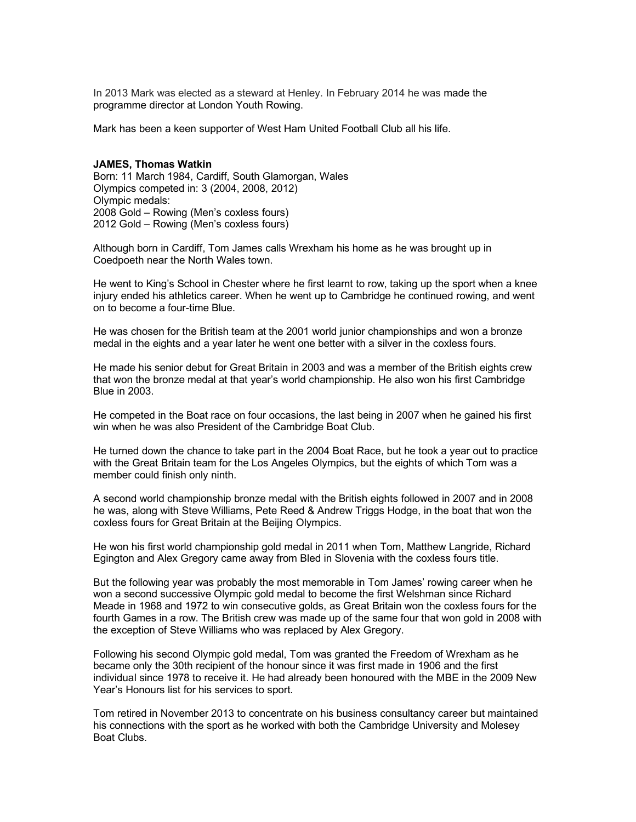In 2013 Mark was elected as a steward at Henley. In February 2014 he was made the programme director at London Youth Rowing.

Mark has been a keen supporter of West Ham United Football Club all his life.

#### **JAMES, Thomas Watkin**

Born: 11 March 1984, Cardiff, South Glamorgan, Wales Olympics competed in: 3 (2004, 2008, 2012) Olympic medals: 2008 Gold – Rowing (Men's coxless fours) 2012 Gold – Rowing (Men's coxless fours)

Although born in Cardiff, Tom James calls Wrexham his home as he was brought up in Coedpoeth near the North Wales town.

He went to King's School in Chester where he first learnt to row, taking up the sport when a knee injury ended his athletics career. When he went up to Cambridge he continued rowing, and went on to become a four-time Blue.

He was chosen for the British team at the 2001 world junior championships and won a bronze medal in the eights and a year later he went one better with a silver in the coxless fours.

He made his senior debut for Great Britain in 2003 and was a member of the British eights crew that won the bronze medal at that year's world championship. He also won his first Cambridge Blue in 2003.

He competed in the Boat race on four occasions, the last being in 2007 when he gained his first win when he was also President of the Cambridge Boat Club.

He turned down the chance to take part in the 2004 Boat Race, but he took a year out to practice with the Great Britain team for the Los Angeles Olympics, but the eights of which Tom was a member could finish only ninth.

A second world championship bronze medal with the British eights followed in 2007 and in 2008 he was, along with Steve Williams, Pete Reed & Andrew Triggs Hodge, in the boat that won the coxless fours for Great Britain at the Beijing Olympics.

He won his first world championship gold medal in 2011 when Tom, Matthew Langride, Richard Egington and Alex Gregory came away from Bled in Slovenia with the coxless fours title.

But the following year was probably the most memorable in Tom James' rowing career when he won a second successive Olympic gold medal to become the first Welshman since Richard Meade in 1968 and 1972 to win consecutive golds, as Great Britain won the coxless fours for the fourth Games in a row. The British crew was made up of the same four that won gold in 2008 with the exception of Steve Williams who was replaced by Alex Gregory.

Following his second Olympic gold medal, Tom was granted the Freedom of Wrexham as he became only the 30th recipient of the honour since it was first made in 1906 and the first individual since 1978 to receive it. He had already been honoured with the MBE in the 2009 New Year's Honours list for his services to sport.

Tom retired in November 2013 to concentrate on his business consultancy career but maintained his connections with the sport as he worked with both the Cambridge University and Molesey Boat Clubs.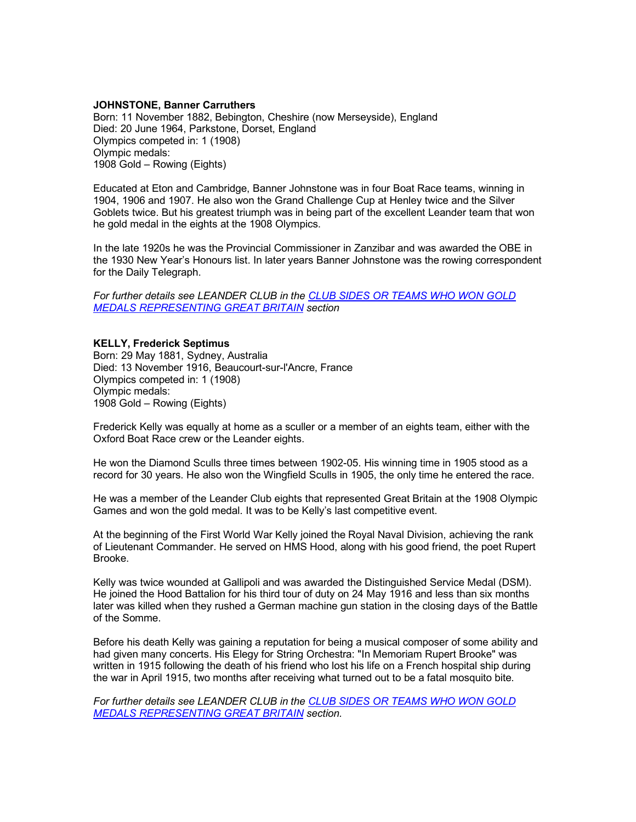## **JOHNSTONE, Banner Carruthers**

Born: 11 November 1882, Bebington, Cheshire (now Merseyside), England Died: 20 June 1964, Parkstone, Dorset, England Olympics competed in: 1 (1908) Olympic medals: 1908 Gold – Rowing (Eights)

Educated at Eton and Cambridge, Banner Johnstone was in four Boat Race teams, winning in 1904, 1906 and 1907. He also won the Grand Challenge Cup at Henley twice and the Silver Goblets twice. But his greatest triumph was in being part of the excellent Leander team that won he gold medal in the eights at the 1908 Olympics.

In the late 1920s he was the Provincial Commissioner in Zanzibar and was awarded the OBE in the 1930 New Year's Honours list. In later years Banner Johnstone was the rowing correspondent for the Daily Telegraph.

*For further details see LEANDER CLUB in the CLUB SIDES OR TEAMS WHO WON GOLD MEDALS REPRESENTING GREAT BRITAIN section*

## **KELLY, Frederick Septimus** Born: 29 May 1881, Sydney, Australia Died: 13 November 1916, Beaucourt-sur-l'Ancre, France Olympics competed in: 1 (1908) Olympic medals: 1908 Gold – Rowing (Eights)

Frederick Kelly was equally at home as a sculler or a member of an eights team, either with the Oxford Boat Race crew or the Leander eights.

He won the Diamond Sculls three times between 1902-05. His winning time in 1905 stood as a record for 30 years. He also won the Wingfield Sculls in 1905, the only time he entered the race.

He was a member of the Leander Club eights that represented Great Britain at the 1908 Olympic Games and won the gold medal. It was to be Kelly's last competitive event.

At the beginning of the First World War Kelly joined the Royal Naval Division, achieving the rank of Lieutenant Commander. He served on HMS Hood, along with his good friend, the poet Rupert Brooke.

Kelly was twice wounded at Gallipoli and was awarded the Distinguished Service Medal (DSM). He joined the Hood Battalion for his third tour of duty on 24 May 1916 and less than six months later was killed when they rushed a German machine gun station in the closing days of the Battle of the Somme.

Before his death Kelly was gaining a reputation for being a musical composer of some ability and had given many concerts. His Elegy for String Orchestra: "In Memoriam Rupert Brooke" was written in 1915 following the death of his friend who lost his life on a French hospital ship during the war in April 1915, two months after receiving what turned out to be a fatal mosquito bite.

*For further details see LEANDER CLUB in the CLUB SIDES OR TEAMS WHO WON GOLD MEDALS REPRESENTING GREAT BRITAIN section.*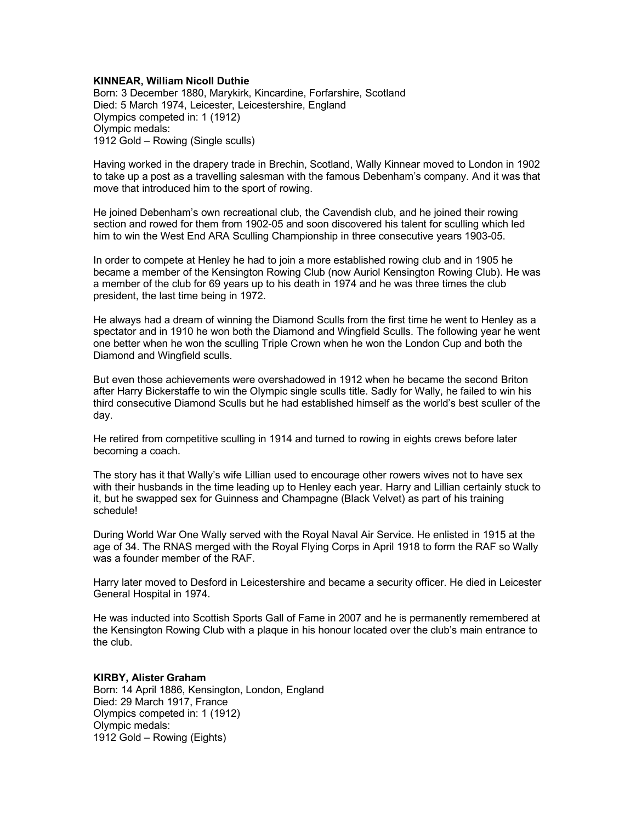## **KINNEAR, William Nicoll Duthie**

Born: 3 December 1880, Marykirk, Kincardine, Forfarshire, Scotland Died: 5 March 1974, Leicester, Leicestershire, England Olympics competed in: 1 (1912) Olympic medals: 1912 Gold – Rowing (Single sculls)

Having worked in the drapery trade in Brechin, Scotland, Wally Kinnear moved to London in 1902 to take up a post as a travelling salesman with the famous Debenham's company. And it was that move that introduced him to the sport of rowing.

He joined Debenham's own recreational club, the Cavendish club, and he joined their rowing section and rowed for them from 1902-05 and soon discovered his talent for sculling which led him to win the West End ARA Sculling Championship in three consecutive years 1903-05.

In order to compete at Henley he had to join a more established rowing club and in 1905 he became a member of the Kensington Rowing Club (now Auriol Kensington Rowing Club). He was a member of the club for 69 years up to his death in 1974 and he was three times the club president, the last time being in 1972.

He always had a dream of winning the Diamond Sculls from the first time he went to Henley as a spectator and in 1910 he won both the Diamond and Wingfield Sculls. The following year he went one better when he won the sculling Triple Crown when he won the London Cup and both the Diamond and Wingfield sculls.

But even those achievements were overshadowed in 1912 when he became the second Briton after Harry Bickerstaffe to win the Olympic single sculls title. Sadly for Wally, he failed to win his third consecutive Diamond Sculls but he had established himself as the world's best sculler of the day.

He retired from competitive sculling in 1914 and turned to rowing in eights crews before later becoming a coach.

The story has it that Wally's wife Lillian used to encourage other rowers wives not to have sex with their husbands in the time leading up to Henley each year. Harry and Lillian certainly stuck to it, but he swapped sex for Guinness and Champagne (Black Velvet) as part of his training schedule!

During World War One Wally served with the Royal Naval Air Service. He enlisted in 1915 at the age of 34. The RNAS merged with the Royal Flying Corps in April 1918 to form the RAF so Wally was a founder member of the RAF.

Harry later moved to Desford in Leicestershire and became a security officer. He died in Leicester General Hospital in 1974.

He was inducted into Scottish Sports Gall of Fame in 2007 and he is permanently remembered at the Kensington Rowing Club with a plaque in his honour located over the club's main entrance to the club.

## **KIRBY, Alister Graham**

Born: 14 April 1886, Kensington, London, England Died: 29 March 1917, France Olympics competed in: 1 (1912) Olympic medals: 1912 Gold – Rowing (Eights)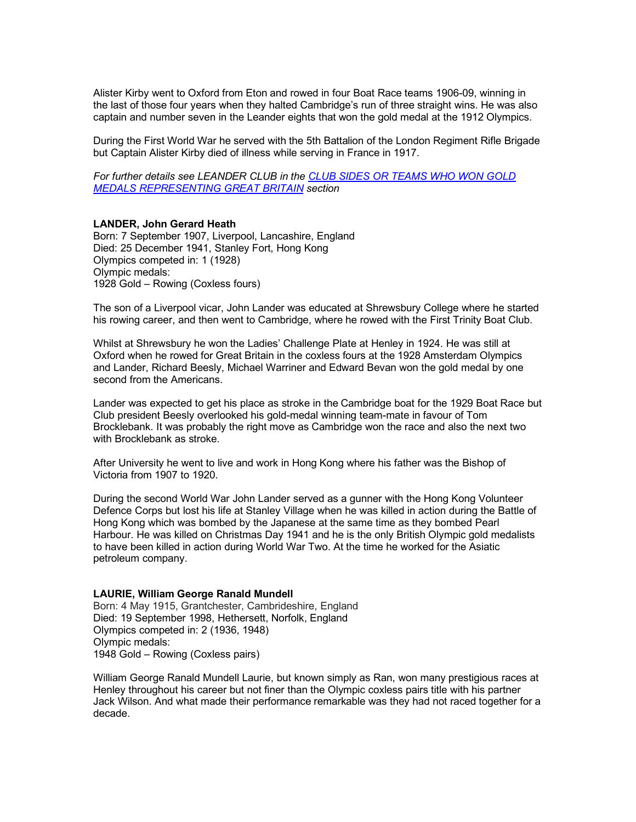Alister Kirby went to Oxford from Eton and rowed in four Boat Race teams 1906-09, winning in the last of those four years when they halted Cambridge's run of three straight wins. He was also captain and number seven in the Leander eights that won the gold medal at the 1912 Olympics.

During the First World War he served with the 5th Battalion of the London Regiment Rifle Brigade but Captain Alister Kirby died of illness while serving in France in 1917.

*For further details see LEANDER CLUB in the CLUB SIDES OR TEAMS WHO WON GOLD MEDALS REPRESENTING GREAT BRITAIN section*

#### **LANDER, John Gerard Heath**

Born: 7 September 1907, Liverpool, Lancashire, England Died: 25 December 1941, Stanley Fort, Hong Kong Olympics competed in: 1 (1928) Olympic medals: 1928 Gold – Rowing (Coxless fours)

The son of a Liverpool vicar, John Lander was educated at Shrewsbury College where he started his rowing career, and then went to Cambridge, where he rowed with the First Trinity Boat Club.

Whilst at Shrewsbury he won the Ladies' Challenge Plate at Henley in 1924. He was still at Oxford when he rowed for Great Britain in the coxless fours at the 1928 Amsterdam Olympics and Lander, Richard Beesly, Michael Warriner and Edward Bevan won the gold medal by one second from the Americans.

Lander was expected to get his place as stroke in the Cambridge boat for the 1929 Boat Race but Club president Beesly overlooked his gold-medal winning team-mate in favour of Tom Brocklebank. It was probably the right move as Cambridge won the race and also the next two with Brocklebank as stroke.

After University he went to live and work in Hong Kong where his father was the Bishop of Victoria from 1907 to 1920.

During the second World War John Lander served as a gunner with the Hong Kong Volunteer Defence Corps but lost his life at Stanley Village when he was killed in action during the Battle of Hong Kong which was bombed by the Japanese at the same time as they bombed Pearl Harbour. He was killed on Christmas Day 1941 and he is the only British Olympic gold medalists to have been killed in action during World War Two. At the time he worked for the Asiatic petroleum company.

#### **LAURIE, William George Ranald Mundell**

Born: 4 May 1915, Grantchester, Cambrideshire, England Died: 19 September 1998, Hethersett, Norfolk, England Olympics competed in: 2 (1936, 1948) Olympic medals: 1948 Gold – Rowing (Coxless pairs)

William George Ranald Mundell Laurie, but known simply as Ran, won many prestigious races at Henley throughout his career but not finer than the Olympic coxless pairs title with his partner Jack Wilson. And what made their performance remarkable was they had not raced together for a decade.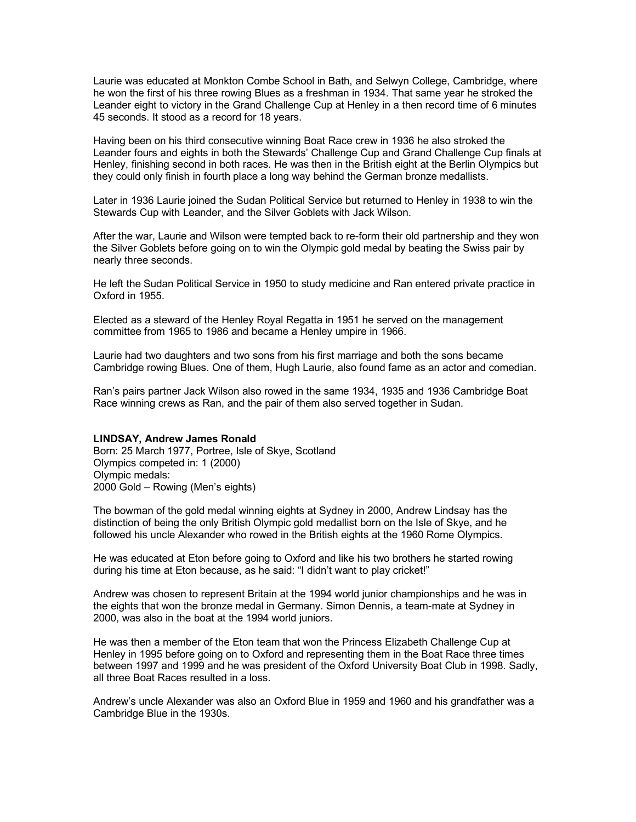Laurie was educated at Monkton Combe School in Bath, and Selwyn College, Cambridge, where he won the first of his three rowing Blues as a freshman in 1934. That same year he stroked the Leander eight to victory in the Grand Challenge Cup at Henley in a then record time of 6 minutes 45 seconds. It stood as a record for 18 years.

Having been on his third consecutive winning Boat Race crew in 1936 he also stroked the Leander fours and eights in both the Stewards' Challenge Cup and Grand Challenge Cup finals at Henley, finishing second in both races. He was then in the British eight at the Berlin Olympics but they could only finish in fourth place a long way behind the German bronze medallists.

Later in 1936 Laurie joined the Sudan Political Service but returned to Henley in 1938 to win the Stewards Cup with Leander, and the Silver Goblets with Jack Wilson.

After the war, Laurie and Wilson were tempted back to re-form their old partnership and they won the Silver Goblets before going on to win the Olympic gold medal by beating the Swiss pair by nearly three seconds.

He left the Sudan Political Service in 1950 to study medicine and Ran entered private practice in Oxford in 1955.

Elected as a steward of the Henley Royal Regatta in 1951 he served on the management committee from 1965 to 1986 and became a Henley umpire in 1966.

Laurie had two daughters and two sons from his first marriage and both the sons became Cambridge rowing Blues. One of them, Hugh Laurie, also found fame as an actor and comedian.

Ran's pairs partner Jack Wilson also rowed in the same 1934, 1935 and 1936 Cambridge Boat Race winning crews as Ran, and the pair of them also served together in Sudan.

### **LINDSAY, Andrew James Ronald**

Born: 25 March 1977, Portree, Isle of Skye, Scotland Olympics competed in: 1 (2000) Olympic medals: 2000 Gold – Rowing (Men's eights)

The bowman of the gold medal winning eights at Sydney in 2000, Andrew Lindsay has the distinction of being the only British Olympic gold medallist born on the Isle of Skye, and he followed his uncle Alexander who rowed in the British eights at the 1960 Rome Olympics.

He was educated at Eton before going to Oxford and like his two brothers he started rowing during his time at Eton because, as he said: "I didn't want to play cricket!"

Andrew was chosen to represent Britain at the 1994 world junior championships and he was in the eights that won the bronze medal in Germany. Simon Dennis, a team-mate at Sydney in 2000, was also in the boat at the 1994 world juniors.

He was then a member of the Eton team that won the Princess Elizabeth Challenge Cup at Henley in 1995 before going on to Oxford and representing them in the Boat Race three times between 1997 and 1999 and he was president of the Oxford University Boat Club in 1998. Sadly, all three Boat Races resulted in a loss.

Andrew's uncle Alexander was also an Oxford Blue in 1959 and 1960 and his grandfather was a Cambridge Blue in the 1930s.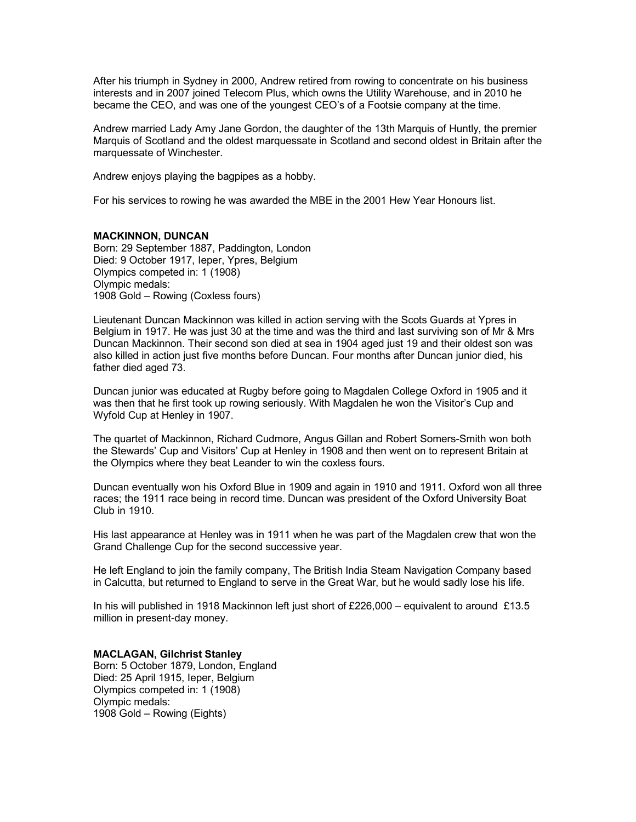After his triumph in Sydney in 2000, Andrew retired from rowing to concentrate on his business interests and in 2007 joined Telecom Plus, which owns the Utility Warehouse, and in 2010 he became the CEO, and was one of the youngest CEO's of a Footsie company at the time.

Andrew married Lady Amy Jane Gordon, the daughter of the 13th Marquis of Huntly, the premier Marquis of Scotland and the oldest marquessate in Scotland and second oldest in Britain after the marquessate of Winchester.

Andrew enjoys playing the bagpipes as a hobby.

For his services to rowing he was awarded the MBE in the 2001 Hew Year Honours list.

## **MACKINNON, DUNCAN**

Born: 29 September 1887, Paddington, London Died: 9 October 1917, Ieper, Ypres, Belgium Olympics competed in: 1 (1908) Olympic medals: 1908 Gold – Rowing (Coxless fours)

Lieutenant Duncan Mackinnon was killed in action serving with the Scots Guards at Ypres in Belgium in 1917. He was just 30 at the time and was the third and last surviving son of Mr & Mrs Duncan Mackinnon. Their second son died at sea in 1904 aged just 19 and their oldest son was also killed in action just five months before Duncan. Four months after Duncan junior died, his father died aged 73.

Duncan junior was educated at Rugby before going to Magdalen College Oxford in 1905 and it was then that he first took up rowing seriously. With Magdalen he won the Visitor's Cup and Wyfold Cup at Henley in 1907.

The quartet of Mackinnon, Richard Cudmore, Angus Gillan and Robert Somers-Smith won both the Stewards' Cup and Visitors' Cup at Henley in 1908 and then went on to represent Britain at the Olympics where they beat Leander to win the coxless fours.

Duncan eventually won his Oxford Blue in 1909 and again in 1910 and 1911. Oxford won all three races; the 1911 race being in record time. Duncan was president of the Oxford University Boat Club in 1910.

His last appearance at Henley was in 1911 when he was part of the Magdalen crew that won the Grand Challenge Cup for the second successive year.

He left England to join the family company, The British India Steam Navigation Company based in Calcutta, but returned to England to serve in the Great War, but he would sadly lose his life.

In his will published in 1918 Mackinnon left just short of £226,000 – equivalent to around £13.5 million in present-day money.

**MACLAGAN, Gilchrist Stanley** Born: 5 October 1879, London, England Died: 25 April 1915, Ieper, Belgium Olympics competed in: 1 (1908) Olympic medals: 1908 Gold – Rowing (Eights)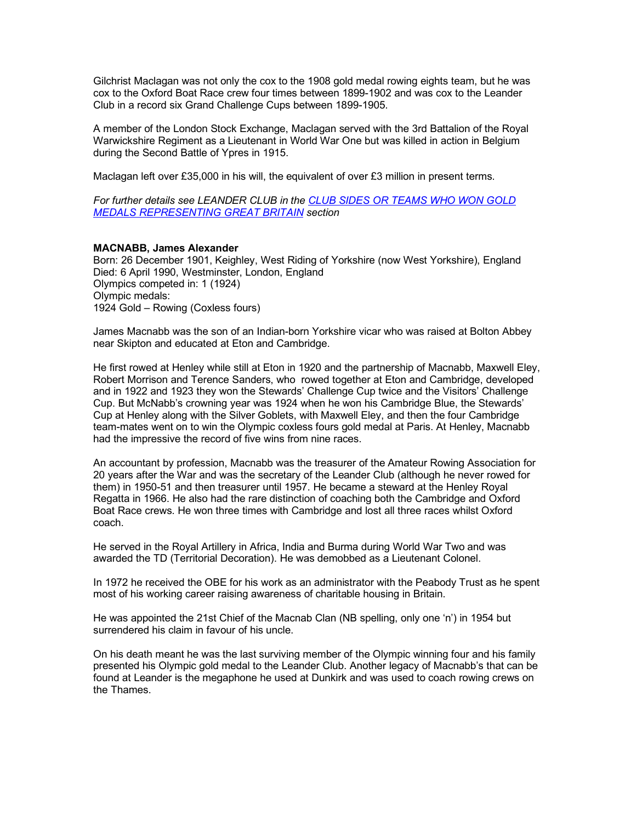Gilchrist Maclagan was not only the cox to the 1908 gold medal rowing eights team, but he was cox to the Oxford Boat Race crew four times between 1899-1902 and was cox to the Leander Club in a record six Grand Challenge Cups between 1899-1905.

A member of the London Stock Exchange, Maclagan served with the 3rd Battalion of the Royal Warwickshire Regiment as a Lieutenant in World War One but was killed in action in Belgium during the Second Battle of Ypres in 1915.

Maclagan left over £35,000 in his will, the equivalent of over £3 million in present terms.

*For further details see LEANDER CLUB in the CLUB SIDES OR TEAMS WHO WON GOLD MEDALS REPRESENTING GREAT BRITAIN section*

## **MACNABB, James Alexander**

Born: 26 December 1901, Keighley, West Riding of Yorkshire (now West Yorkshire), England Died: 6 April 1990, Westminster, London, England Olympics competed in: 1 (1924) Olympic medals: 1924 Gold – Rowing (Coxless fours)

James Macnabb was the son of an Indian-born Yorkshire vicar who was raised at Bolton Abbey near Skipton and educated at Eton and Cambridge.

He first rowed at Henley while still at Eton in 1920 and the partnership of Macnabb, Maxwell Eley, Robert Morrison and Terence Sanders, who rowed together at Eton and Cambridge, developed and in 1922 and 1923 they won the Stewards' Challenge Cup twice and the Visitors' Challenge Cup. But McNabb's crowning year was 1924 when he won his Cambridge Blue, the Stewards' Cup at Henley along with the Silver Goblets, with Maxwell Eley, and then the four Cambridge team-mates went on to win the Olympic coxless fours gold medal at Paris. At Henley, Macnabb had the impressive the record of five wins from nine races.

An accountant by profession, Macnabb was the treasurer of the Amateur Rowing Association for 20 years after the War and was the secretary of the Leander Club (although he never rowed for them) in 1950-51 and then treasurer until 1957. He became a steward at the Henley Royal Regatta in 1966. He also had the rare distinction of coaching both the Cambridge and Oxford Boat Race crews. He won three times with Cambridge and lost all three races whilst Oxford coach.

He served in the Royal Artillery in Africa, India and Burma during World War Two and was awarded the TD (Territorial Decoration). He was demobbed as a Lieutenant Colonel.

In 1972 he received the OBE for his work as an administrator with the Peabody Trust as he spent most of his working career raising awareness of charitable housing in Britain.

He was appointed the 21st Chief of the Macnab Clan (NB spelling, only one 'n') in 1954 but surrendered his claim in favour of his uncle.

On his death meant he was the last surviving member of the Olympic winning four and his family presented his Olympic gold medal to the Leander Club. Another legacy of Macnabb's that can be found at Leander is the megaphone he used at Dunkirk and was used to coach rowing crews on the Thames.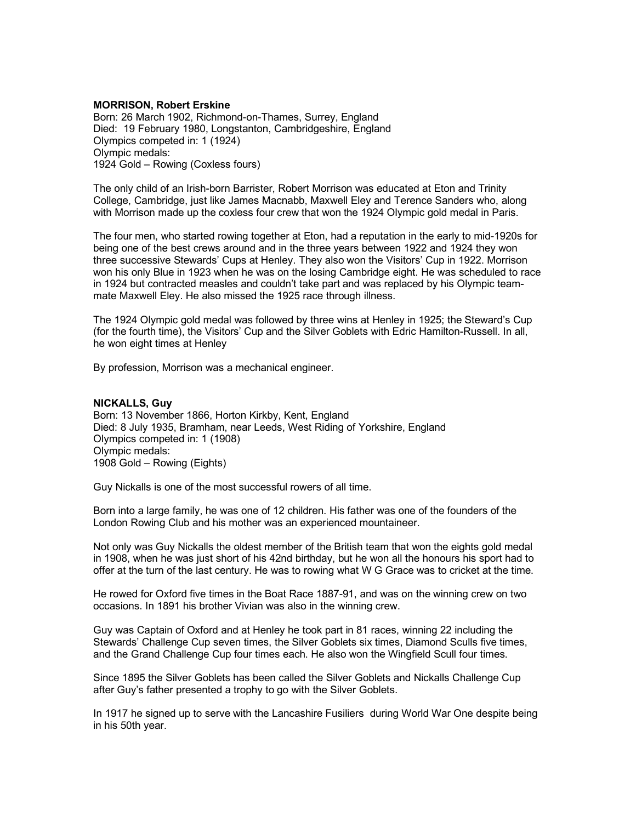## **MORRISON, Robert Erskine**

Born: 26 March 1902, Richmond-on-Thames, Surrey, England Died: 19 February 1980, Longstanton, Cambridgeshire, England Olympics competed in: 1 (1924) Olympic medals: 1924 Gold – Rowing (Coxless fours)

The only child of an Irish-born Barrister, Robert Morrison was educated at Eton and Trinity College, Cambridge, just like James Macnabb, Maxwell Eley and Terence Sanders who, along with Morrison made up the coxless four crew that won the 1924 Olympic gold medal in Paris.

The four men, who started rowing together at Eton, had a reputation in the early to mid-1920s for being one of the best crews around and in the three years between 1922 and 1924 they won three successive Stewards' Cups at Henley. They also won the Visitors' Cup in 1922. Morrison won his only Blue in 1923 when he was on the losing Cambridge eight. He was scheduled to race in 1924 but contracted measles and couldn't take part and was replaced by his Olympic teammate Maxwell Eley. He also missed the 1925 race through illness.

The 1924 Olympic gold medal was followed by three wins at Henley in 1925; the Steward's Cup (for the fourth time), the Visitors' Cup and the Silver Goblets with Edric Hamilton-Russell. In all, he won eight times at Henley

By profession, Morrison was a mechanical engineer.

## **NICKALLS, Guy**

Born: 13 November 1866, Horton Kirkby, Kent, England Died: 8 July 1935, Bramham, near Leeds, West Riding of Yorkshire, England Olympics competed in: 1 (1908) Olympic medals: 1908 Gold – Rowing (Eights)

Guy Nickalls is one of the most successful rowers of all time.

Born into a large family, he was one of 12 children. His father was one of the founders of the London Rowing Club and his mother was an experienced mountaineer.

Not only was Guy Nickalls the oldest member of the British team that won the eights gold medal in 1908, when he was just short of his 42nd birthday, but he won all the honours his sport had to offer at the turn of the last century. He was to rowing what W G Grace was to cricket at the time.

He rowed for Oxford five times in the Boat Race 1887-91, and was on the winning crew on two occasions. In 1891 his brother Vivian was also in the winning crew.

Guy was Captain of Oxford and at Henley he took part in 81 races, winning 22 including the Stewards' Challenge Cup seven times, the Silver Goblets six times, Diamond Sculls five times, and the Grand Challenge Cup four times each. He also won the Wingfield Scull four times.

Since 1895 the Silver Goblets has been called the Silver Goblets and Nickalls Challenge Cup after Guy's father presented a trophy to go with the Silver Goblets.

In 1917 he signed up to serve with the Lancashire Fusiliers during World War One despite being in his 50th year.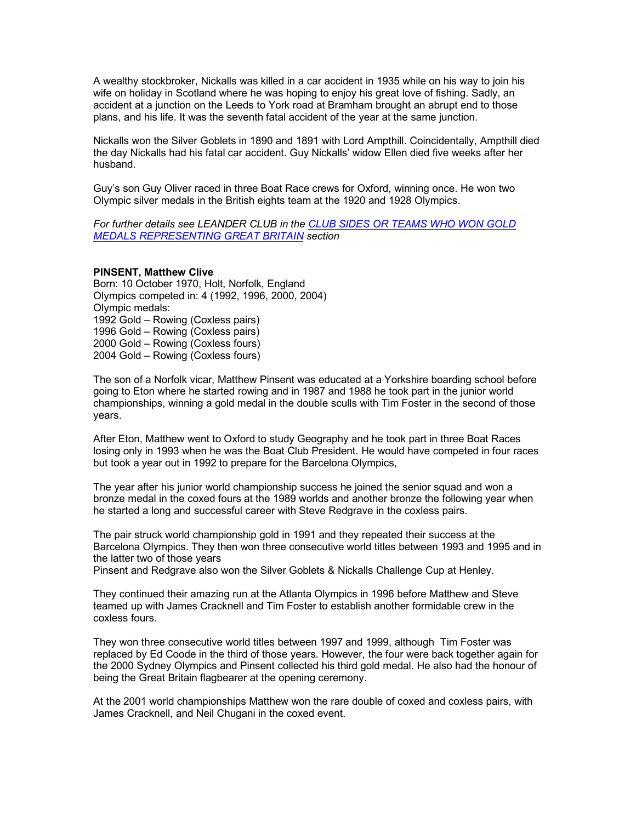A wealthy stockbroker, Nickalls was killed in a car accident in 1935 while on his way to join his wife on holiday in Scotland where he was hoping to enjoy his great love of fishing. Sadly, an accident at a junction on the Leeds to York road at Bramham brought an abrupt end to those plans, and his life. It was the seventh fatal accident of the year at the same junction.

Nickalls won the Silver Goblets in 1890 and 1891 with Lord Ampthill. Coincidentally, Ampthill died the day Nickalls had his fatal car accident. Guy Nickalls' widow Ellen died five weeks after her husband.

Guy's son Guy Oliver raced in three Boat Race crews for Oxford, winning once. He won two Olympic silver medals in the British eights team at the 1920 and 1928 Olympics.

*For further details see LEANDER CLUB in the CLUB SIDES OR TEAMS WHO WON GOLD MEDALS REPRESENTING GREAT BRITAIN section*

### **PINSENT, Matthew Clive**

Born: 10 October 1970, Holt, Norfolk, England Olympics competed in: 4 (1992, 1996, 2000, 2004) Olympic medals: 1992 Gold – Rowing (Coxless pairs) 1996 Gold – Rowing (Coxless pairs) 2000 Gold – Rowing (Coxless fours) 2004 Gold – Rowing (Coxless fours)

The son of a Norfolk vicar, Matthew Pinsent was educated at a Yorkshire boarding school before going to Eton where he started rowing and in 1987 and 1988 he took part in the junior world championships, winning a gold medal in the double sculls with Tim Foster in the second of those years.

After Eton, Matthew went to Oxford to study Geography and he took part in three Boat Races losing only in 1993 when he was the Boat Club President. He would have competed in four races but took a year out in 1992 to prepare for the Barcelona Olympics,

The year after his junior world championship success he joined the senior squad and won a bronze medal in the coxed fours at the 1989 worlds and another bronze the following year when he started a long and successful career with Steve Redgrave in the coxless pairs.

The pair struck world championship gold in 1991 and they repeated their success at the Barcelona Olympics. They then won three consecutive world titles between 1993 and 1995 and in the latter two of those years

Pinsent and Redgrave also won the Silver Goblets & Nickalls Challenge Cup at Henley.

They continued their amazing run at the Atlanta Olympics in 1996 before Matthew and Steve teamed up with James Cracknell and Tim Foster to establish another formidable crew in the coxless fours.

They won three consecutive world titles between 1997 and 1999, although Tim Foster was replaced by Ed Coode in the third of those years. However, the four were back together again for the 2000 Sydney Olympics and Pinsent collected his third gold medal. He also had the honour of being the Great Britain flagbearer at the opening ceremony.

At the 2001 world championships Matthew won the rare double of coxed and coxless pairs, with James Cracknell, and Neil Chugani in the coxed event.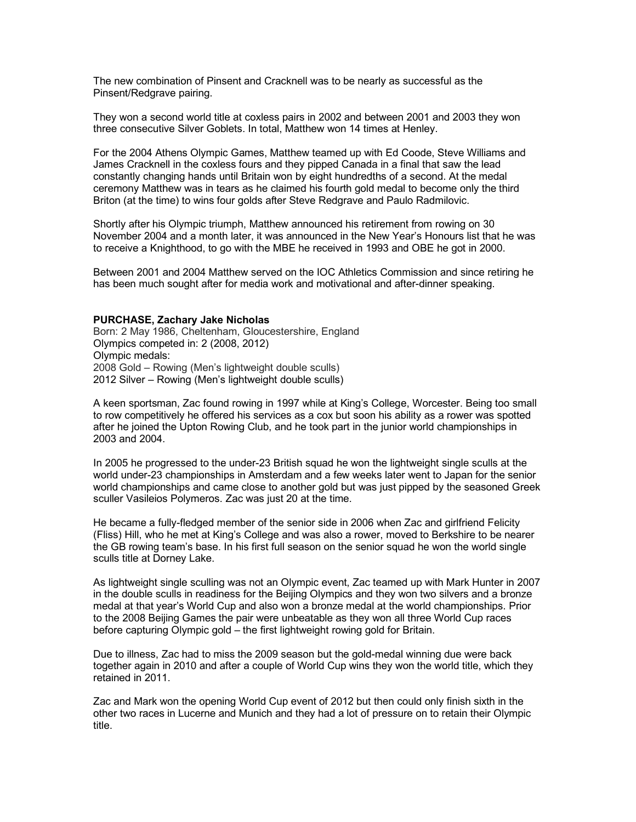The new combination of Pinsent and Cracknell was to be nearly as successful as the Pinsent/Redgrave pairing.

They won a second world title at coxless pairs in 2002 and between 2001 and 2003 they won three consecutive Silver Goblets. In total, Matthew won 14 times at Henley.

For the 2004 Athens Olympic Games, Matthew teamed up with Ed Coode, Steve Williams and James Cracknell in the coxless fours and they pipped Canada in a final that saw the lead constantly changing hands until Britain won by eight hundredths of a second. At the medal ceremony Matthew was in tears as he claimed his fourth gold medal to become only the third Briton (at the time) to wins four golds after Steve Redgrave and Paulo Radmilovic.

Shortly after his Olympic triumph, Matthew announced his retirement from rowing on 30 November 2004 and a month later, it was announced in the New Year's Honours list that he was to receive a Knighthood, to go with the MBE he received in 1993 and OBE he got in 2000.

Between 2001 and 2004 Matthew served on the IOC Athletics Commission and since retiring he has been much sought after for media work and motivational and after-dinner speaking.

## **PURCHASE, Zachary Jake Nicholas**

Born: 2 May 1986, Cheltenham, Gloucestershire, England Olympics competed in: 2 (2008, 2012) Olympic medals: 2008 Gold – Rowing (Men's lightweight double sculls) 2012 Silver – Rowing (Men's lightweight double sculls)

A keen sportsman, Zac found rowing in 1997 while at King's College, Worcester. Being too small to row competitively he offered his services as a cox but soon his ability as a rower was spotted after he joined the Upton Rowing Club, and he took part in the junior world championships in 2003 and 2004.

In 2005 he progressed to the under-23 British squad he won the lightweight single sculls at the world under-23 championships in Amsterdam and a few weeks later went to Japan for the senior world championships and came close to another gold but was just pipped by the seasoned Greek sculler Vasileios Polymeros. Zac was just 20 at the time.

He became a fully-fledged member of the senior side in 2006 when Zac and girlfriend Felicity (Fliss) Hill, who he met at King's College and was also a rower, moved to Berkshire to be nearer the GB rowing team's base. In his first full season on the senior squad he won the world single sculls title at Dorney Lake.

As lightweight single sculling was not an Olympic event, Zac teamed up with Mark Hunter in 2007 in the double sculls in readiness for the Beijing Olympics and they won two silvers and a bronze medal at that year's World Cup and also won a bronze medal at the world championships. Prior to the 2008 Beijing Games the pair were unbeatable as they won all three World Cup races before capturing Olympic gold – the first lightweight rowing gold for Britain.

Due to illness, Zac had to miss the 2009 season but the gold-medal winning due were back together again in 2010 and after a couple of World Cup wins they won the world title, which they retained in 2011.

Zac and Mark won the opening World Cup event of 2012 but then could only finish sixth in the other two races in Lucerne and Munich and they had a lot of pressure on to retain their Olympic title.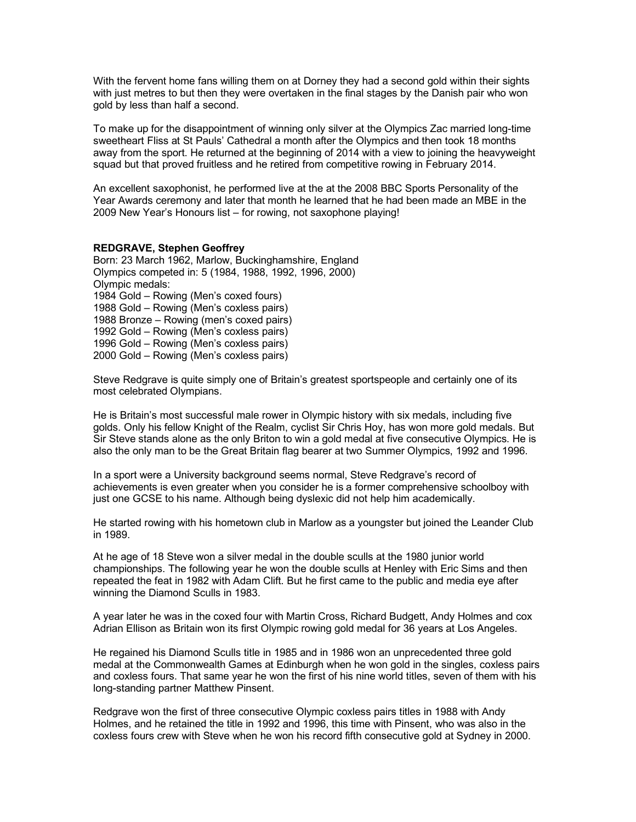With the fervent home fans willing them on at Dorney they had a second gold within their sights with just metres to but then they were overtaken in the final stages by the Danish pair who won gold by less than half a second.

To make up for the disappointment of winning only silver at the Olympics Zac married long-time sweetheart Fliss at St Pauls' Cathedral a month after the Olympics and then took 18 months away from the sport. He returned at the beginning of 2014 with a view to joining the heavyweight squad but that proved fruitless and he retired from competitive rowing in February 2014.

An excellent saxophonist, he performed live at the at the 2008 BBC Sports Personality of the Year Awards ceremony and later that month he learned that he had been made an MBE in the 2009 New Year's Honours list – for rowing, not saxophone playing!

## **REDGRAVE, Stephen Geoffrey**

Born: 23 March 1962, Marlow, Buckinghamshire, England Olympics competed in: 5 (1984, 1988, 1992, 1996, 2000) Olympic medals: 1984 Gold – Rowing (Men's coxed fours) 1988 Gold – Rowing (Men's coxless pairs) 1988 Bronze – Rowing (men's coxed pairs) 1992 Gold – Rowing (Men's coxless pairs) 1996 Gold – Rowing (Men's coxless pairs) 2000 Gold – Rowing (Men's coxless pairs)

Steve Redgrave is quite simply one of Britain's greatest sportspeople and certainly one of its most celebrated Olympians.

He is Britain's most successful male rower in Olympic history with six medals, including five golds. Only his fellow Knight of the Realm, cyclist Sir Chris Hoy, has won more gold medals. But Sir Steve stands alone as the only Briton to win a gold medal at five consecutive Olympics. He is also the only man to be the Great Britain flag bearer at two Summer Olympics, 1992 and 1996.

In a sport were a University background seems normal, Steve Redgrave's record of achievements is even greater when you consider he is a former comprehensive schoolboy with just one GCSE to his name. Although being dyslexic did not help him academically.

He started rowing with his hometown club in Marlow as a youngster but joined the Leander Club in 1989.

At he age of 18 Steve won a silver medal in the double sculls at the 1980 junior world championships. The following year he won the double sculls at Henley with Eric Sims and then repeated the feat in 1982 with Adam Clift. But he first came to the public and media eye after winning the Diamond Sculls in 1983.

A year later he was in the coxed four with Martin Cross, Richard Budgett, Andy Holmes and cox Adrian Ellison as Britain won its first Olympic rowing gold medal for 36 years at Los Angeles.

He regained his Diamond Sculls title in 1985 and in 1986 won an unprecedented three gold medal at the Commonwealth Games at Edinburgh when he won gold in the singles, coxless pairs and coxless fours. That same year he won the first of his nine world titles, seven of them with his long-standing partner Matthew Pinsent.

Redgrave won the first of three consecutive Olympic coxless pairs titles in 1988 with Andy Holmes, and he retained the title in 1992 and 1996, this time with Pinsent, who was also in the coxless fours crew with Steve when he won his record fifth consecutive gold at Sydney in 2000.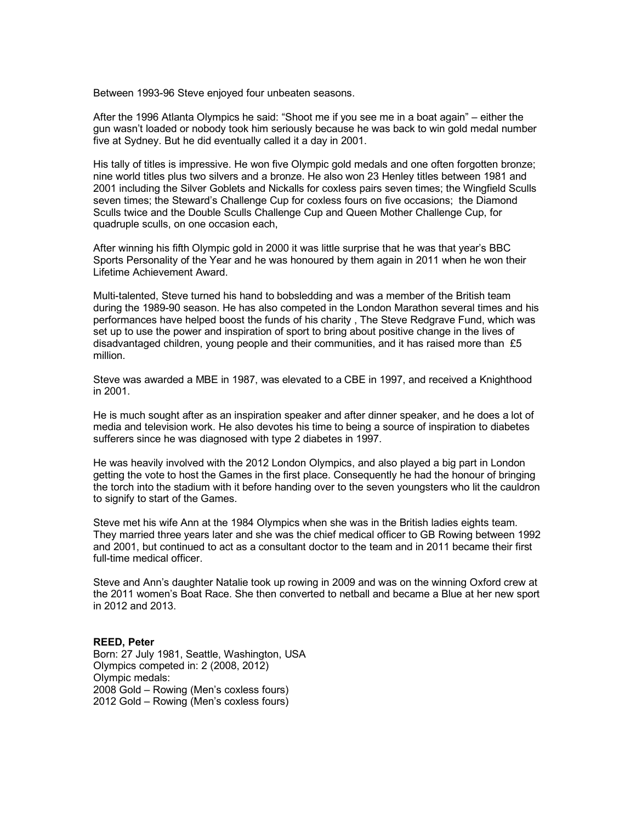Between 1993-96 Steve enjoyed four unbeaten seasons.

After the 1996 Atlanta Olympics he said: "Shoot me if you see me in a boat again" – either the gun wasn't loaded or nobody took him seriously because he was back to win gold medal number five at Sydney. But he did eventually called it a day in 2001.

His tally of titles is impressive. He won five Olympic gold medals and one often forgotten bronze; nine world titles plus two silvers and a bronze. He also won 23 Henley titles between 1981 and 2001 including the Silver Goblets and Nickalls for coxless pairs seven times; the Wingfield Sculls seven times; the Steward's Challenge Cup for coxless fours on five occasions; the Diamond Sculls twice and the Double Sculls Challenge Cup and Queen Mother Challenge Cup, for quadruple sculls, on one occasion each,

After winning his fifth Olympic gold in 2000 it was little surprise that he was that year's BBC Sports Personality of the Year and he was honoured by them again in 2011 when he won their Lifetime Achievement Award.

Multi-talented, Steve turned his hand to bobsledding and was a member of the British team during the 1989-90 season. He has also competed in the London Marathon several times and his performances have helped boost the funds of his charity , The Steve Redgrave Fund, which was set up to use the power and inspiration of sport to bring about positive change in the lives of disadvantaged children, young people and their communities, and it has raised more than  $£5$ million.

Steve was awarded a MBE in 1987, was elevated to a CBE in 1997, and received a Knighthood in 2001.

He is much sought after as an inspiration speaker and after dinner speaker, and he does a lot of media and television work. He also devotes his time to being a source of inspiration to diabetes sufferers since he was diagnosed with type 2 diabetes in 1997.

He was heavily involved with the 2012 London Olympics, and also played a big part in London getting the vote to host the Games in the first place. Consequently he had the honour of bringing the torch into the stadium with it before handing over to the seven youngsters who lit the cauldron to signify to start of the Games.

Steve met his wife Ann at the 1984 Olympics when she was in the British ladies eights team. They married three years later and she was the chief medical officer to GB Rowing between 1992 and 2001, but continued to act as a consultant doctor to the team and in 2011 became their first full-time medical officer.

Steve and Ann's daughter Natalie took up rowing in 2009 and was on the winning Oxford crew at the 2011 women's Boat Race. She then converted to netball and became a Blue at her new sport in 2012 and 2013.

## **REED, Peter**

Born: 27 July 1981, Seattle, Washington, USA Olympics competed in: 2 (2008, 2012) Olympic medals: 2008 Gold – Rowing (Men's coxless fours) 2012 Gold – Rowing (Men's coxless fours)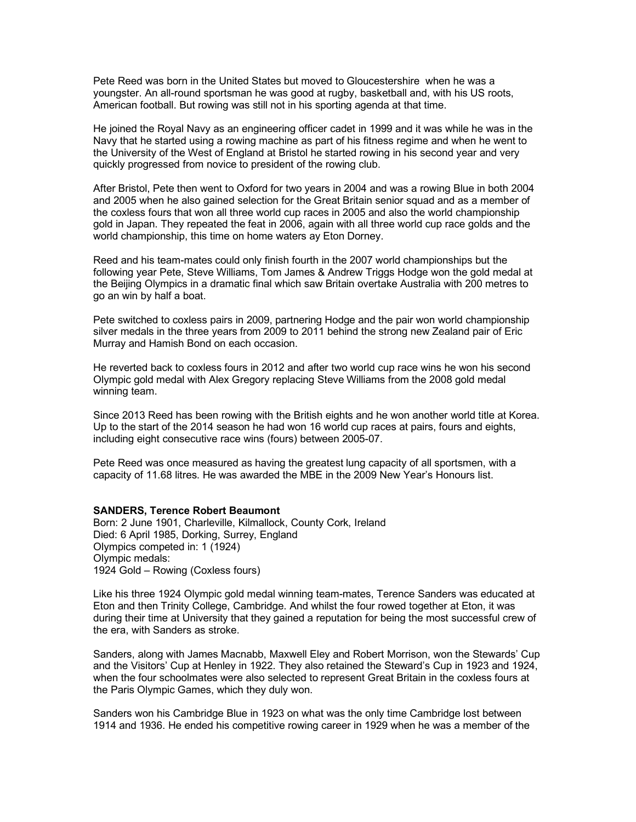Pete Reed was born in the United States but moved to Gloucestershire when he was a youngster. An all-round sportsman he was good at rugby, basketball and, with his US roots, American football. But rowing was still not in his sporting agenda at that time.

He joined the Royal Navy as an engineering officer cadet in 1999 and it was while he was in the Navy that he started using a rowing machine as part of his fitness regime and when he went to the University of the West of England at Bristol he started rowing in his second year and very quickly progressed from novice to president of the rowing club.

After Bristol, Pete then went to Oxford for two years in 2004 and was a rowing Blue in both 2004 and 2005 when he also gained selection for the Great Britain senior squad and as a member of the coxless fours that won all three world cup races in 2005 and also the world championship gold in Japan. They repeated the feat in 2006, again with all three world cup race golds and the world championship, this time on home waters ay Eton Dorney.

Reed and his team-mates could only finish fourth in the 2007 world championships but the following year Pete, Steve Williams, Tom James & Andrew Triggs Hodge won the gold medal at the Beijing Olympics in a dramatic final which saw Britain overtake Australia with 200 metres to go an win by half a boat.

Pete switched to coxless pairs in 2009, partnering Hodge and the pair won world championship silver medals in the three years from 2009 to 2011 behind the strong new Zealand pair of Eric Murray and Hamish Bond on each occasion.

He reverted back to coxless fours in 2012 and after two world cup race wins he won his second Olympic gold medal with Alex Gregory replacing Steve Williams from the 2008 gold medal winning team.

Since 2013 Reed has been rowing with the British eights and he won another world title at Korea. Up to the start of the 2014 season he had won 16 world cup races at pairs, fours and eights, including eight consecutive race wins (fours) between 2005-07.

Pete Reed was once measured as having the greatest lung capacity of all sportsmen, with a capacity of 11.68 litres. He was awarded the MBE in the 2009 New Year's Honours list.

## **SANDERS, Terence Robert Beaumont**

Born: 2 June 1901, Charleville, Kilmallock, County Cork, Ireland Died: 6 April 1985, Dorking, Surrey, England Olympics competed in: 1 (1924) Olympic medals: 1924 Gold – Rowing (Coxless fours)

Like his three 1924 Olympic gold medal winning team-mates, Terence Sanders was educated at Eton and then Trinity College, Cambridge. And whilst the four rowed together at Eton, it was during their time at University that they gained a reputation for being the most successful crew of the era, with Sanders as stroke.

Sanders, along with James Macnabb, Maxwell Eley and Robert Morrison, won the Stewards' Cup and the Visitors' Cup at Henley in 1922. They also retained the Steward's Cup in 1923 and 1924, when the four schoolmates were also selected to represent Great Britain in the coxless fours at the Paris Olympic Games, which they duly won.

Sanders won his Cambridge Blue in 1923 on what was the only time Cambridge lost between 1914 and 1936. He ended his competitive rowing career in 1929 when he was a member of the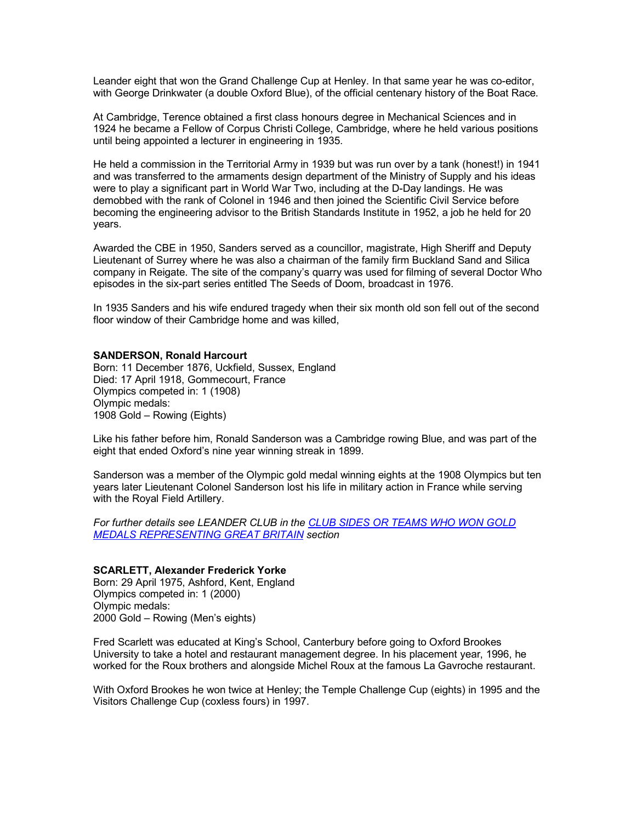Leander eight that won the Grand Challenge Cup at Henley. In that same year he was co-editor, with George Drinkwater (a double Oxford Blue), of the official centenary history of the Boat Race.

At Cambridge, Terence obtained a first class honours degree in Mechanical Sciences and in 1924 he became a Fellow of Corpus Christi College, Cambridge, where he held various positions until being appointed a lecturer in engineering in 1935.

He held a commission in the Territorial Army in 1939 but was run over by a tank (honest!) in 1941 and was transferred to the armaments design department of the Ministry of Supply and his ideas were to play a significant part in World War Two, including at the D-Day landings. He was demobbed with the rank of Colonel in 1946 and then joined the Scientific Civil Service before becoming the engineering advisor to the British Standards Institute in 1952, a job he held for 20 years.

Awarded the CBE in 1950, Sanders served as a councillor, magistrate, High Sheriff and Deputy Lieutenant of Surrey where he was also a chairman of the family firm Buckland Sand and Silica company in Reigate. The site of the company's quarry was used for filming of several Doctor Who episodes in the six-part series entitled The Seeds of Doom, broadcast in 1976.

In 1935 Sanders and his wife endured tragedy when their six month old son fell out of the second floor window of their Cambridge home and was killed,

### **SANDERSON, Ronald Harcourt**

Born: 11 December 1876, Uckfield, Sussex, England Died: 17 April 1918, Gommecourt, France Olympics competed in: 1 (1908) Olympic medals: 1908 Gold – Rowing (Eights)

Like his father before him, Ronald Sanderson was a Cambridge rowing Blue, and was part of the eight that ended Oxford's nine year winning streak in 1899.

Sanderson was a member of the Olympic gold medal winning eights at the 1908 Olympics but ten years later Lieutenant Colonel Sanderson lost his life in military action in France while serving with the Royal Field Artillery.

*For further details see LEANDER CLUB in the CLUB SIDES OR TEAMS WHO WON GOLD MEDALS REPRESENTING GREAT BRITAIN section*

## **SCARLETT, Alexander Frederick Yorke**

Born: 29 April 1975, Ashford, Kent, England Olympics competed in: 1 (2000) Olympic medals: 2000 Gold – Rowing (Men's eights)

Fred Scarlett was educated at King's School, Canterbury before going to Oxford Brookes University to take a hotel and restaurant management degree. In his placement year, 1996, he worked for the Roux brothers and alongside Michel Roux at the famous La Gavroche restaurant.

With Oxford Brookes he won twice at Henley; the Temple Challenge Cup (eights) in 1995 and the Visitors Challenge Cup (coxless fours) in 1997.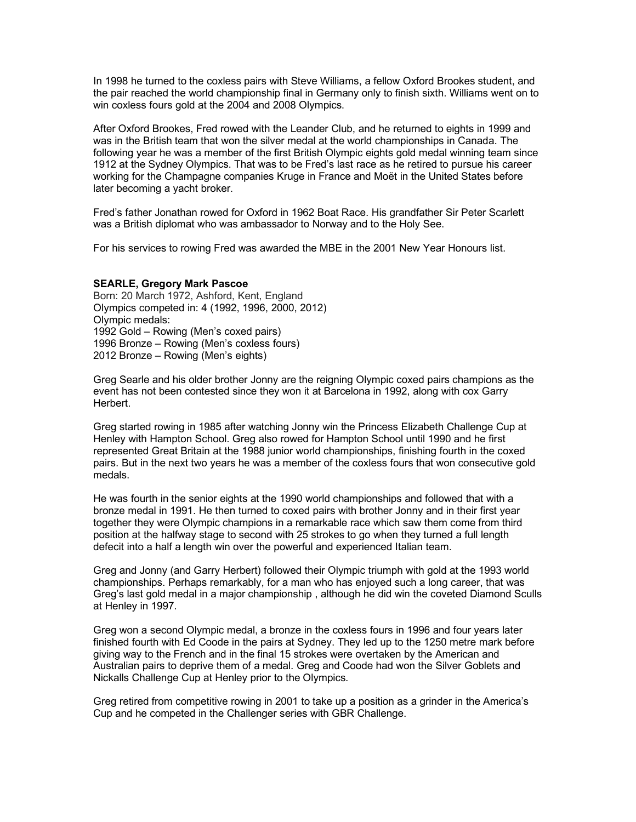In 1998 he turned to the coxless pairs with Steve Williams, a fellow Oxford Brookes student, and the pair reached the world championship final in Germany only to finish sixth. Williams went on to win coxless fours gold at the 2004 and 2008 Olympics.

After Oxford Brookes, Fred rowed with the Leander Club, and he returned to eights in 1999 and was in the British team that won the silver medal at the world championships in Canada. The following year he was a member of the first British Olympic eights gold medal winning team since 1912 at the Sydney Olympics. That was to be Fred's last race as he retired to pursue his career working for the Champagne companies Kruge in France and Moët in the United States before later becoming a yacht broker.

Fred's father Jonathan rowed for Oxford in 1962 Boat Race. His grandfather Sir Peter Scarlett was a British diplomat who was ambassador to Norway and to the Holy See.

For his services to rowing Fred was awarded the MBE in the 2001 New Year Honours list.

#### **SEARLE, Gregory Mark Pascoe**

Born: 20 March 1972, Ashford, Kent, England Olympics competed in: 4 (1992, 1996, 2000, 2012) Olympic medals: 1992 Gold – Rowing (Men's coxed pairs) 1996 Bronze – Rowing (Men's coxless fours) 2012 Bronze – Rowing (Men's eights)

Greg Searle and his older brother Jonny are the reigning Olympic coxed pairs champions as the event has not been contested since they won it at Barcelona in 1992, along with cox Garry Herbert.

Greg started rowing in 1985 after watching Jonny win the Princess Elizabeth Challenge Cup at Henley with Hampton School. Greg also rowed for Hampton School until 1990 and he first represented Great Britain at the 1988 junior world championships, finishing fourth in the coxed pairs. But in the next two years he was a member of the coxless fours that won consecutive gold medals.

He was fourth in the senior eights at the 1990 world championships and followed that with a bronze medal in 1991. He then turned to coxed pairs with brother Jonny and in their first year together they were Olympic champions in a remarkable race which saw them come from third position at the halfway stage to second with 25 strokes to go when they turned a full length defecit into a half a length win over the powerful and experienced Italian team.

Greg and Jonny (and Garry Herbert) followed their Olympic triumph with gold at the 1993 world championships. Perhaps remarkably, for a man who has enjoyed such a long career, that was Greg's last gold medal in a major championship , although he did win the coveted Diamond Sculls at Henley in 1997.

Greg won a second Olympic medal, a bronze in the coxless fours in 1996 and four years later finished fourth with Ed Coode in the pairs at Sydney. They led up to the 1250 metre mark before giving way to the French and in the final 15 strokes were overtaken by the American and Australian pairs to deprive them of a medal. Greg and Coode had won the Silver Goblets and Nickalls Challenge Cup at Henley prior to the Olympics.

Greg retired from competitive rowing in 2001 to take up a position as a grinder in the America's Cup and he competed in the Challenger series with GBR Challenge.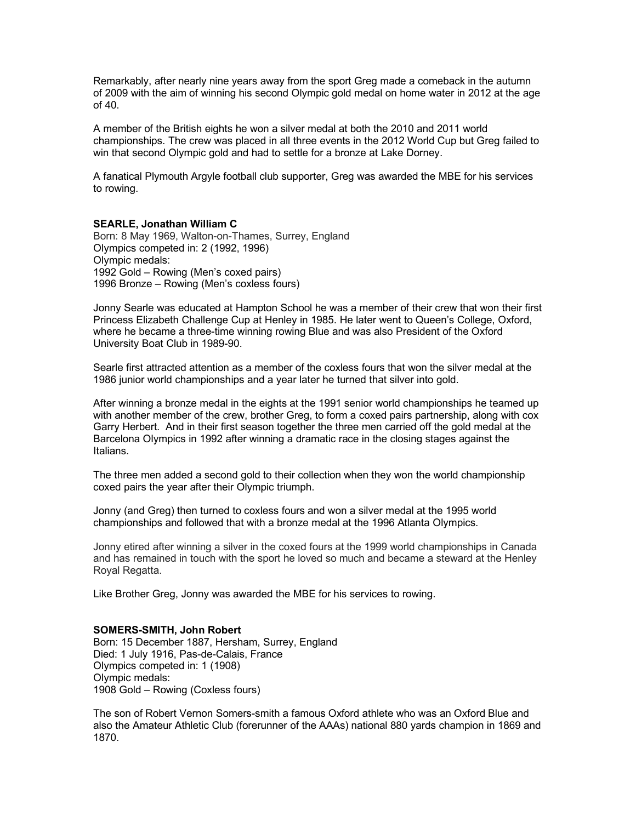Remarkably, after nearly nine years away from the sport Greg made a comeback in the autumn of 2009 with the aim of winning his second Olympic gold medal on home water in 2012 at the age of 40.

A member of the British eights he won a silver medal at both the 2010 and 2011 world championships. The crew was placed in all three events in the 2012 World Cup but Greg failed to win that second Olympic gold and had to settle for a bronze at Lake Dorney.

A fanatical Plymouth Argyle football club supporter, Greg was awarded the MBE for his services to rowing.

#### **SEARLE, Jonathan William C**

Born: 8 May 1969, Walton-on-Thames, Surrey, England Olympics competed in: 2 (1992, 1996) Olympic medals: 1992 Gold – Rowing (Men's coxed pairs) 1996 Bronze – Rowing (Men's coxless fours)

Jonny Searle was educated at Hampton School he was a member of their crew that won their first Princess Elizabeth Challenge Cup at Henley in 1985. He later went to Queen's College, Oxford, where he became a three-time winning rowing Blue and was also President of the Oxford University Boat Club in 1989-90.

Searle first attracted attention as a member of the coxless fours that won the silver medal at the 1986 junior world championships and a year later he turned that silver into gold.

After winning a bronze medal in the eights at the 1991 senior world championships he teamed up with another member of the crew, brother Greg, to form a coxed pairs partnership, along with cox Garry Herbert. And in their first season together the three men carried off the gold medal at the Barcelona Olympics in 1992 after winning a dramatic race in the closing stages against the Italians.

The three men added a second gold to their collection when they won the world championship coxed pairs the year after their Olympic triumph.

Jonny (and Greg) then turned to coxless fours and won a silver medal at the 1995 world championships and followed that with a bronze medal at the 1996 Atlanta Olympics.

Jonny etired after winning a silver in the coxed fours at the 1999 world championships in Canada and has remained in touch with the sport he loved so much and became a steward at the Henley Royal Regatta.

Like Brother Greg, Jonny was awarded the MBE for his services to rowing.

#### **SOMERS-SMITH, John Robert**

Born: 15 December 1887, Hersham, Surrey, England Died: 1 July 1916, Pas-de-Calais, France Olympics competed in: 1 (1908) Olympic medals: 1908 Gold – Rowing (Coxless fours)

The son of Robert Vernon Somers-smith a famous Oxford athlete who was an Oxford Blue and also the Amateur Athletic Club (forerunner of the AAAs) national 880 yards champion in 1869 and 1870.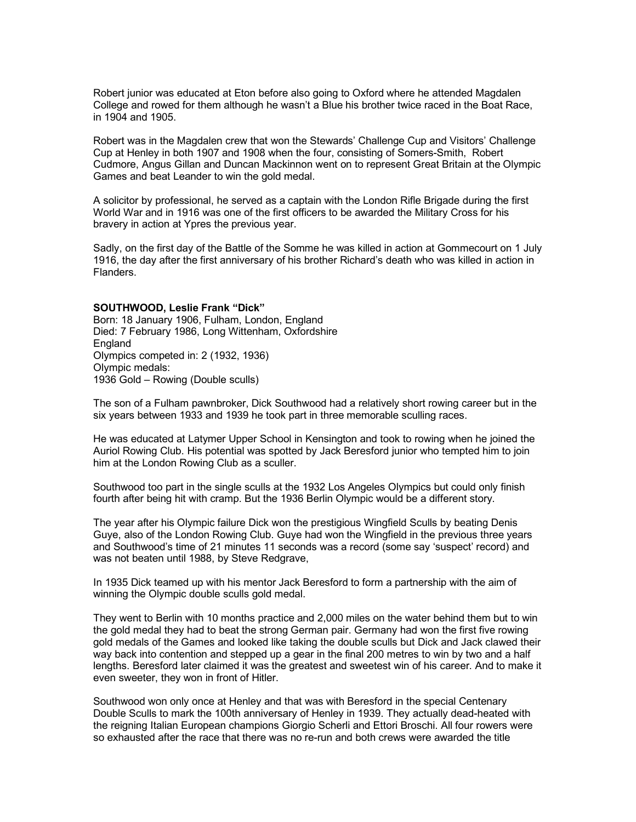Robert junior was educated at Eton before also going to Oxford where he attended Magdalen College and rowed for them although he wasn't a Blue his brother twice raced in the Boat Race, in 1904 and 1905.

Robert was in the Magdalen crew that won the Stewards' Challenge Cup and Visitors' Challenge Cup at Henley in both 1907 and 1908 when the four, consisting of Somers-Smith, Robert Cudmore, Angus Gillan and Duncan Mackinnon went on to represent Great Britain at the Olympic Games and beat Leander to win the gold medal.

A solicitor by professional, he served as a captain with the London Rifle Brigade during the first World War and in 1916 was one of the first officers to be awarded the Military Cross for his bravery in action at Ypres the previous year.

Sadly, on the first day of the Battle of the Somme he was killed in action at Gommecourt on 1 July 1916, the day after the first anniversary of his brother Richard's death who was killed in action in Flanders.

## **SOUTHWOOD, Leslie Frank "Dick"**

Born: 18 January 1906, Fulham, London, England Died: 7 February 1986, Long Wittenham, Oxfordshire England Olympics competed in: 2 (1932, 1936) Olympic medals: 1936 Gold – Rowing (Double sculls)

The son of a Fulham pawnbroker, Dick Southwood had a relatively short rowing career but in the six years between 1933 and 1939 he took part in three memorable sculling races.

He was educated at Latymer Upper School in Kensington and took to rowing when he joined the Auriol Rowing Club. His potential was spotted by Jack Beresford junior who tempted him to join him at the London Rowing Club as a sculler.

Southwood too part in the single sculls at the 1932 Los Angeles Olympics but could only finish fourth after being hit with cramp. But the 1936 Berlin Olympic would be a different story.

The year after his Olympic failure Dick won the prestigious Wingfield Sculls by beating Denis Guye, also of the London Rowing Club. Guye had won the Wingfield in the previous three years and Southwood's time of 21 minutes 11 seconds was a record (some say 'suspect' record) and was not beaten until 1988, by Steve Redgrave,

In 1935 Dick teamed up with his mentor Jack Beresford to form a partnership with the aim of winning the Olympic double sculls gold medal.

They went to Berlin with 10 months practice and 2,000 miles on the water behind them but to win the gold medal they had to beat the strong German pair. Germany had won the first five rowing gold medals of the Games and looked like taking the double sculls but Dick and Jack clawed their way back into contention and stepped up a gear in the final 200 metres to win by two and a half lengths. Beresford later claimed it was the greatest and sweetest win of his career. And to make it even sweeter, they won in front of Hitler.

Southwood won only once at Henley and that was with Beresford in the special Centenary Double Sculls to mark the 100th anniversary of Henley in 1939. They actually dead-heated with the reigning Italian European champions Giorgio Scherli and Ettori Broschi. All four rowers were so exhausted after the race that there was no re-run and both crews were awarded the title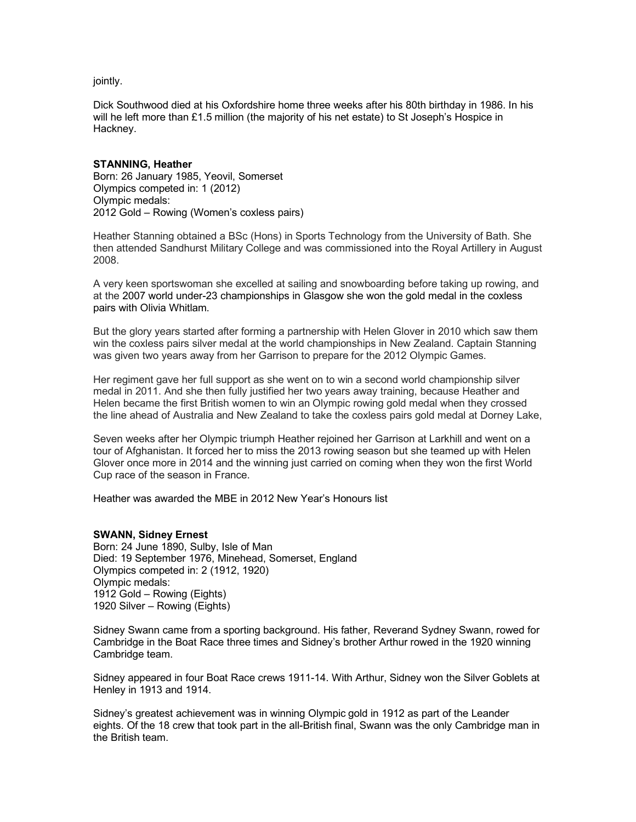jointly.

Dick Southwood died at his Oxfordshire home three weeks after his 80th birthday in 1986. In his will he left more than £1.5 million (the majority of his net estate) to St Joseph's Hospice in Hackney.

## **STANNING, Heather**

Born: 26 January 1985, Yeovil, Somerset Olympics competed in: 1 (2012) Olympic medals: 2012 Gold – Rowing (Women's coxless pairs)

Heather Stanning obtained a BSc (Hons) in Sports Technology from the University of Bath. She then attended Sandhurst Military College and was commissioned into the Royal Artillery in August 2008.

A very keen sportswoman she excelled at sailing and snowboarding before taking up rowing, and at the 2007 world under-23 championships in Glasgow she won the gold medal in the coxless pairs with Olivia Whitlam.

But the glory years started after forming a partnership with Helen Glover in 2010 which saw them win the coxless pairs silver medal at the world championships in New Zealand. Captain Stanning was given two years away from her Garrison to prepare for the 2012 Olympic Games.

Her regiment gave her full support as she went on to win a second world championship silver medal in 2011. And she then fully justified her two years away training, because Heather and Helen became the first British women to win an Olympic rowing gold medal when they crossed the line ahead of Australia and New Zealand to take the coxless pairs gold medal at Dorney Lake,

Seven weeks after her Olympic triumph Heather rejoined her Garrison at Larkhill and went on a tour of Afghanistan. It forced her to miss the 2013 rowing season but she teamed up with Helen Glover once more in 2014 and the winning just carried on coming when they won the first World Cup race of the season in France.

Heather was awarded the MBE in 2012 New Year's Honours list

### **SWANN, Sidney Ernest**

Born: 24 June 1890, Sulby, Isle of Man Died: 19 September 1976, Minehead, Somerset, England Olympics competed in: 2 (1912, 1920) Olympic medals: 1912 Gold – Rowing (Eights) 1920 Silver – Rowing (Eights)

Sidney Swann came from a sporting background. His father, Reverand Sydney Swann, rowed for Cambridge in the Boat Race three times and Sidney's brother Arthur rowed in the 1920 winning Cambridge team.

Sidney appeared in four Boat Race crews 1911-14. With Arthur, Sidney won the Silver Goblets at Henley in 1913 and 1914.

Sidney's greatest achievement was in winning Olympic gold in 1912 as part of the Leander eights. Of the 18 crew that took part in the all-British final, Swann was the only Cambridge man in the British team.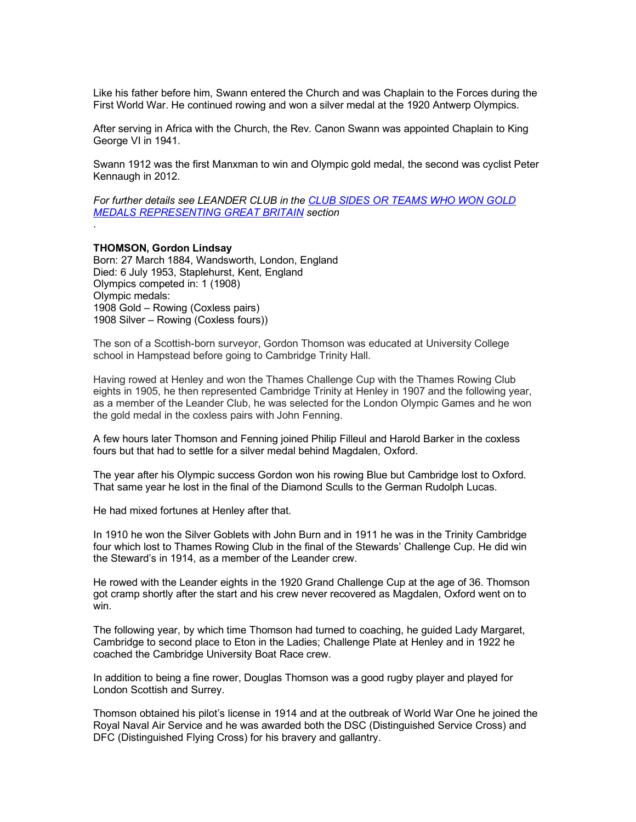Like his father before him, Swann entered the Church and was Chaplain to the Forces during the First World War. He continued rowing and won a silver medal at the 1920 Antwerp Olympics.

After serving in Africa with the Church, the Rev. Canon Swann was appointed Chaplain to King George VI in 1941.

Swann 1912 was the first Manxman to win and Olympic gold medal, the second was cyclist Peter Kennaugh in 2012.

*For further details see LEANDER CLUB in the CLUB SIDES OR TEAMS WHO WON GOLD MEDALS REPRESENTING GREAT BRITAIN section*

#### **THOMSON, Gordon Lindsay**

.

Born: 27 March 1884, Wandsworth, London, England Died: 6 July 1953, Staplehurst, Kent, England Olympics competed in: 1 (1908) Olympic medals: 1908 Gold – Rowing (Coxless pairs) 1908 Silver – Rowing (Coxless fours))

The son of a Scottish-born surveyor, Gordon Thomson was educated at University College school in Hampstead before going to Cambridge Trinity Hall.

Having rowed at Henley and won the Thames Challenge Cup with the Thames Rowing Club eights in 1905, he then represented Cambridge Trinity at Henley in 1907 and the following year, as a member of the Leander Club, he was selected for the London Olympic Games and he won the gold medal in the coxless pairs with John Fenning.

A few hours later Thomson and Fenning joined Philip Filleul and Harold Barker in the coxless fours but that had to settle for a silver medal behind Magdalen, Oxford.

The year after his Olympic success Gordon won his rowing Blue but Cambridge lost to Oxford. That same year he lost in the final of the Diamond Sculls to the German Rudolph Lucas.

He had mixed fortunes at Henley after that.

In 1910 he won the Silver Goblets with John Burn and in 1911 he was in the Trinity Cambridge four which lost to Thames Rowing Club in the final of the Stewards' Challenge Cup. He did win the Steward's in 1914, as a member of the Leander crew.

He rowed with the Leander eights in the 1920 Grand Challenge Cup at the age of 36. Thomson got cramp shortly after the start and his crew never recovered as Magdalen, Oxford went on to win.

The following year, by which time Thomson had turned to coaching, he guided Lady Margaret, Cambridge to second place to Eton in the Ladies; Challenge Plate at Henley and in 1922 he coached the Cambridge University Boat Race crew.

In addition to being a fine rower, Douglas Thomson was a good rugby player and played for London Scottish and Surrey.

Thomson obtained his pilot's license in 1914 and at the outbreak of World War One he joined the Royal Naval Air Service and he was awarded both the DSC (Distinguished Service Cross) and DFC (Distinguished Flying Cross) for his bravery and gallantry.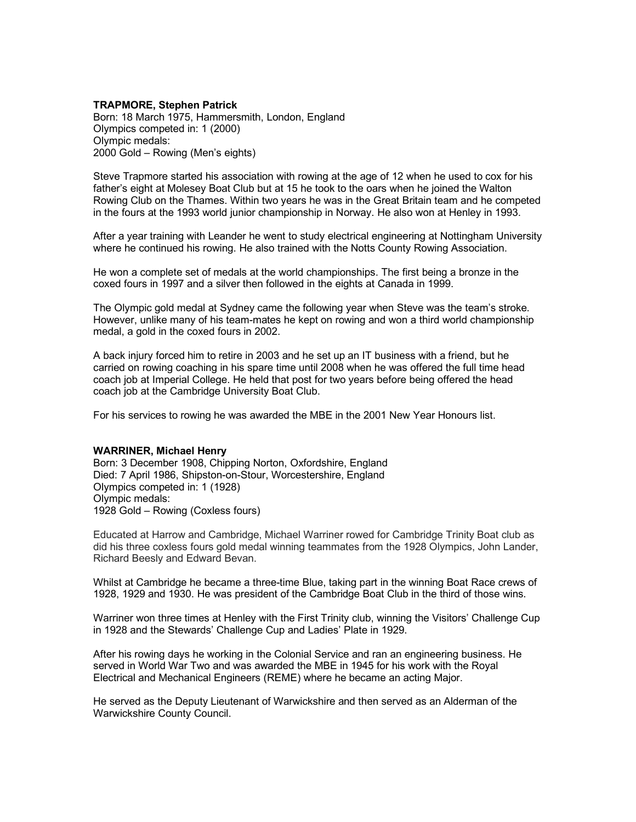## **TRAPMORE, Stephen Patrick**

Born: 18 March 1975, Hammersmith, London, England Olympics competed in: 1 (2000) Olympic medals: 2000 Gold – Rowing (Men's eights)

Steve Trapmore started his association with rowing at the age of 12 when he used to cox for his father's eight at Molesey Boat Club but at 15 he took to the oars when he joined the Walton Rowing Club on the Thames. Within two years he was in the Great Britain team and he competed in the fours at the 1993 world junior championship in Norway. He also won at Henley in 1993.

After a year training with Leander he went to study electrical engineering at Nottingham University where he continued his rowing. He also trained with the Notts County Rowing Association.

He won a complete set of medals at the world championships. The first being a bronze in the coxed fours in 1997 and a silver then followed in the eights at Canada in 1999.

The Olympic gold medal at Sydney came the following year when Steve was the team's stroke. However, unlike many of his team-mates he kept on rowing and won a third world championship medal, a gold in the coxed fours in 2002.

A back injury forced him to retire in 2003 and he set up an IT business with a friend, but he carried on rowing coaching in his spare time until 2008 when he was offered the full time head coach job at Imperial College. He held that post for two years before being offered the head coach job at the Cambridge University Boat Club.

For his services to rowing he was awarded the MBE in the 2001 New Year Honours list.

### **WARRINER, Michael Henry**

Born: 3 December 1908, Chipping Norton, Oxfordshire, England Died: 7 April 1986, Shipston-on-Stour, Worcestershire, England Olympics competed in: 1 (1928) Olympic medals: 1928 Gold – Rowing (Coxless fours)

Educated at Harrow and Cambridge, Michael Warriner rowed for Cambridge Trinity Boat club as did his three coxless fours gold medal winning teammates from the 1928 Olympics, John Lander, Richard Beesly and Edward Bevan.

Whilst at Cambridge he became a three-time Blue, taking part in the winning Boat Race crews of 1928, 1929 and 1930. He was president of the Cambridge Boat Club in the third of those wins.

Warriner won three times at Henley with the First Trinity club, winning the Visitors' Challenge Cup in 1928 and the Stewards' Challenge Cup and Ladies' Plate in 1929.

After his rowing days he working in the Colonial Service and ran an engineering business. He served in World War Two and was awarded the MBE in 1945 for his work with the Royal Electrical and Mechanical Engineers (REME) where he became an acting Major.

He served as the Deputy Lieutenant of Warwickshire and then served as an Alderman of the Warwickshire County Council.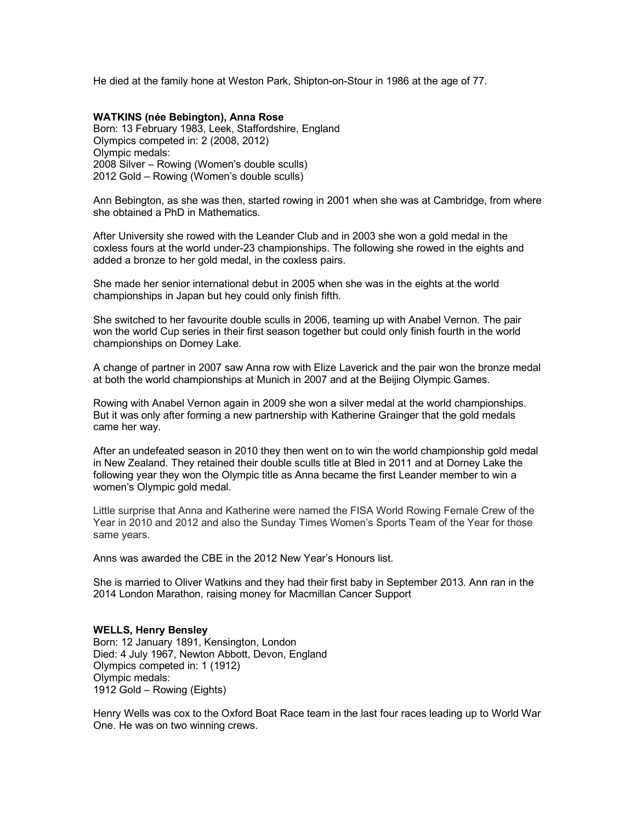He died at the family hone at Weston Park, Shipton-on-Stour in 1986 at the age of 77.

## **WATKINS (née Bebington), Anna Rose** Born: 13 February 1983, Leek, Staffordshire, England Olympics competed in: 2 (2008, 2012) Olympic medals: 2008 Silver – Rowing (Women's double sculls) 2012 Gold – Rowing (Women's double sculls)

Ann Bebington, as she was then, started rowing in 2001 when she was at Cambridge, from where she obtained a PhD in Mathematics.

After University she rowed with the Leander Club and in 2003 she won a gold medal in the coxless fours at the world under-23 championships. The following she rowed in the eights and added a bronze to her gold medal, in the coxless pairs.

She made her senior international debut in 2005 when she was in the eights at the world championships in Japan but hey could only finish fifth.

She switched to her favourite double sculls in 2006, teaming up with Anabel Vernon. The pair won the world Cup series in their first season together but could only finish fourth in the world championships on Dorney Lake.

A change of partner in 2007 saw Anna row with Elize Laverick and the pair won the bronze medal at both the world championships at Munich in 2007 and at the Beijing Olympic Games.

Rowing with Anabel Vernon again in 2009 she won a silver medal at the world championships. But it was only after forming a new partnership with Katherine Grainger that the gold medals came her way.

After an undefeated season in 2010 they then went on to win the world championship gold medal in New Zealand. They retained their double sculls title at Bled in 2011 and at Dorney Lake the following year they won the Olympic title as Anna became the first Leander member to win a women's Olympic gold medal.

Little surprise that Anna and Katherine were named the FISA World Rowing Female Crew of the Year in 2010 and 2012 and also the Sunday Times Women's Sports Team of the Year for those same years.

Anns was awarded the CBE in the 2012 New Year's Honours list.

She is married to Oliver Watkins and they had their first baby in September 2013. Ann ran in the 2014 London Marathon, raising money for Macmillan Cancer Support

## **WELLS, Henry Bensley**

Born: 12 January 1891, Kensington, London Died: 4 July 1967, Newton Abbott, Devon, England Olympics competed in: 1 (1912) Olympic medals: 1912 Gold – Rowing (Eights)

Henry Wells was cox to the Oxford Boat Race team in the last four races leading up to World War One. He was on two winning crews.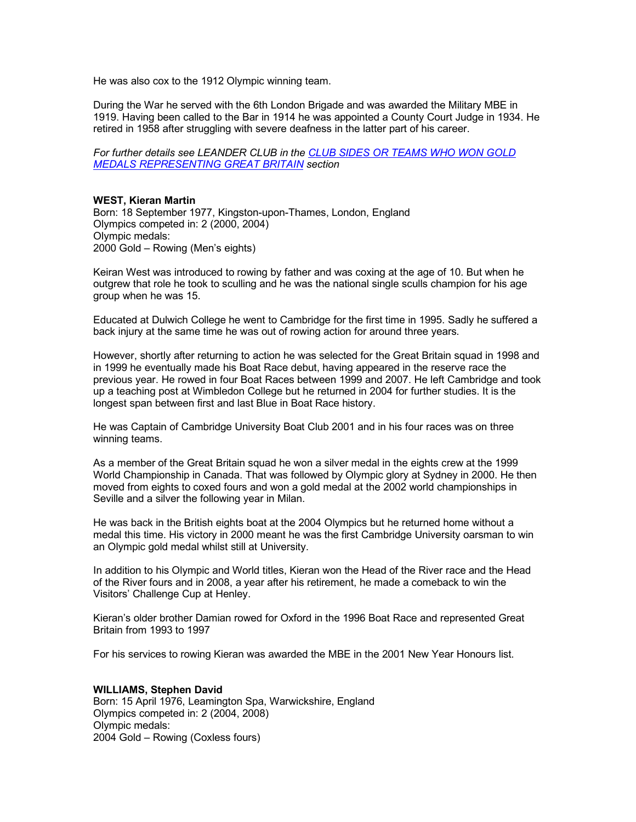He was also cox to the 1912 Olympic winning team.

During the War he served with the 6th London Brigade and was awarded the Military MBE in 1919. Having been called to the Bar in 1914 he was appointed a County Court Judge in 1934. He retired in 1958 after struggling with severe deafness in the latter part of his career.

*For further details see LEANDER CLUB in the CLUB SIDES OR TEAMS WHO WON GOLD MEDALS REPRESENTING GREAT BRITAIN section*

## **WEST, Kieran Martin**

Born: 18 September 1977, Kingston-upon-Thames, London, England Olympics competed in: 2 (2000, 2004) Olympic medals: 2000 Gold – Rowing (Men's eights)

Keiran West was introduced to rowing by father and was coxing at the age of 10. But when he outgrew that role he took to sculling and he was the national single sculls champion for his age group when he was 15.

Educated at Dulwich College he went to Cambridge for the first time in 1995. Sadly he suffered a back injury at the same time he was out of rowing action for around three years.

However, shortly after returning to action he was selected for the Great Britain squad in 1998 and in 1999 he eventually made his Boat Race debut, having appeared in the reserve race the previous year. He rowed in four Boat Races between 1999 and 2007. He left Cambridge and took up a teaching post at Wimbledon College but he returned in 2004 for further studies. It is the longest span between first and last Blue in Boat Race history.

He was Captain of Cambridge University Boat Club 2001 and in his four races was on three winning teams.

As a member of the Great Britain squad he won a silver medal in the eights crew at the 1999 World Championship in Canada. That was followed by Olympic glory at Sydney in 2000. He then moved from eights to coxed fours and won a gold medal at the 2002 world championships in Seville and a silver the following year in Milan.

He was back in the British eights boat at the 2004 Olympics but he returned home without a medal this time. His victory in 2000 meant he was the first Cambridge University oarsman to win an Olympic gold medal whilst still at University.

In addition to his Olympic and World titles, Kieran won the Head of the River race and the Head of the River fours and in 2008, a year after his retirement, he made a comeback to win the Visitors' Challenge Cup at Henley.

Kieran's older brother Damian rowed for Oxford in the 1996 Boat Race and represented Great Britain from 1993 to 1997

For his services to rowing Kieran was awarded the MBE in the 2001 New Year Honours list.

## **WILLIAMS, Stephen David**

Born: 15 April 1976, Leamington Spa, Warwickshire, England Olympics competed in: 2 (2004, 2008) Olympic medals: 2004 Gold – Rowing (Coxless fours)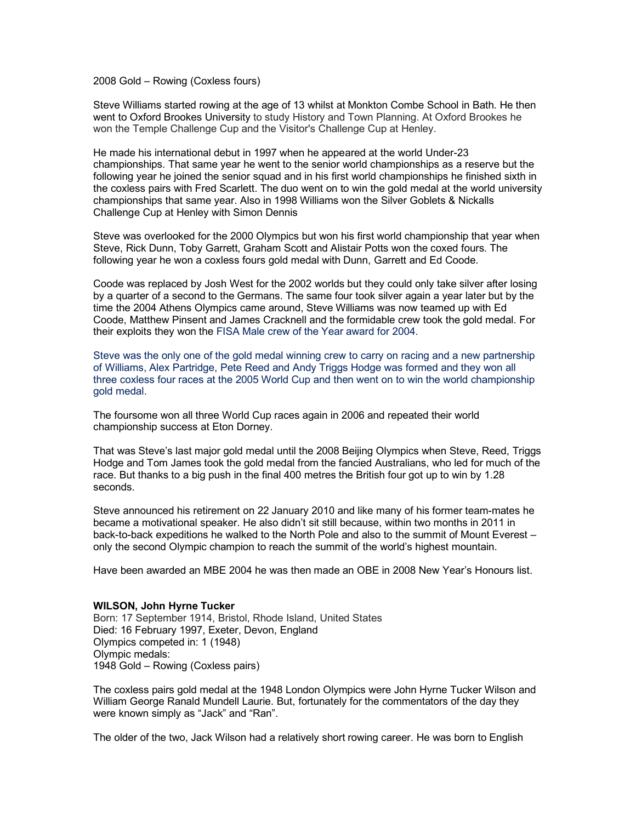2008 Gold – Rowing (Coxless fours)

Steve Williams started rowing at the age of 13 whilst at Monkton Combe School in Bath. He then went to Oxford Brookes University to study History and Town Planning. At Oxford Brookes he won the Temple Challenge Cup and the Visitor's Challenge Cup at Henley.

He made his international debut in 1997 when he appeared at the world Under-23 championships. That same year he went to the senior world championships as a reserve but the following year he joined the senior squad and in his first world championships he finished sixth in the coxless pairs with Fred Scarlett. The duo went on to win the gold medal at the world university championships that same year. Also in 1998 Williams won the Silver Goblets & Nickalls Challenge Cup at Henley with Simon Dennis

Steve was overlooked for the 2000 Olympics but won his first world championship that year when Steve, Rick Dunn, Toby Garrett, Graham Scott and Alistair Potts won the coxed fours. The following year he won a coxless fours gold medal with Dunn, Garrett and Ed Coode.

Coode was replaced by Josh West for the 2002 worlds but they could only take silver after losing by a quarter of a second to the Germans. The same four took silver again a year later but by the time the 2004 Athens Olympics came around, Steve Williams was now teamed up with Ed Coode, Matthew Pinsent and James Cracknell and the formidable crew took the gold medal. For their exploits they won the FISA Male crew of the Year award for 2004.

Steve was the only one of the gold medal winning crew to carry on racing and a new partnership of Williams, Alex Partridge, Pete Reed and Andy Triggs Hodge was formed and they won all three coxless four races at the 2005 World Cup and then went on to win the world championship gold medal.

The foursome won all three World Cup races again in 2006 and repeated their world championship success at Eton Dorney.

That was Steve's last major gold medal until the 2008 Beijing Olympics when Steve, Reed, Triggs Hodge and Tom James took the gold medal from the fancied Australians, who led for much of the race. But thanks to a big push in the final 400 metres the British four got up to win by 1.28 seconds.

Steve announced his retirement on 22 January 2010 and like many of his former team-mates he became a motivational speaker. He also didn't sit still because, within two months in 2011 in back-to-back expeditions he walked to the North Pole and also to the summit of Mount Everest – only the second Olympic champion to reach the summit of the world's highest mountain.

Have been awarded an MBE 2004 he was then made an OBE in 2008 New Year's Honours list.

### **WILSON, John Hyrne Tucker**

Born: 17 September 1914, Bristol, Rhode Island, United States Died: 16 February 1997, Exeter, Devon, England Olympics competed in: 1 (1948) Olympic medals: 1948 Gold – Rowing (Coxless pairs)

The coxless pairs gold medal at the 1948 London Olympics were John Hyrne Tucker Wilson and William George Ranald Mundell Laurie. But, fortunately for the commentators of the day they were known simply as "Jack" and "Ran".

The older of the two, Jack Wilson had a relatively short rowing career. He was born to English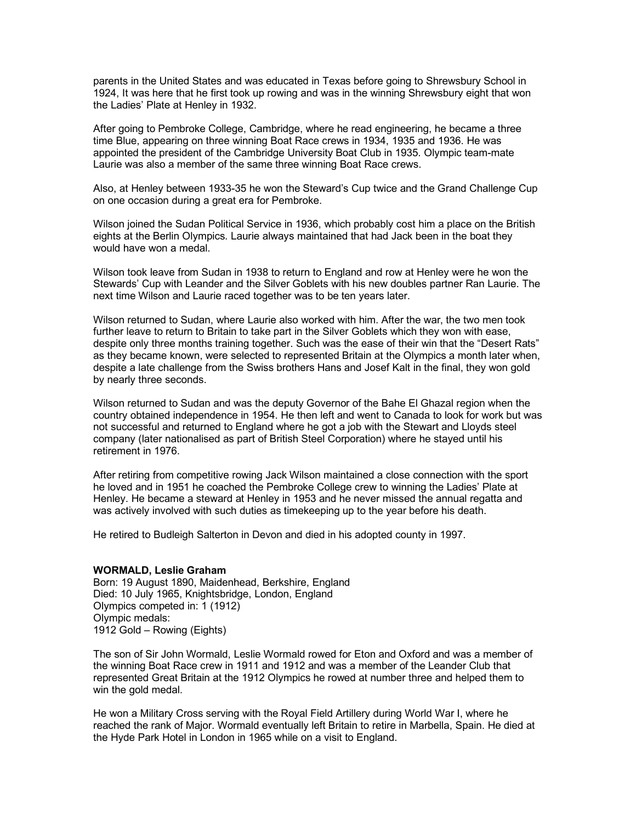parents in the United States and was educated in Texas before going to Shrewsbury School in 1924, It was here that he first took up rowing and was in the winning Shrewsbury eight that won the Ladies' Plate at Henley in 1932.

After going to Pembroke College, Cambridge, where he read engineering, he became a three time Blue, appearing on three winning Boat Race crews in 1934, 1935 and 1936. He was appointed the president of the Cambridge University Boat Club in 1935. Olympic team-mate Laurie was also a member of the same three winning Boat Race crews.

Also, at Henley between 1933-35 he won the Steward's Cup twice and the Grand Challenge Cup on one occasion during a great era for Pembroke.

Wilson joined the Sudan Political Service in 1936, which probably cost him a place on the British eights at the Berlin Olympics. Laurie always maintained that had Jack been in the boat they would have won a medal.

Wilson took leave from Sudan in 1938 to return to England and row at Henley were he won the Stewards' Cup with Leander and the Silver Goblets with his new doubles partner Ran Laurie. The next time Wilson and Laurie raced together was to be ten years later.

Wilson returned to Sudan, where Laurie also worked with him. After the war, the two men took further leave to return to Britain to take part in the Silver Goblets which they won with ease, despite only three months training together. Such was the ease of their win that the "Desert Rats" as they became known, were selected to represented Britain at the Olympics a month later when, despite a late challenge from the Swiss brothers Hans and Josef Kalt in the final, they won gold by nearly three seconds.

Wilson returned to Sudan and was the deputy Governor of the Bahe El Ghazal region when the country obtained independence in 1954. He then left and went to Canada to look for work but was not successful and returned to England where he got a job with the Stewart and Lloyds steel company (later nationalised as part of British Steel Corporation) where he stayed until his retirement in 1976.

After retiring from competitive rowing Jack Wilson maintained a close connection with the sport he loved and in 1951 he coached the Pembroke College crew to winning the Ladies' Plate at Henley. He became a steward at Henley in 1953 and he never missed the annual regatta and was actively involved with such duties as timekeeping up to the year before his death.

He retired to Budleigh Salterton in Devon and died in his adopted county in 1997.

### **WORMALD, Leslie Graham**

Born: 19 August 1890, Maidenhead, Berkshire, England Died: 10 July 1965, Knightsbridge, London, England Olympics competed in: 1 (1912) Olympic medals: 1912 Gold – Rowing (Eights)

The son of Sir John Wormald, Leslie Wormald rowed for Eton and Oxford and was a member of the winning Boat Race crew in 1911 and 1912 and was a member of the Leander Club that represented Great Britain at the 1912 Olympics he rowed at number three and helped them to win the gold medal.

He won a Military Cross serving with the Royal Field Artillery during World War I, where he reached the rank of Major. Wormald eventually left Britain to retire in Marbella, Spain. He died at the Hyde Park Hotel in London in 1965 while on a visit to England.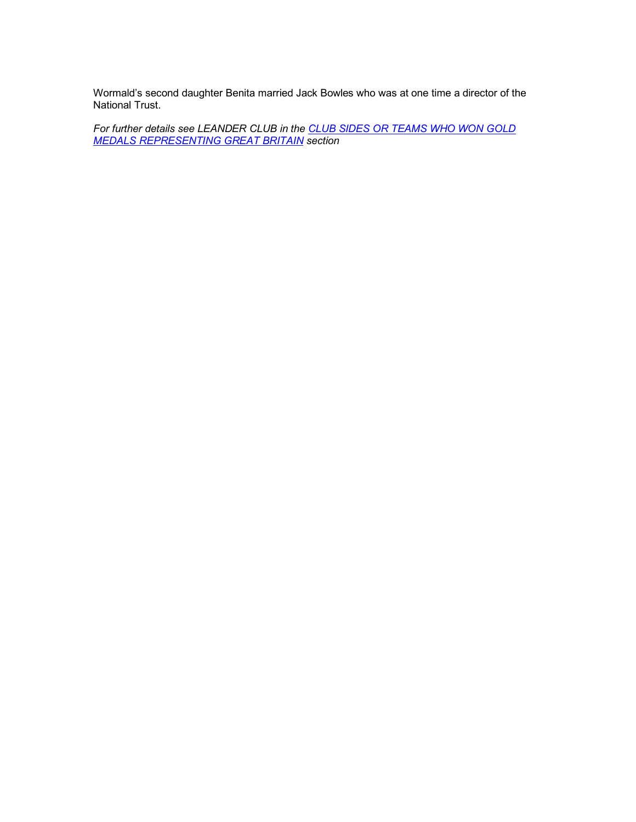Wormald's second daughter Benita married Jack Bowles who was at one time a director of the National Trust.

*For further details see LEANDER CLUB in the CLUB SIDES OR TEAMS WHO WON GOLD MEDALS REPRESENTING GREAT BRITAIN section*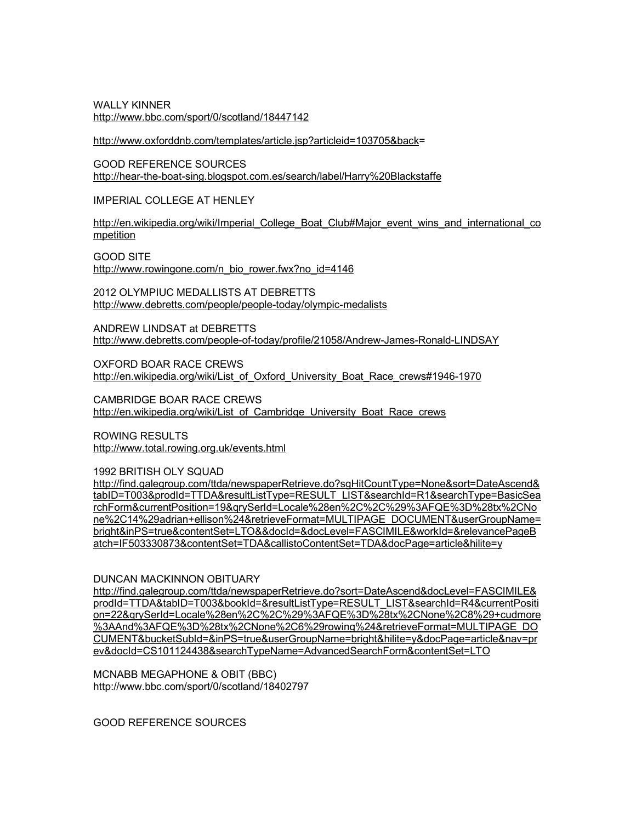WALLY KINNER http://www.bbc.com/sport/0/scotland/18447142

http://www.oxforddnb.com/templates/article.jsp?articleid=103705&back=

GOOD REFERENCE SOURCES http://hear-the-boat-sing.blogspot.com.es/search/label/Harry%20Blackstaffe

IMPERIAL COLLEGE AT HENLEY

http://en.wikipedia.org/wiki/Imperial\_College\_Boat\_Club#Major\_event\_wins\_and\_international\_co mpetition

GOOD SITE http://www.rowingone.com/n\_bio\_rower.fwx?no\_id=4146

2012 OLYMPIUC MEDALLISTS AT DEBRETTS http://www.debretts.com/people/people-today/olympic-medalists

ANDREW LINDSAT at DEBRETTS http://www.debretts.com/people-of-today/profile/21058/Andrew-James-Ronald-LINDSAY

OXFORD BOAR RACE CREWS http://en.wikipedia.org/wiki/List\_of\_Oxford\_University\_Boat\_Race\_crews#1946-1970

CAMBRIDGE BOAR RACE CREWS http://en.wikipedia.org/wiki/List\_of\_Cambridge\_University\_Boat\_Race\_crews

ROWING RESULTS http://www.total.rowing.org.uk/events.html

1992 BRITISH OLY SQUAD

http://find.galegroup.com/ttda/newspaperRetrieve.do?sgHitCountType=None&sort=DateAscend& tabID=T003&prodId=TTDA&resultListType=RESULT\_LIST&searchId=R1&searchType=BasicSea rchForm&currentPosition=19&qrySerId=Locale%28en%2C%2C%29%3AFQE%3D%28tx%2CNo ne%2C14%29adrian+ellison%24&retrieveFormat=MULTIPAGE\_DOCUMENT&userGroupName= bright&inPS=true&contentSet=LTO&&docId=&docLevel=FASCIMILE&workId=&relevancePageB atch=IF503330873&contentSet=TDA&callistoContentSet=TDA&docPage=article&hilite=y

DUNCAN MACKINNON OBITUARY

http://find.galegroup.com/ttda/newspaperRetrieve.do?sort=DateAscend&docLevel=FASCIMILE& prodId=TTDA&tabID=T003&bookId=&resultListType=RESULT\_LIST&searchId=R4&currentPositi on=22&qrySerId=Locale%28en%2C%2C%29%3AFQE%3D%28tx%2CNone%2C8%29+cudmore %3AAnd%3AFQE%3D%28tx%2CNone%2C6%29rowing%24&retrieveFormat=MULTIPAGE\_DO CUMENT&bucketSubId=&inPS=true&userGroupName=bright&hilite=y&docPage=article&nav=pr ev&docId=CS101124438&searchTypeName=AdvancedSearchForm&contentSet=LTO

MCNABB MEGAPHONE & OBIT (BBC) http://www.bbc.com/sport/0/scotland/18402797

GOOD REFERENCE SOURCES